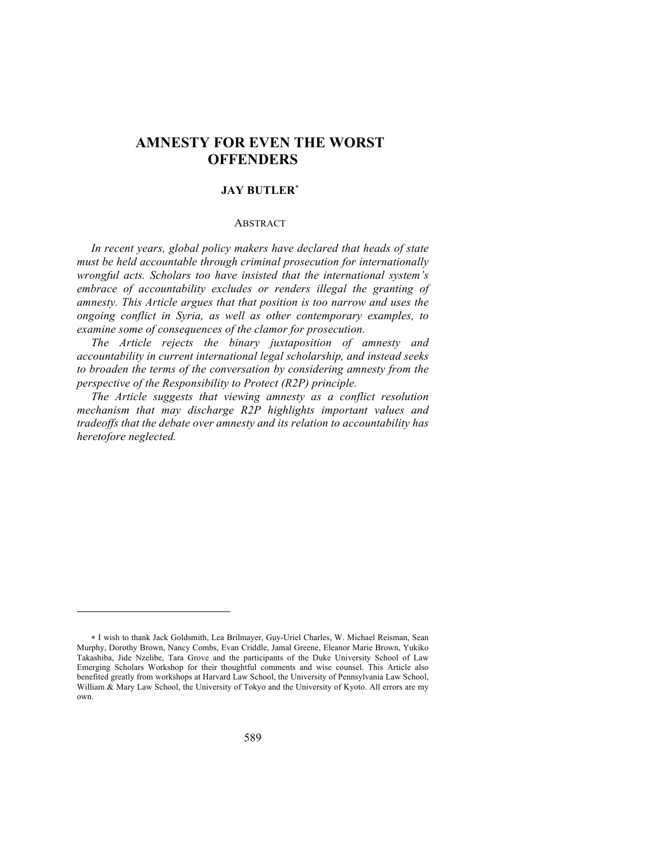# **AMNESTY FOR EVEN THE WORST OFFENDERS**

## **JAY BUTLER**\*

## **ABSTRACT**

*In recent years, global policy makers have declared that heads of state must be held accountable through criminal prosecution for internationally wrongful acts. Scholars too have insisted that the international system's embrace of accountability excludes or renders illegal the granting of amnesty. This Article argues that that position is too narrow and uses the ongoing conflict in Syria, as well as other contemporary examples, to examine some of consequences of the clamor for prosecution.*

*The Article rejects the binary juxtaposition of amnesty and accountability in current international legal scholarship, and instead seeks to broaden the terms of the conversation by considering amnesty from the perspective of the Responsibility to Protect (R2P) principle.*

*The Article suggests that viewing amnesty as a conflict resolution mechanism that may discharge R2P highlights important values and tradeoffs that the debate over amnesty and its relation to accountability has heretofore neglected.* 

<sup>\*</sup> I wish to thank Jack Goldsmith, Lea Brilmayer, Guy-Uriel Charles, W. Michael Reisman, Sean Murphy, Dorothy Brown, Nancy Combs, Evan Criddle, Jamal Greene, Eleanor Marie Brown, Yukiko Takashiba, Jide Nzelibe, Tara Grove and the participants of the Duke University School of Law Emerging Scholars Workshop for their thoughtful comments and wise counsel. This Article also benefited greatly from workshops at Harvard Law School, the University of Pennsylvania Law School, William & Mary Law School, the University of Tokyo and the University of Kyoto. All errors are my own.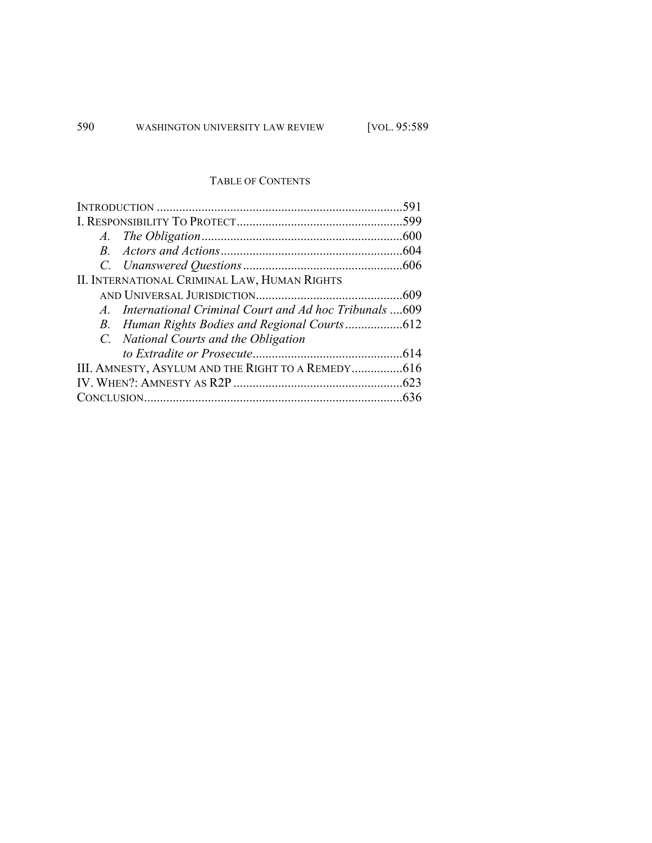# TABLE OF CONTENTS

|                                                          | 591  |
|----------------------------------------------------------|------|
|                                                          | .599 |
|                                                          |      |
|                                                          |      |
|                                                          |      |
| II. INTERNATIONAL CRIMINAL LAW, HUMAN RIGHTS             |      |
|                                                          |      |
| A. International Criminal Court and Ad hoc Tribunals 609 |      |
|                                                          |      |
| C. National Courts and the Obligation                    |      |
|                                                          |      |
|                                                          |      |
|                                                          |      |
|                                                          |      |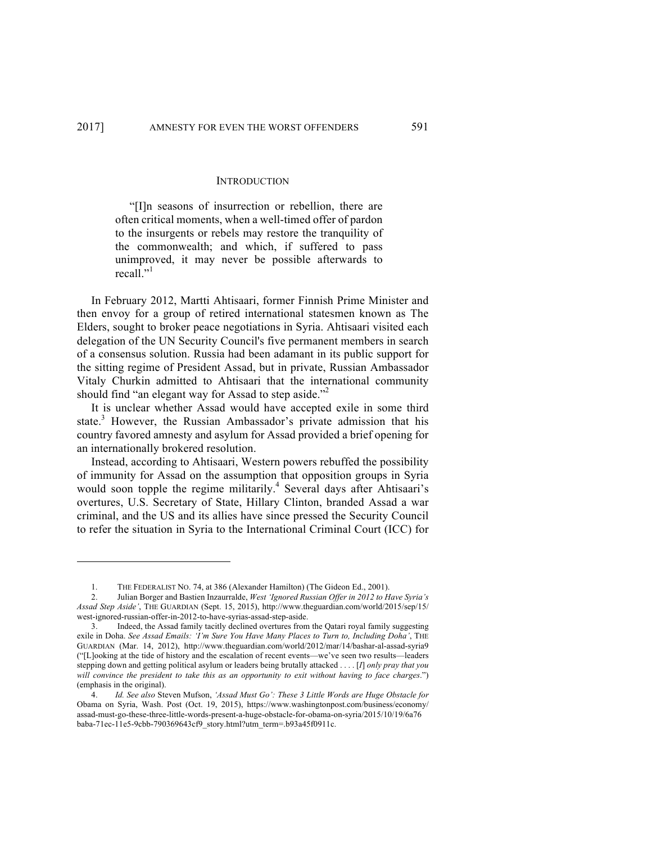1

#### **INTRODUCTION**

"[I]n seasons of insurrection or rebellion, there are often critical moments, when a well-timed offer of pardon to the insurgents or rebels may restore the tranquility of the commonwealth; and which, if suffered to pass unimproved, it may never be possible afterwards to recall $"$ <sup>1</sup>

In February 2012, Martti Ahtisaari, former Finnish Prime Minister and then envoy for a group of retired international statesmen known as The Elders, sought to broker peace negotiations in Syria. Ahtisaari visited each delegation of the UN Security Council's five permanent members in search of a consensus solution. Russia had been adamant in its public support for the sitting regime of President Assad, but in private, Russian Ambassador Vitaly Churkin admitted to Ahtisaari that the international community should find "an elegant way for Assad to step aside."<sup>2</sup>

It is unclear whether Assad would have accepted exile in some third state.<sup>3</sup> However, the Russian Ambassador's private admission that his country favored amnesty and asylum for Assad provided a brief opening for an internationally brokered resolution.

Instead, according to Ahtisaari, Western powers rebuffed the possibility of immunity for Assad on the assumption that opposition groups in Syria would soon topple the regime militarily.<sup>4</sup> Several days after Ahtisaari's overtures, U.S. Secretary of State, Hillary Clinton, branded Assad a war criminal, and the US and its allies have since pressed the Security Council to refer the situation in Syria to the International Criminal Court (ICC) for

<sup>1.</sup> THE FEDERALIST NO. 74, at 386 (Alexander Hamilton) (The Gideon Ed., 2001).

<sup>2.</sup> Julian Borger and Bastien Inzaurralde, *West 'Ignored Russian Offer in 2012 to Have Syria's Assad Step Aside'*, THE GUARDIAN (Sept. 15, 2015), http://www.theguardian.com/world/2015/sep/15/ west-ignored-russian-offer-in-2012-to-have-syrias-assad-step-aside.

Indeed, the Assad family tacitly declined overtures from the Qatari royal family suggesting exile in Doha. *See Assad Emails: 'I'm Sure You Have Many Places to Turn to, Including Doha'*, THE GUARDIAN (Mar. 14, 2012), http://www.theguardian.com/world/2012/mar/14/bashar-al-assad-syria9 ("[L]ooking at the tide of history and the escalation of recent events—we've seen two results—leaders stepping down and getting political asylum or leaders being brutally attacked . . . . [*I*] *only pray that you will convince the president to take this as an opportunity to exit without having to face charges*.") (emphasis in the original).

<sup>4.</sup> *Id. See also* Steven Mufson, *'Assad Must Go': These 3 Little Words are Huge Obstacle for*  Obama on Syria, Wash. Post (Oct. 19, 2015), https://www.washingtonpost.com/business/economy/ assad-must-go-these-three-little-words-present-a-huge-obstacle-for-obama-on-syria/2015/10/19/6a76 baba-71ec-11e5-9cbb-790369643cf9\_story.html?utm\_term=.b93a45f0911c.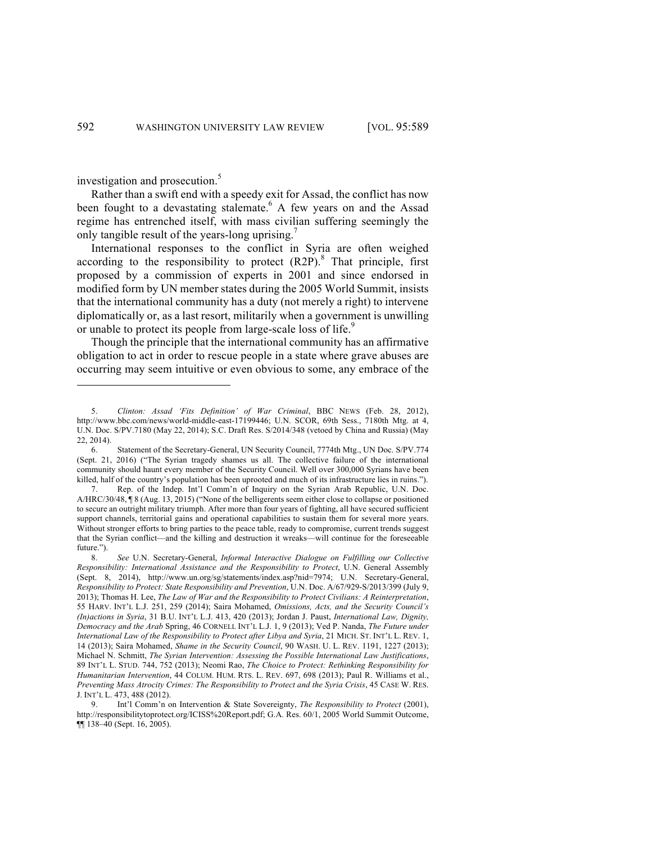investigation and prosecution.<sup>5</sup>

Rather than a swift end with a speedy exit for Assad, the conflict has now been fought to a devastating stalemate.<sup>6</sup> A few years on and the Assad regime has entrenched itself, with mass civilian suffering seemingly the only tangible result of the years-long uprising.<sup>7</sup>

International responses to the conflict in Syria are often weighed according to the responsibility to protect  $(R2P)$ .<sup>8</sup> That principle, first proposed by a commission of experts in 2001 and since endorsed in modified form by UN member states during the 2005 World Summit, insists that the international community has a duty (not merely a right) to intervene diplomatically or, as a last resort, militarily when a government is unwilling or unable to protect its people from large-scale loss of life.<sup>9</sup>

Though the principle that the international community has an affirmative obligation to act in order to rescue people in a state where grave abuses are occurring may seem intuitive or even obvious to some, any embrace of the

<sup>5.</sup> *Clinton: Assad 'Fits Definition' of War Criminal*, BBC NEWS (Feb. 28, 2012), http://www.bbc.com/news/world-middle-east-17199446; U.N. SCOR, 69th Sess., 7180th Mtg. at 4, U.N. Doc. S/PV.7180 (May 22, 2014); S.C. Draft Res. S/2014/348 (vetoed by China and Russia) (May 22, 2014).

<sup>6.</sup> Statement of the Secretary-General, UN Security Council, 7774th Mtg., UN Doc. S/PV.774 (Sept. 21, 2016) ("The Syrian tragedy shames us all. The collective failure of the international community should haunt every member of the Security Council. Well over 300,000 Syrians have been killed, half of the country's population has been uprooted and much of its infrastructure lies in ruins.").

<sup>7.</sup> Rep. of the Indep. Int'l Comm'n of Inquiry on the Syrian Arab Republic, U.N. Doc. A/HRC/30/48, ¶ 8 (Aug. 13, 2015) ("None of the belligerents seem either close to collapse or positioned to secure an outright military triumph. After more than four years of fighting, all have secured sufficient support channels, territorial gains and operational capabilities to sustain them for several more years. Without stronger efforts to bring parties to the peace table, ready to compromise, current trends suggest that the Syrian conflict—and the killing and destruction it wreaks—will continue for the foreseeable future.").

<sup>8.</sup> *See* U.N. Secretary-General, *Informal Interactive Dialogue on Fulfilling our Collective Responsibility: International Assistance and the Responsibility to Protect*, U.N. General Assembly (Sept. 8, 2014), http://www.un.org/sg/statements/index.asp?nid=7974; U.N. Secretary-General, *Responsibility to Protect: State Responsibility and Prevention*, U.N. Doc. A/67/929-S/2013/399 (July 9, 2013); Thomas H. Lee, *The Law of War and the Responsibility to Protect Civilians: A Reinterpretation*, 55 HARV. INT'L L.J. 251, 259 (2014); Saira Mohamed, *Omissions, Acts, and the Security Council's (In)actions in Syria*, 31 B.U. INT'L L.J. 413, 420 (2013); Jordan J. Paust, *International Law, Dignity, Democracy and the Arab* Spring, 46 CORNELL INT'L L.J. 1, 9 (2013); Ved P. Nanda, *The Future under International Law of the Responsibility to Protect after Libya and Syria*, 21 MICH. ST. INT'L L. REV. 1, 14 (2013); Saira Mohamed, *Shame in the Security Council*, 90 WASH. U. L. REV. 1191, 1227 (2013); Michael N. Schmitt, *The Syrian Intervention: Assessing the Possible International Law Justifications*, 89 INT'L L. STUD. 744, 752 (2013); Neomi Rao, *The Choice to Protect: Rethinking Responsibility for Humanitarian Intervention*, 44 COLUM. HUM. RTS. L. REV. 697, 698 (2013); Paul R. Williams et al., *Preventing Mass Atrocity Crimes: The Responsibility to Protect and the Syria Crisis*, 45 CASE W. RES. J. INT'L L. 473, 488 (2012).

<sup>9.</sup> Int'l Comm'n on Intervention & State Sovereignty, *The Responsibility to Protect* (2001), http://responsibilitytoprotect.org/ICISS%20Report.pdf; G.A. Res. 60/1, 2005 World Summit Outcome, ¶¶ 138–40 (Sept. 16, 2005).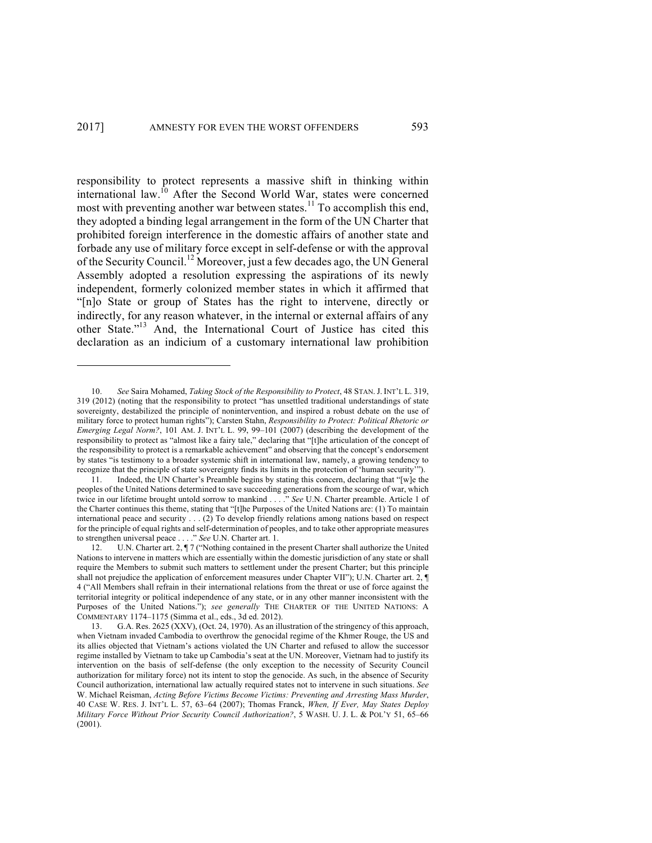responsibility to protect represents a massive shift in thinking within international law. <sup>10</sup> After the Second World War, states were concerned most with preventing another war between states.<sup>11</sup> To accomplish this end, they adopted a binding legal arrangement in the form of the UN Charter that prohibited foreign interference in the domestic affairs of another state and forbade any use of military force except in self-defense or with the approval of the Security Council.<sup>12</sup> Moreover, just a few decades ago, the UN General Assembly adopted a resolution expressing the aspirations of its newly independent, formerly colonized member states in which it affirmed that "[n]o State or group of States has the right to intervene, directly or indirectly, for any reason whatever, in the internal or external affairs of any other State."<sup>13</sup> And, the International Court of Justice has cited this declaration as an indicium of a customary international law prohibition

<sup>10.</sup> *See* Saira Mohamed, *Taking Stock of the Responsibility to Protect*, 48 STAN.J. INT'L L. 319, 319 (2012) (noting that the responsibility to protect "has unsettled traditional understandings of state sovereignty, destabilized the principle of nonintervention, and inspired a robust debate on the use of military force to protect human rights"); Carsten Stahn, *Responsibility to Protect: Political Rhetoric or Emerging Legal Norm?*, 101 AM. J. INT'L L. 99, 99–101 (2007) (describing the development of the responsibility to protect as "almost like a fairy tale," declaring that "[t]he articulation of the concept of the responsibility to protect is a remarkable achievement" and observing that the concept's endorsement by states "is testimony to a broader systemic shift in international law, namely, a growing tendency to recognize that the principle of state sovereignty finds its limits in the protection of 'human security'").

<sup>11.</sup> Indeed, the UN Charter's Preamble begins by stating this concern, declaring that "[w]e the peoples of the United Nations determined to save succeeding generations from the scourge of war, which twice in our lifetime brought untold sorrow to mankind . . . ." *See* U.N. Charter preamble. Article 1 of the Charter continues this theme, stating that "[t]he Purposes of the United Nations are: (1) To maintain international peace and security . . . (2) To develop friendly relations among nations based on respect for the principle of equal rights and self-determination of peoples, and to take other appropriate measures to strengthen universal peace . . . ." *See* U.N. Charter art. 1.

<sup>12.</sup> U.N. Charter art. 2, ¶ 7 ("Nothing contained in the present Charter shall authorize the United Nations to intervene in matters which are essentially within the domestic jurisdiction of any state or shall require the Members to submit such matters to settlement under the present Charter; but this principle shall not prejudice the application of enforcement measures under Chapter VII"); U.N. Charter art. 2,  $\P$ 4 ("All Members shall refrain in their international relations from the threat or use of force against the territorial integrity or political independence of any state, or in any other manner inconsistent with the Purposes of the United Nations."); *see generally* THE CHARTER OF THE UNITED NATIONS: A COMMENTARY 1174–1175 (Simma et al., eds., 3d ed. 2012).

<sup>13.</sup> G.A. Res. 2625 (XXV), (Oct. 24, 1970). As an illustration of the stringency of this approach, when Vietnam invaded Cambodia to overthrow the genocidal regime of the Khmer Rouge, the US and its allies objected that Vietnam's actions violated the UN Charter and refused to allow the successor regime installed by Vietnam to take up Cambodia's seat at the UN. Moreover, Vietnam had to justify its intervention on the basis of self-defense (the only exception to the necessity of Security Council authorization for military force) not its intent to stop the genocide. As such, in the absence of Security Council authorization, international law actually required states not to intervene in such situations. *See*  W. Michael Reisman, *Acting Before Victims Become Victims: Preventing and Arresting Mass Murder*, 40 CASE W. RES. J. INT'L L. 57, 63–64 (2007); Thomas Franck, *When, If Ever, May States Deploy Military Force Without Prior Security Council Authorization?*, 5 WASH. U. J. L. & POL'Y 51, 65–66 (2001).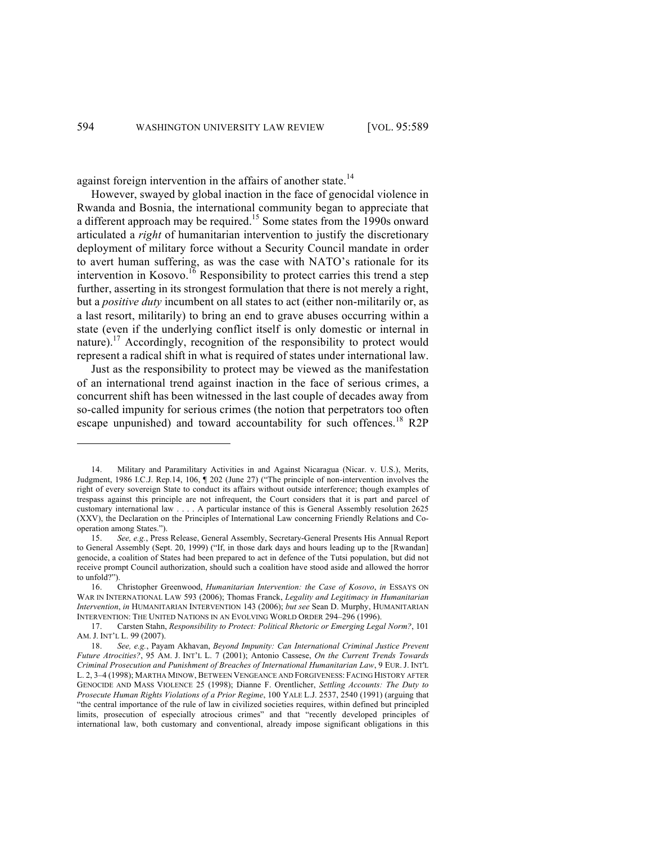against foreign intervention in the affairs of another state.<sup>14</sup>

However, swayed by global inaction in the face of genocidal violence in Rwanda and Bosnia, the international community began to appreciate that a different approach may be required.<sup>15</sup> Some states from the 1990s onward articulated a *right* of humanitarian intervention to justify the discretionary deployment of military force without a Security Council mandate in order to avert human suffering, as was the case with NATO's rationale for its intervention in Kosovo.<sup>16</sup> Responsibility to protect carries this trend a step further, asserting in its strongest formulation that there is not merely a right, but a *positive duty* incumbent on all states to act (either non-militarily or, as a last resort, militarily) to bring an end to grave abuses occurring within a state (even if the underlying conflict itself is only domestic or internal in nature).<sup>17</sup> Accordingly, recognition of the responsibility to protect would represent a radical shift in what is required of states under international law.

Just as the responsibility to protect may be viewed as the manifestation of an international trend against inaction in the face of serious crimes, a concurrent shift has been witnessed in the last couple of decades away from so-called impunity for serious crimes (the notion that perpetrators too often escape unpunished) and toward accountability for such offences.<sup>18</sup> R2P

<sup>14.</sup> Military and Paramilitary Activities in and Against Nicaragua (Nicar. v. U.S.), Merits, Judgment, 1986 I.C.J. Rep.14, 106, ¶ 202 (June 27) ("The principle of non-intervention involves the right of every sovereign State to conduct its affairs without outside interference; though examples of trespass against this principle are not infrequent, the Court considers that it is part and parcel of customary international law . . . . A particular instance of this is General Assembly resolution 2625 (XXV), the Declaration on the Principles of International Law concerning Friendly Relations and Cooperation among States.").

<sup>15.</sup> *See, e.g.*, Press Release, General Assembly, Secretary-General Presents His Annual Report to General Assembly (Sept. 20, 1999) ("If, in those dark days and hours leading up to the [Rwandan] genocide, a coalition of States had been prepared to act in defence of the Tutsi population, but did not receive prompt Council authorization, should such a coalition have stood aside and allowed the horror to unfold?").

<sup>16.</sup> Christopher Greenwood, *Humanitarian Intervention: the Case of Kosovo*, *in* ESSAYS ON WAR IN INTERNATIONAL LAW 593 (2006); Thomas Franck, *Legality and Legitimacy in Humanitarian Intervention*, *in* HUMANITARIAN INTERVENTION 143 (2006); *but see* Sean D. Murphy, HUMANITARIAN INTERVENTION: THE UNITED NATIONS IN AN EVOLVING WORLD ORDER 294–296 (1996).

<sup>17.</sup> Carsten Stahn, *Responsibility to Protect: Political Rhetoric or Emerging Legal Norm?*, 101 AM. J. INT'L L. 99 (2007).

<sup>18.</sup> *See, e.g.*, Payam Akhavan, *Beyond Impunity: Can International Criminal Justice Prevent Future Atrocities?*, 95 AM. J. INT'L L. 7 (2001); Antonio Cassese, *On the Current Trends Towards Criminal Prosecution and Punishment of Breaches of International Humanitarian Law*, 9 EUR. J. INT'L L. 2, 3–4 (1998); MARTHA MINOW, BETWEEN VENGEANCE AND FORGIVENESS: FACING HISTORY AFTER GENOCIDE AND MASS VIOLENCE 25 (1998); Dianne F. Orentlicher, *Settling Accounts: The Duty to Prosecute Human Rights Violations of a Prior Regime*, 100 YALE L.J. 2537, 2540 (1991) (arguing that "the central importance of the rule of law in civilized societies requires, within defined but principled limits, prosecution of especially atrocious crimes" and that "recently developed principles of international law, both customary and conventional, already impose significant obligations in this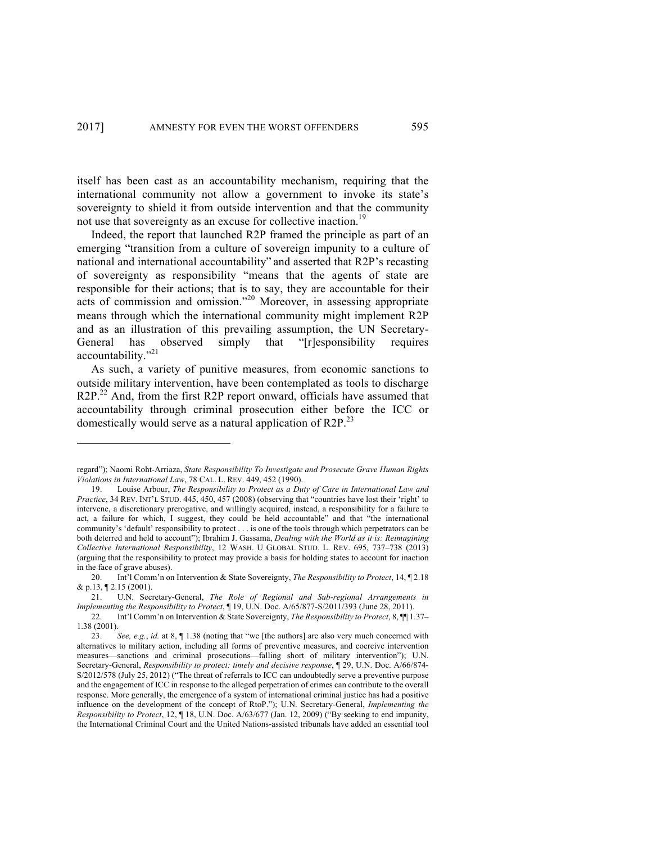itself has been cast as an accountability mechanism, requiring that the international community not allow a government to invoke its state's sovereignty to shield it from outside intervention and that the community not use that sovereignty as an excuse for collective inaction.<sup>19</sup>

Indeed, the report that launched R2P framed the principle as part of an emerging "transition from a culture of sovereign impunity to a culture of national and international accountability" and asserted that R2P's recasting of sovereignty as responsibility "means that the agents of state are responsible for their actions; that is to say, they are accountable for their acts of commission and omission."<sup>20</sup> Moreover, in assessing appropriate means through which the international community might implement R2P and as an illustration of this prevailing assumption, the UN Secretary-General has observed simply that "[r]esponsibility requires accountability."21

As such, a variety of punitive measures, from economic sanctions to outside military intervention, have been contemplated as tools to discharge R2P.<sup>22</sup> And, from the first R2P report onward, officials have assumed that accountability through criminal prosecution either before the ICC or domestically would serve as a natural application of R2P.<sup>23</sup>

regard"); Naomi Roht-Arriaza, *State Responsibility To Investigate and Prosecute Grave Human Rights Violations in International Law*, 78 CAL. L. REV. 449, 452 (1990).

<sup>19.</sup> Louise Arbour, *The Responsibility to Protect as a Duty of Care in International Law and Practice*, 34 REV. INT'L STUD. 445, 450, 457 (2008) (observing that "countries have lost their 'right' to intervene, a discretionary prerogative, and willingly acquired, instead, a responsibility for a failure to act, a failure for which, I suggest, they could be held accountable" and that "the international community's 'default' responsibility to protect . . . is one of the tools through which perpetrators can be both deterred and held to account"); Ibrahim J. Gassama, *Dealing with the World as it is: Reimagining Collective International Responsibility*, 12 WASH. U GLOBAL STUD. L. REV. 695, 737–738 (2013) (arguing that the responsibility to protect may provide a basis for holding states to account for inaction in the face of grave abuses).

<sup>20.</sup> Int'l Comm'n on Intervention & State Sovereignty, *The Responsibility to Protect*, 14, ¶ 2.18 & p.13, ¶ 2.15 (2001).

<sup>21.</sup> U.N. Secretary-General, *The Role of Regional and Sub-regional Arrangements in Implementing the Responsibility to Protect*, ¶ 19, U.N. Doc. A/65/877-S/2011/393 (June 28, 2011).

<sup>22.</sup> Int'l Comm'n on Intervention & State Sovereignty, *The Responsibility to Protect*, 8, ¶¶ 1.37– 1.38 (2001).

<sup>23.</sup> *See, e.g.*, *id.* at 8, ¶ 1.38 (noting that "we [the authors] are also very much concerned with alternatives to military action, including all forms of preventive measures, and coercive intervention measures—sanctions and criminal prosecutions—falling short of military intervention"); U.N. Secretary-General, *Responsibility to protect: timely and decisive response*, ¶ 29, U.N. Doc. A/66/874- S/2012/578 (July 25, 2012) ("The threat of referrals to ICC can undoubtedly serve a preventive purpose and the engagement of ICC in response to the alleged perpetration of crimes can contribute to the overall response. More generally, the emergence of a system of international criminal justice has had a positive influence on the development of the concept of RtoP."); U.N. Secretary-General, *Implementing the Responsibility to Protect*, 12, ¶ 18, U.N. Doc. A/63/677 (Jan. 12, 2009) ("By seeking to end impunity, the International Criminal Court and the United Nations-assisted tribunals have added an essential tool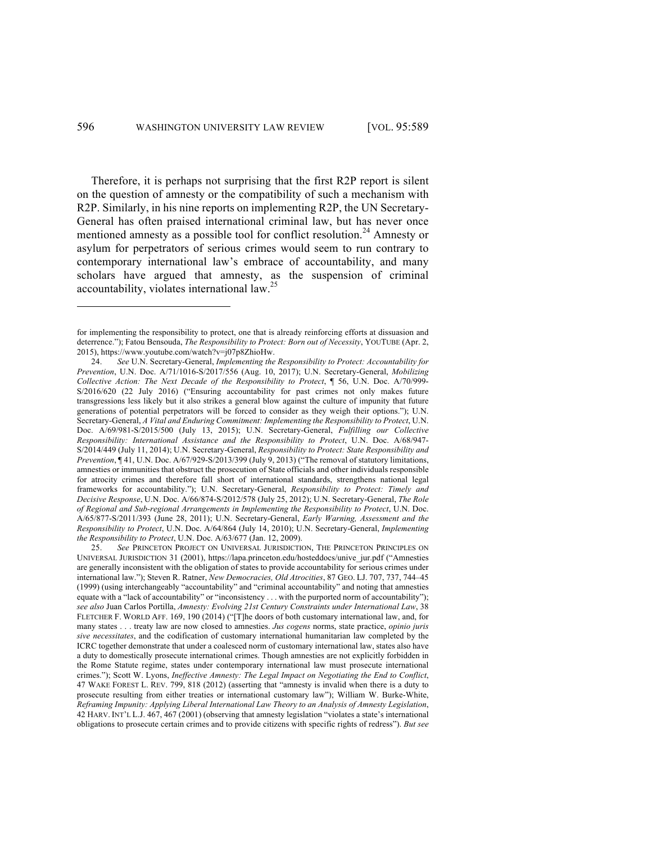Therefore, it is perhaps not surprising that the first R2P report is silent on the question of amnesty or the compatibility of such a mechanism with R2P. Similarly, in his nine reports on implementing R2P, the UN Secretary-General has often praised international criminal law, but has never once mentioned amnesty as a possible tool for conflict resolution.<sup>24</sup> Amnesty or asylum for perpetrators of serious crimes would seem to run contrary to contemporary international law's embrace of accountability, and many scholars have argued that amnesty, as the suspension of criminal accountability, violates international law.<sup>25</sup>

25. *See* PRINCETON PROJECT ON UNIVERSAL JURISDICTION, THE PRINCETON PRINCIPLES ON UNIVERSAL JURISDICTION 31 (2001), https://lapa.princeton.edu/hosteddocs/unive\_jur.pdf ("Amnesties are generally inconsistent with the obligation of states to provide accountability for serious crimes under international law."); Steven R. Ratner, *New Democracies, Old Atrocities*, 87 GEO. LJ. 707, 737, 744–45 (1999) (using interchangeably "accountability" and "criminal accountability" and noting that amnesties equate with a "lack of accountability" or "inconsistency . . . with the purported norm of accountability"); *see also* Juan Carlos Portilla, *Amnesty: Evolving 21st Century Constraints under International Law*, 38 FLETCHER F. WORLD AFF. 169, 190 (2014) ("[T]he doors of both customary international law, and, for many states . . . treaty law are now closed to amnesties. *Jus cogens* norms, state practice, *opinio juris sive necessitates*, and the codification of customary international humanitarian law completed by the ICRC together demonstrate that under a coalesced norm of customary international law, states also have a duty to domestically prosecute international crimes. Though amnesties are not explicitly forbidden in the Rome Statute regime, states under contemporary international law must prosecute international crimes."); Scott W. Lyons, *Ineffective Amnesty: The Legal Impact on Negotiating the End to Conflict*, 47 WAKE FOREST L. REV. 799, 818 (2012) (asserting that "amnesty is invalid when there is a duty to prosecute resulting from either treaties or international customary law"); William W. Burke-White, *Reframing Impunity: Applying Liberal International Law Theory to an Analysis of Amnesty Legislation*, 42 HARV. INT'L L.J. 467, 467 (2001) (observing that amnesty legislation "violates a state's international obligations to prosecute certain crimes and to provide citizens with specific rights of redress"). *But see*

for implementing the responsibility to protect, one that is already reinforcing efforts at dissuasion and deterrence."); Fatou Bensouda, *The Responsibility to Protect: Born out of Necessity*, YOUTUBE (Apr. 2, 2015), https://www.youtube.com/watch?v=j07p8ZhioHw.

<sup>24.</sup> *See* U.N. Secretary-General, *Implementing the Responsibility to Protect: Accountability for Prevention*, U.N. Doc. A/71/1016-S/2017/556 (Aug. 10, 2017); U.N. Secretary-General, *Mobilizing Collective Action: The Next Decade of the Responsibility to Protect*, ¶ 56, U.N. Doc. A/70/999- S/2016/620 (22 July 2016) ("Ensuring accountability for past crimes not only makes future transgressions less likely but it also strikes a general blow against the culture of impunity that future generations of potential perpetrators will be forced to consider as they weigh their options."); U.N. Secretary-General, *A Vital and Enduring Commitment: Implementing the Responsibility to Protect*, U.N. Doc. A/69/981-S/2015/500 (July 13, 2015); U.N. Secretary-General, *Fulfilling our Collective Responsibility: International Assistance and the Responsibility to Protect*, U.N. Doc. A/68/947- S/2014/449 (July 11, 2014); U.N. Secretary-General, *Responsibility to Protect: State Responsibility and Prevention*, ¶ 41, U.N. Doc. A/67/929-S/2013/399 (July 9, 2013) ("The removal of statutory limitations, amnesties or immunities that obstruct the prosecution of State officials and other individuals responsible for atrocity crimes and therefore fall short of international standards, strengthens national legal frameworks for accountability."); U.N. Secretary-General, *Responsibility to Protect: Timely and Decisive Response*, U.N. Doc. A/66/874-S/2012/578 (July 25, 2012); U.N. Secretary-General, *The Role of Regional and Sub-regional Arrangements in Implementing the Responsibility to Protect*, U.N. Doc. A/65/877-S/2011/393 (June 28, 2011); U.N. Secretary-General, *Early Warning, Assessment and the Responsibility to Protect*, U.N. Doc. A/64/864 (July 14, 2010); U.N. Secretary-General, *Implementing the Responsibility to Protect*, U.N. Doc. A/63/677 (Jan. 12, 2009).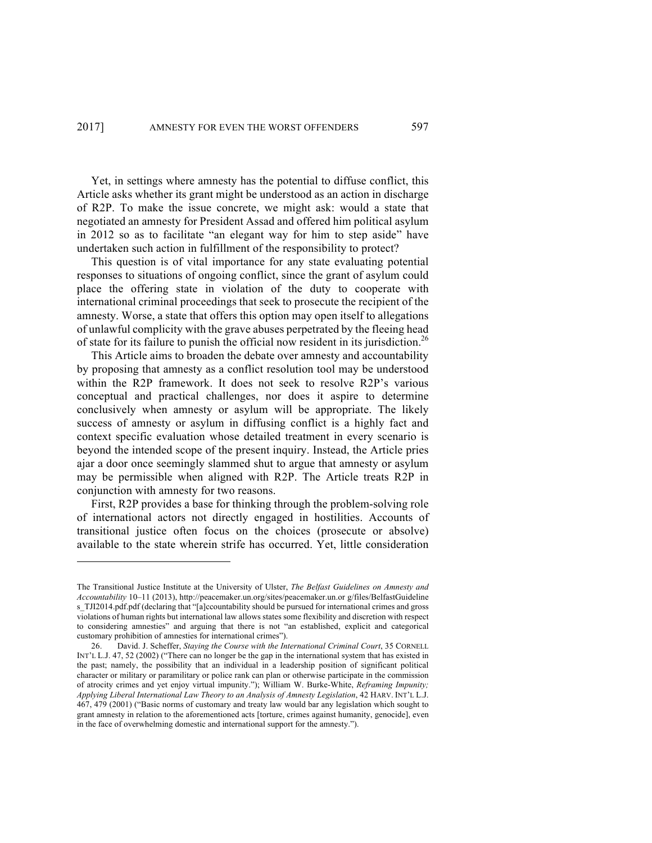Yet, in settings where amnesty has the potential to diffuse conflict, this Article asks whether its grant might be understood as an action in discharge of R2P. To make the issue concrete, we might ask: would a state that negotiated an amnesty for President Assad and offered him political asylum in 2012 so as to facilitate "an elegant way for him to step aside" have undertaken such action in fulfillment of the responsibility to protect?

This question is of vital importance for any state evaluating potential responses to situations of ongoing conflict, since the grant of asylum could place the offering state in violation of the duty to cooperate with international criminal proceedings that seek to prosecute the recipient of the amnesty. Worse, a state that offers this option may open itself to allegations of unlawful complicity with the grave abuses perpetrated by the fleeing head of state for its failure to punish the official now resident in its jurisdiction.<sup>26</sup>

This Article aims to broaden the debate over amnesty and accountability by proposing that amnesty as a conflict resolution tool may be understood within the R2P framework. It does not seek to resolve R2P's various conceptual and practical challenges, nor does it aspire to determine conclusively when amnesty or asylum will be appropriate. The likely success of amnesty or asylum in diffusing conflict is a highly fact and context specific evaluation whose detailed treatment in every scenario is beyond the intended scope of the present inquiry. Instead, the Article pries ajar a door once seemingly slammed shut to argue that amnesty or asylum may be permissible when aligned with R2P. The Article treats R2P in conjunction with amnesty for two reasons.

First, R2P provides a base for thinking through the problem-solving role of international actors not directly engaged in hostilities. Accounts of transitional justice often focus on the choices (prosecute or absolve) available to the state wherein strife has occurred. Yet, little consideration

The Transitional Justice Institute at the University of Ulster, *The Belfast Guidelines on Amnesty and Accountability* 10–11 (2013), http://peacemaker.un.org/sites/peacemaker.un.or g/files/BelfastGuideline s TJI2014.pdf.pdf (declaring that "[a]ccountability should be pursued for international crimes and gross violations of human rights but international law allows states some flexibility and discretion with respect to considering amnesties" and arguing that there is not "an established, explicit and categorical customary prohibition of amnesties for international crimes").

<sup>26.</sup> David. J. Scheffer, *Staying the Course with the International Criminal Court*, 35 CORNELL INT'L L.J. 47, 52 (2002) ("There can no longer be the gap in the international system that has existed in the past; namely, the possibility that an individual in a leadership position of significant political character or military or paramilitary or police rank can plan or otherwise participate in the commission of atrocity crimes and yet enjoy virtual impunity."); William W. Burke-White, *Reframing Impunity; Applying Liberal International Law Theory to an Analysis of Amnesty Legislation*, 42 HARV. INT'L L.J. 467, 479 (2001) ("Basic norms of customary and treaty law would bar any legislation which sought to grant amnesty in relation to the aforementioned acts [torture, crimes against humanity, genocide], even in the face of overwhelming domestic and international support for the amnesty.").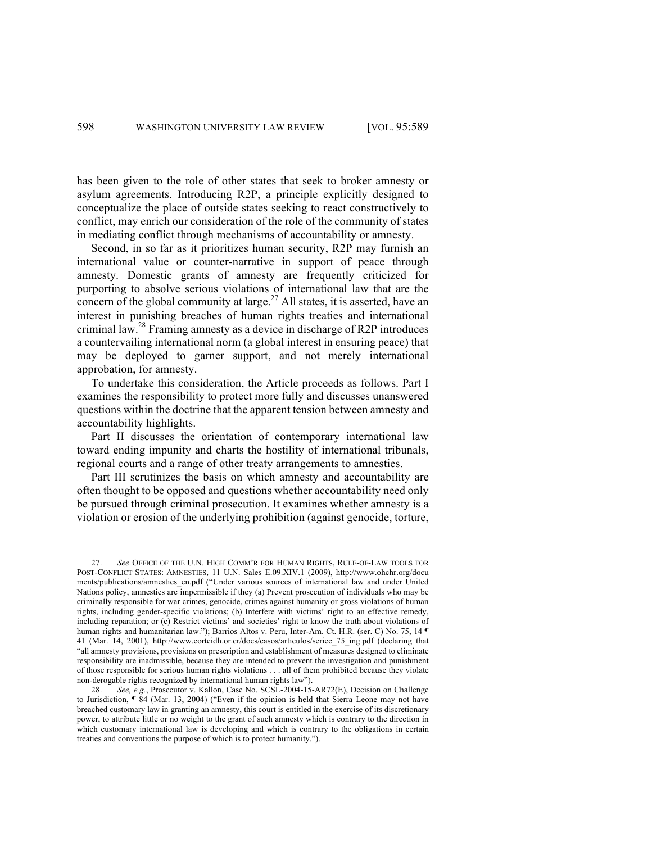has been given to the role of other states that seek to broker amnesty or asylum agreements. Introducing R2P, a principle explicitly designed to conceptualize the place of outside states seeking to react constructively to conflict, may enrich our consideration of the role of the community of states in mediating conflict through mechanisms of accountability or amnesty.

Second, in so far as it prioritizes human security, R2P may furnish an international value or counter-narrative in support of peace through amnesty. Domestic grants of amnesty are frequently criticized for purporting to absolve serious violations of international law that are the concern of the global community at large.<sup>27</sup> All states, it is asserted, have an interest in punishing breaches of human rights treaties and international criminal law.28 Framing amnesty as a device in discharge of R2P introduces a countervailing international norm (a global interest in ensuring peace) that may be deployed to garner support, and not merely international approbation, for amnesty.

To undertake this consideration, the Article proceeds as follows. Part I examines the responsibility to protect more fully and discusses unanswered questions within the doctrine that the apparent tension between amnesty and accountability highlights.

Part II discusses the orientation of contemporary international law toward ending impunity and charts the hostility of international tribunals, regional courts and a range of other treaty arrangements to amnesties.

Part III scrutinizes the basis on which amnesty and accountability are often thought to be opposed and questions whether accountability need only be pursued through criminal prosecution. It examines whether amnesty is a violation or erosion of the underlying prohibition (against genocide, torture,

<sup>27.</sup> *See* OFFICE OF THE U.N. HIGH COMM'R FOR HUMAN RIGHTS, RULE-OF-LAW TOOLS FOR POST-CONFLICT STATES: AMNESTIES, 11 U.N. Sales E.09.XIV.1 (2009), http://www.ohchr.org/docu ments/publications/amnesties\_en.pdf ("Under various sources of international law and under United Nations policy, amnesties are impermissible if they (a) Prevent prosecution of individuals who may be criminally responsible for war crimes, genocide, crimes against humanity or gross violations of human rights, including gender-specific violations; (b) Interfere with victims' right to an effective remedy, including reparation; or (c) Restrict victims' and societies' right to know the truth about violations of human rights and humanitarian law."); Barrios Altos v. Peru, Inter-Am. Ct. H.R. (ser. C) No. 75, 14 ¶ 41 (Mar. 14, 2001), http://www.corteidh.or.cr/docs/casos/articulos/seriec\_75\_ing.pdf (declaring that "all amnesty provisions, provisions on prescription and establishment of measures designed to eliminate responsibility are inadmissible, because they are intended to prevent the investigation and punishment of those responsible for serious human rights violations . . . all of them prohibited because they violate non-derogable rights recognized by international human rights law").

<sup>28.</sup> *See, e.g.*, Prosecutor v. Kallon, Case No. SCSL-2004-15-AR72(E), Decision on Challenge to Jurisdiction, ¶ 84 (Mar. 13, 2004) ("Even if the opinion is held that Sierra Leone may not have breached customary law in granting an amnesty, this court is entitled in the exercise of its discretionary power, to attribute little or no weight to the grant of such amnesty which is contrary to the direction in which customary international law is developing and which is contrary to the obligations in certain treaties and conventions the purpose of which is to protect humanity.").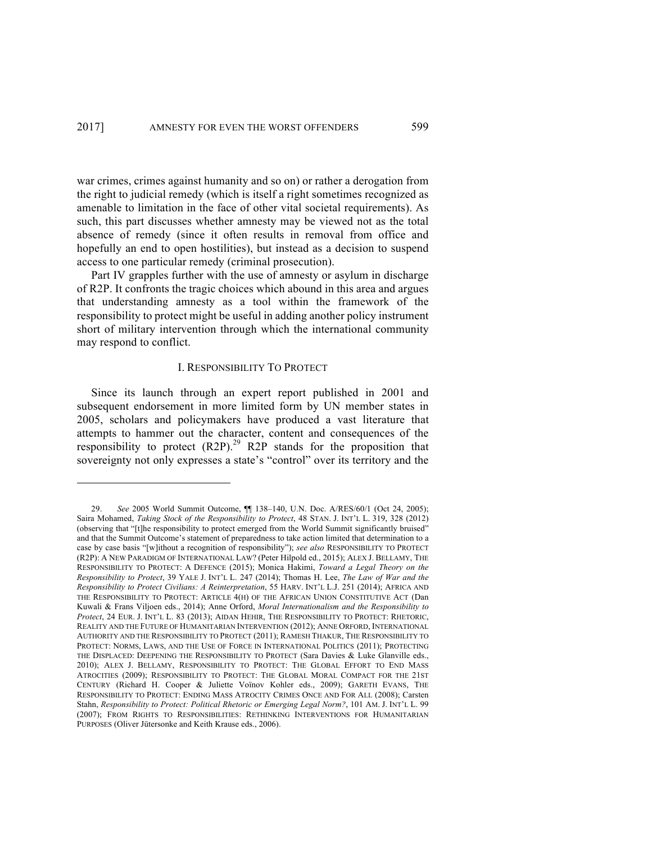war crimes, crimes against humanity and so on) or rather a derogation from the right to judicial remedy (which is itself a right sometimes recognized as amenable to limitation in the face of other vital societal requirements). As such, this part discusses whether amnesty may be viewed not as the total absence of remedy (since it often results in removal from office and hopefully an end to open hostilities), but instead as a decision to suspend access to one particular remedy (criminal prosecution).

Part IV grapples further with the use of amnesty or asylum in discharge of R2P. It confronts the tragic choices which abound in this area and argues that understanding amnesty as a tool within the framework of the responsibility to protect might be useful in adding another policy instrument short of military intervention through which the international community may respond to conflict.

## I. RESPONSIBILITY TO PROTECT

Since its launch through an expert report published in 2001 and subsequent endorsement in more limited form by UN member states in 2005, scholars and policymakers have produced a vast literature that attempts to hammer out the character, content and consequences of the responsibility to protect  $(R2P)$ .<sup>29</sup> R2P stands for the proposition that sovereignty not only expresses a state's "control" over its territory and the

<sup>29.</sup> *See* 2005 World Summit Outcome, ¶¶ 138–140, U.N. Doc. A/RES/60/1 (Oct 24, 2005); Saira Mohamed, *Taking Stock of the Responsibility to Protect*, 48 STAN. J. INT'L L. 319, 328 (2012) (observing that "[t]he responsibility to protect emerged from the World Summit significantly bruised" and that the Summit Outcome's statement of preparedness to take action limited that determination to a case by case basis "[w]ithout a recognition of responsibility"); *see also* RESPONSIBILITY TO PROTECT (R2P): A NEW PARADIGM OF INTERNATIONAL LAW? (Peter Hilpold ed., 2015); ALEX J. BELLAMY, THE RESPONSIBILITY TO PROTECT: A DEFENCE (2015); Monica Hakimi, *Toward a Legal Theory on the Responsibility to Protect*, 39 YALE J. INT'L L. 247 (2014); Thomas H. Lee, *The Law of War and the Responsibility to Protect Civilians: A Reinterpretation*, 55 HARV. INT'L L.J. 251 (2014); AFRICA AND THE RESPONSIBILITY TO PROTECT: ARTICLE 4(H) OF THE AFRICAN UNION CONSTITUTIVE ACT (Dan Kuwali & Frans Viljoen eds., 2014); Anne Orford, *Moral Internationalism and the Responsibility to Protect*, 24 EUR. J. INT'L L. 83 (2013); AIDAN HEHIR, THE RESPONSIBILITY TO PROTECT: RHETORIC, REALITY AND THE FUTURE OF HUMANITARIAN INTERVENTION (2012); ANNE ORFORD, INTERNATIONAL AUTHORITY AND THE RESPONSIBILITY TO PROTECT (2011); RAMESH THAKUR, THE RESPONSIBILITY TO PROTECT: NORMS, LAWS, AND THE USE OF FORCE IN INTERNATIONAL POLITICS (2011); PROTECTING THE DISPLACED: DEEPENING THE RESPONSIBILITY TO PROTECT (Sara Davies & Luke Glanville eds., 2010); ALEX J. BELLAMY, RESPONSIBILITY TO PROTECT: THE GLOBAL EFFORT TO END MASS ATROCITIES (2009); RESPONSIBILITY TO PROTECT: THE GLOBAL MORAL COMPACT FOR THE 21ST CENTURY (Richard H. Cooper & Juliette Voïnov Kohler eds., 2009); GARETH EVANS, THE RESPONSIBILITY TO PROTECT: ENDING MASS ATROCITY CRIMES ONCE AND FOR ALL (2008); Carsten Stahn, *Responsibility to Protect: Political Rhetoric or Emerging Legal Norm?*, 101 AM. J. INT'L L. 99 (2007); FROM RIGHTS TO RESPONSIBILITIES: RETHINKING INTERVENTIONS FOR HUMANITARIAN PURPOSES (Oliver Jütersonke and Keith Krause eds., 2006).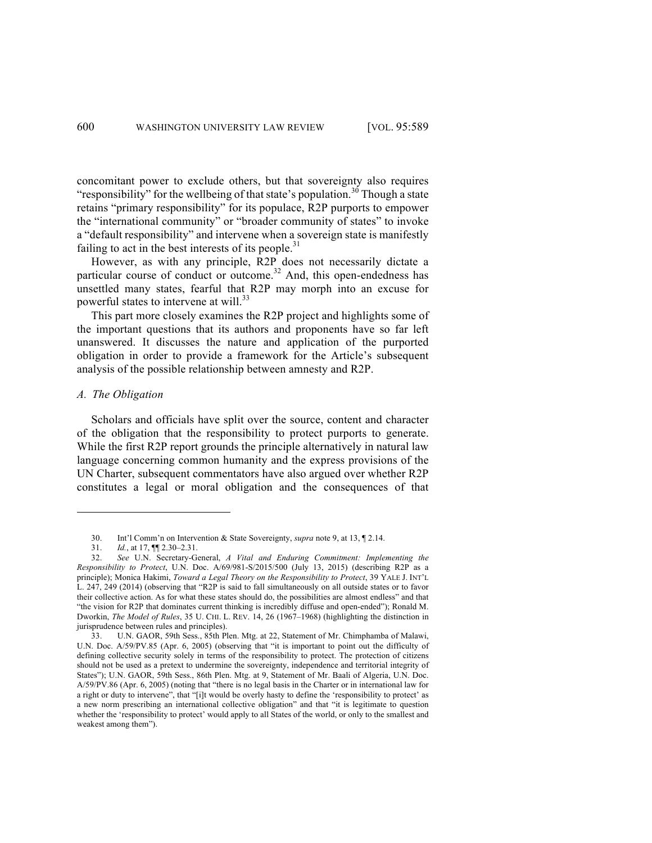concomitant power to exclude others, but that sovereignty also requires "responsibility" for the wellbeing of that state's population.<sup>30</sup> Though a state retains "primary responsibility" for its populace, R2P purports to empower the "international community" or "broader community of states" to invoke a "default responsibility" and intervene when a sovereign state is manifestly failing to act in the best interests of its people. $31$ 

However, as with any principle, R2P does not necessarily dictate a particular course of conduct or outcome.<sup>32</sup> And, this open-endedness has unsettled many states, fearful that R2P may morph into an excuse for powerful states to intervene at will.<sup>33</sup>

This part more closely examines the R2P project and highlights some of the important questions that its authors and proponents have so far left unanswered. It discusses the nature and application of the purported obligation in order to provide a framework for the Article's subsequent analysis of the possible relationship between amnesty and R2P.

## *A. The Obligation*

1

Scholars and officials have split over the source, content and character of the obligation that the responsibility to protect purports to generate. While the first R2P report grounds the principle alternatively in natural law language concerning common humanity and the express provisions of the UN Charter, subsequent commentators have also argued over whether R2P constitutes a legal or moral obligation and the consequences of that

<sup>30.</sup> Int'l Comm'n on Intervention & State Sovereignty, *supra* note 9, at 13, ¶ 2.14.

<sup>31.</sup> *Id.*, at 17, ¶¶ 2.30–2.31.

<sup>32.</sup> *See* U.N. Secretary-General, *A Vital and Enduring Commitment: Implementing the Responsibility to Protect*, U.N. Doc. A/69/981-S/2015/500 (July 13, 2015) (describing R2P as a principle); Monica Hakimi, *Toward a Legal Theory on the Responsibility to Protect*, 39 YALE J. INT'L L. 247, 249 (2014) (observing that "R2P is said to fall simultaneously on all outside states or to favor their collective action. As for what these states should do, the possibilities are almost endless" and that "the vision for R2P that dominates current thinking is incredibly diffuse and open-ended"); Ronald M. Dworkin, *The Model of Rules*, 35 U. CHI. L. REV. 14, 26 (1967–1968) (highlighting the distinction in jurisprudence between rules and principles).

<sup>33.</sup> U.N. GAOR, 59th Sess., 85th Plen. Mtg. at 22, Statement of Mr. Chimphamba of Malawi, U.N. Doc. A/59/PV.85 (Apr. 6, 2005) (observing that "it is important to point out the difficulty of defining collective security solely in terms of the responsibility to protect. The protection of citizens should not be used as a pretext to undermine the sovereignty, independence and territorial integrity of States"); U.N. GAOR, 59th Sess., 86th Plen. Mtg. at 9, Statement of Mr. Baali of Algeria, U.N. Doc. A/59/PV.86 (Apr. 6, 2005) (noting that "there is no legal basis in the Charter or in international law for a right or duty to intervene", that "[i]t would be overly hasty to define the 'responsibility to protect' as a new norm prescribing an international collective obligation" and that "it is legitimate to question whether the 'responsibility to protect' would apply to all States of the world, or only to the smallest and weakest among them").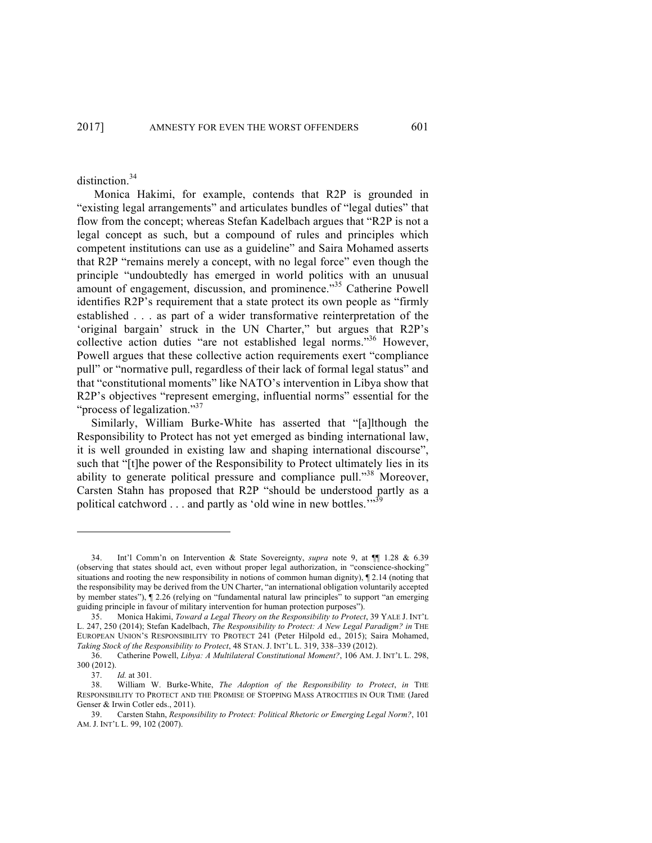distinction.<sup>34</sup>

Monica Hakimi, for example, contends that R2P is grounded in "existing legal arrangements" and articulates bundles of "legal duties" that flow from the concept; whereas Stefan Kadelbach argues that "R2P is not a legal concept as such, but a compound of rules and principles which competent institutions can use as a guideline" and Saira Mohamed asserts that R2P "remains merely a concept, with no legal force" even though the principle "undoubtedly has emerged in world politics with an unusual amount of engagement, discussion, and prominence."<sup>35</sup> Catherine Powell identifies R2P's requirement that a state protect its own people as "firmly established . . . as part of a wider transformative reinterpretation of the 'original bargain' struck in the UN Charter," but argues that R2P's collective action duties "are not established legal norms."<sup>36</sup> However, Powell argues that these collective action requirements exert "compliance pull" or "normative pull, regardless of their lack of formal legal status" and that "constitutional moments" like NATO's intervention in Libya show that R2P's objectives "represent emerging, influential norms" essential for the "process of legalization."<sup>37</sup>

Similarly, William Burke-White has asserted that "[a]lthough the Responsibility to Protect has not yet emerged as binding international law, it is well grounded in existing law and shaping international discourse", such that "[t]he power of the Responsibility to Protect ultimately lies in its ability to generate political pressure and compliance pull."<sup>38</sup> Moreover, Carsten Stahn has proposed that R2P "should be understood partly as a political catchword . . . and partly as 'old wine in new bottles."<sup>3</sup>

<sup>34.</sup> Int'l Comm'n on Intervention & State Sovereignty, *supra* note 9, at ¶¶ 1.28 & 6.39 (observing that states should act, even without proper legal authorization, in "conscience-shocking" situations and rooting the new responsibility in notions of common human dignity), ¶ 2.14 (noting that the responsibility may be derived from the UN Charter, "an international obligation voluntarily accepted by member states"), ¶ 2.26 (relying on "fundamental natural law principles" to support "an emerging guiding principle in favour of military intervention for human protection purposes").

<sup>35.</sup> Monica Hakimi, *Toward a Legal Theory on the Responsibility to Protect*, 39 YALE J. INT'L L. 247, 250 (2014); Stefan Kadelbach, *The Responsibility to Protect: A New Legal Paradigm? in* THE EUROPEAN UNION'S RESPONSIBILITY TO PROTECT 241 (Peter Hilpold ed., 2015); Saira Mohamed, *Taking Stock of the Responsibility to Protect*, 48 STAN. J. INT'L L. 319, 338–339 (2012).

<sup>36.</sup> Catherine Powell, *Libya: A Multilateral Constitutional Moment?*, 106 AM. J. INT'L L. 298, 300 (2012).

<sup>37.</sup> *Id.* at 301.

<sup>38.</sup> William W. Burke-White, *The Adoption of the Responsibility to Protect*, *in* THE RESPONSIBILITY TO PROTECT AND THE PROMISE OF STOPPING MASS ATROCITIES IN OUR TIME (Jared Genser & Irwin Cotler eds., 2011).

<sup>39.</sup> Carsten Stahn, *Responsibility to Protect: Political Rhetoric or Emerging Legal Norm?*, 101 AM. J. INT'L L. 99, 102 (2007).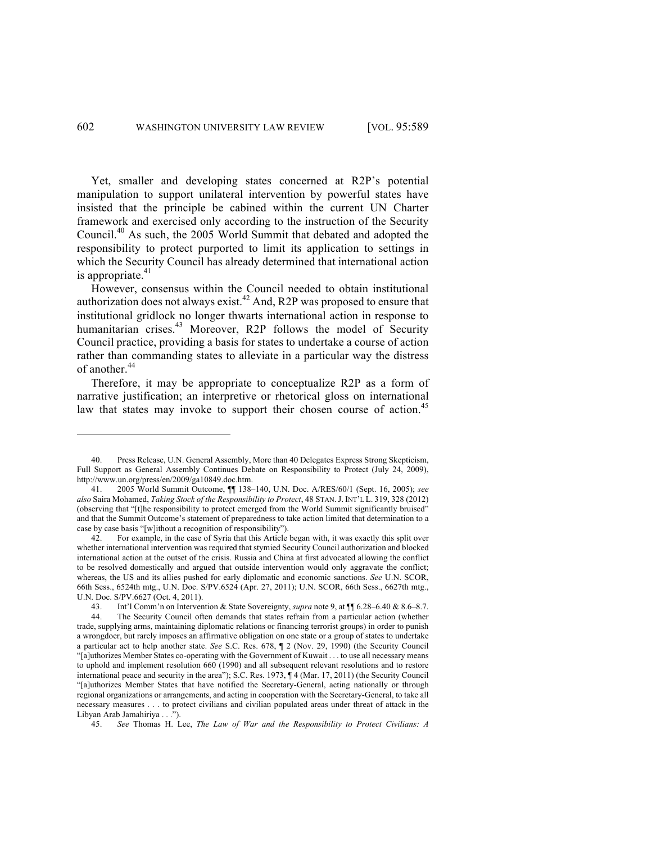Yet, smaller and developing states concerned at R2P's potential manipulation to support unilateral intervention by powerful states have insisted that the principle be cabined within the current UN Charter framework and exercised only according to the instruction of the Security Council.<sup>40</sup> As such, the 2005 World Summit that debated and adopted the responsibility to protect purported to limit its application to settings in which the Security Council has already determined that international action is appropriate.<sup>41</sup>

However, consensus within the Council needed to obtain institutional authorization does not always exist.<sup>42</sup> And, R2P was proposed to ensure that institutional gridlock no longer thwarts international action in response to humanitarian crises.<sup>43</sup> Moreover, R2P follows the model of Security Council practice, providing a basis for states to undertake a course of action rather than commanding states to alleviate in a particular way the distress of another. 44

Therefore, it may be appropriate to conceptualize R2P as a form of narrative justification; an interpretive or rhetorical gloss on international law that states may invoke to support their chosen course of action.<sup>45</sup>

<sup>40.</sup> Press Release, U.N. General Assembly, More than 40 Delegates Express Strong Skepticism, Full Support as General Assembly Continues Debate on Responsibility to Protect (July 24, 2009), http://www.un.org/press/en/2009/ga10849.doc.htm.

<sup>41.</sup> 2005 World Summit Outcome, ¶¶ 138–140, U.N. Doc. A/RES/60/1 (Sept. 16, 2005); *see also* Saira Mohamed, *Taking Stock of the Responsibility to Protect*, 48 STAN.J. INT'L L. 319, 328 (2012) (observing that "[t]he responsibility to protect emerged from the World Summit significantly bruised" and that the Summit Outcome's statement of preparedness to take action limited that determination to a case by case basis "[w]ithout a recognition of responsibility").

<sup>42.</sup> For example, in the case of Syria that this Article began with, it was exactly this split over whether international intervention was required that stymied Security Council authorization and blocked international action at the outset of the crisis. Russia and China at first advocated allowing the conflict to be resolved domestically and argued that outside intervention would only aggravate the conflict; whereas, the US and its allies pushed for early diplomatic and economic sanctions. *See* U.N. SCOR, 66th Sess., 6524th mtg., U.N. Doc. S/PV.6524 (Apr. 27, 2011); U.N. SCOR, 66th Sess., 6627th mtg., U.N. Doc. S/PV.6627 (Oct. 4, 2011).

<sup>43.</sup> Int'l Comm'n on Intervention & State Sovereignty, *supra* note 9, at ¶¶ 6.28–6.40 & 8.6–8.7.

<sup>44.</sup> The Security Council often demands that states refrain from a particular action (whether trade, supplying arms, maintaining diplomatic relations or financing terrorist groups) in order to punish a wrongdoer, but rarely imposes an affirmative obligation on one state or a group of states to undertake a particular act to help another state. *See* S.C. Res. 678, ¶ 2 (Nov. 29, 1990) (the Security Council "[a]uthorizes Member States co-operating with the Government of Kuwait . . . to use all necessary means to uphold and implement resolution 660 (1990) and all subsequent relevant resolutions and to restore international peace and security in the area"); S.C. Res. 1973, ¶ 4 (Mar. 17, 2011) (the Security Council "[a]uthorizes Member States that have notified the Secretary-General, acting nationally or through regional organizations or arrangements, and acting in cooperation with the Secretary-General, to take all necessary measures . . . to protect civilians and civilian populated areas under threat of attack in the Libyan Arab Jamahiriya . . .").

<sup>45.</sup> *See* Thomas H. Lee, *The Law of War and the Responsibility to Protect Civilians: A*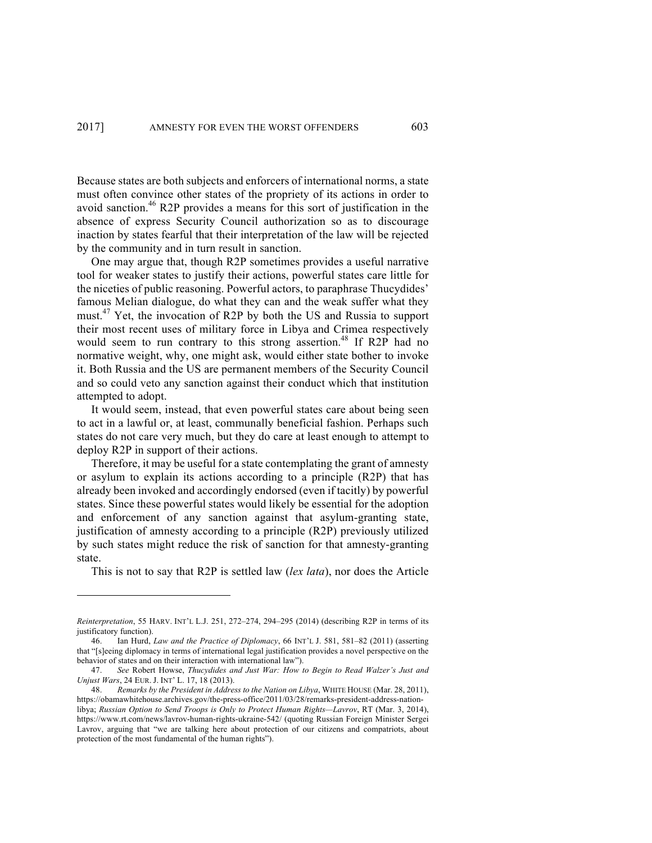Because states are both subjects and enforcers of international norms, a state must often convince other states of the propriety of its actions in order to avoid sanction.<sup>46</sup> R2P provides a means for this sort of justification in the absence of express Security Council authorization so as to discourage inaction by states fearful that their interpretation of the law will be rejected by the community and in turn result in sanction.

One may argue that, though R2P sometimes provides a useful narrative tool for weaker states to justify their actions, powerful states care little for the niceties of public reasoning. Powerful actors, to paraphrase Thucydides' famous Melian dialogue, do what they can and the weak suffer what they must.<sup>47</sup> Yet, the invocation of R2P by both the US and Russia to support their most recent uses of military force in Libya and Crimea respectively would seem to run contrary to this strong assertion.<sup>48</sup> If R2P had no normative weight, why, one might ask, would either state bother to invoke it. Both Russia and the US are permanent members of the Security Council and so could veto any sanction against their conduct which that institution attempted to adopt.

It would seem, instead, that even powerful states care about being seen to act in a lawful or, at least, communally beneficial fashion. Perhaps such states do not care very much, but they do care at least enough to attempt to deploy R2P in support of their actions.

Therefore, it may be useful for a state contemplating the grant of amnesty or asylum to explain its actions according to a principle (R2P) that has already been invoked and accordingly endorsed (even if tacitly) by powerful states. Since these powerful states would likely be essential for the adoption and enforcement of any sanction against that asylum-granting state, justification of amnesty according to a principle (R2P) previously utilized by such states might reduce the risk of sanction for that amnesty-granting state.

This is not to say that R2P is settled law (*lex lata*), nor does the Article

*Reinterpretation*, 55 HARV. INT'L L.J. 251, 272–274, 294–295 (2014) (describing R2P in terms of its justificatory function).

<sup>46.</sup> Ian Hurd, *Law and the Practice of Diplomacy*, 66 INT'L J. 581, 581–82 (2011) (asserting that "[s]eeing diplomacy in terms of international legal justification provides a novel perspective on the behavior of states and on their interaction with international law").

<sup>47.</sup> *See* Robert Howse, *Thucydides and Just War: How to Begin to Read Walzer's Just and Unjust Wars*, 24 EUR. J. INT' L. 17, 18 (2013).

<sup>48.</sup> *Remarks by the President in Address to the Nation on Libya*, WHITE HOUSE (Mar. 28, 2011), https://obamawhitehouse.archives.gov/the-press-office/2011/03/28/remarks-president-address-nationlibya; *Russian Option to Send Troops is Only to Protect Human Rights—Lavrov*, RT (Mar. 3, 2014), https://www.rt.com/news/lavrov-human-rights-ukraine-542/ (quoting Russian Foreign Minister Sergei Lavrov, arguing that "we are talking here about protection of our citizens and compatriots, about protection of the most fundamental of the human rights").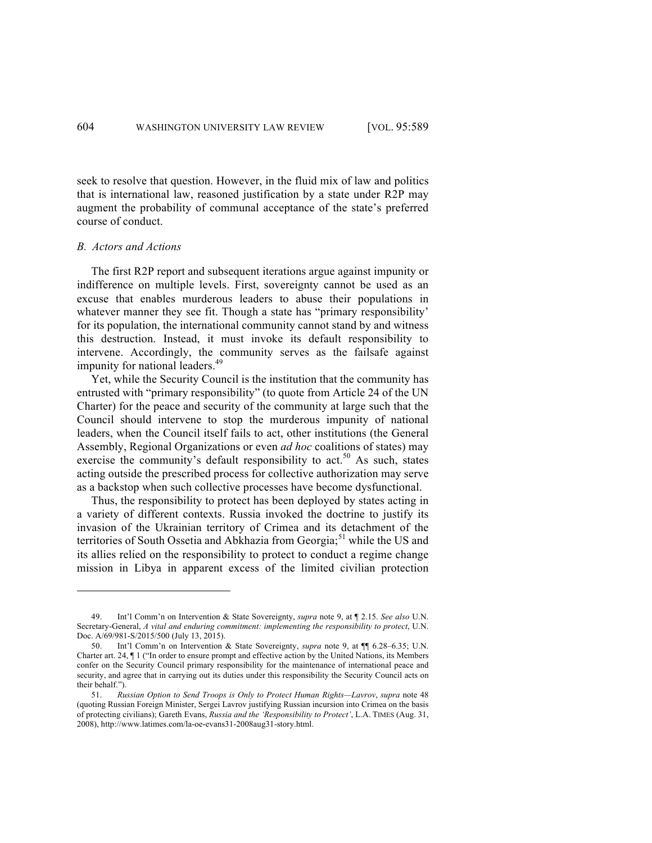seek to resolve that question. However, in the fluid mix of law and politics that is international law, reasoned justification by a state under R2P may augment the probability of communal acceptance of the state's preferred course of conduct.

#### *B. Actors and Actions*

The first R2P report and subsequent iterations argue against impunity or indifference on multiple levels. First, sovereignty cannot be used as an excuse that enables murderous leaders to abuse their populations in whatever manner they see fit. Though a state has "primary responsibility' for its population, the international community cannot stand by and witness this destruction. Instead, it must invoke its default responsibility to intervene. Accordingly, the community serves as the failsafe against impunity for national leaders.<sup>49</sup>

Yet, while the Security Council is the institution that the community has entrusted with "primary responsibility" (to quote from Article 24 of the UN Charter) for the peace and security of the community at large such that the Council should intervene to stop the murderous impunity of national leaders, when the Council itself fails to act, other institutions (the General Assembly, Regional Organizations or even *ad hoc* coalitions of states) may exercise the community's default responsibility to act.<sup>50</sup> As such, states acting outside the prescribed process for collective authorization may serve as a backstop when such collective processes have become dysfunctional.

Thus, the responsibility to protect has been deployed by states acting in a variety of different contexts. Russia invoked the doctrine to justify its invasion of the Ukrainian territory of Crimea and its detachment of the territories of South Ossetia and Abkhazia from Georgia;<sup>51</sup> while the US and its allies relied on the responsibility to protect to conduct a regime change mission in Libya in apparent excess of the limited civilian protection

<sup>49.</sup> Int'l Comm'n on Intervention & State Sovereignty, *supra* note 9, at ¶ 2.15. *See also* U.N. Secretary-General, *A vital and enduring commitment: implementing the responsibility to protect*, U.N. Doc. A/69/981-S/2015/500 (July 13, 2015).

<sup>50.</sup> Int'l Comm'n on Intervention & State Sovereignty, *supra* note 9, at ¶¶ 6.28–6.35; U.N. Charter art. 24, ¶ 1 ("In order to ensure prompt and effective action by the United Nations, its Members confer on the Security Council primary responsibility for the maintenance of international peace and security, and agree that in carrying out its duties under this responsibility the Security Council acts on their behalf.").

<sup>51.</sup> *Russian Option to Send Troops is Only to Protect Human Rights—Lavrov*, *supra* note 48 (quoting Russian Foreign Minister, Sergei Lavrov justifying Russian incursion into Crimea on the basis of protecting civilians); Gareth Evans, *Russia and the 'Responsibility to Protect'*, L.A. TIMES (Aug. 31, 2008), http://www.latimes.com/la-oe-evans31-2008aug31-story.html.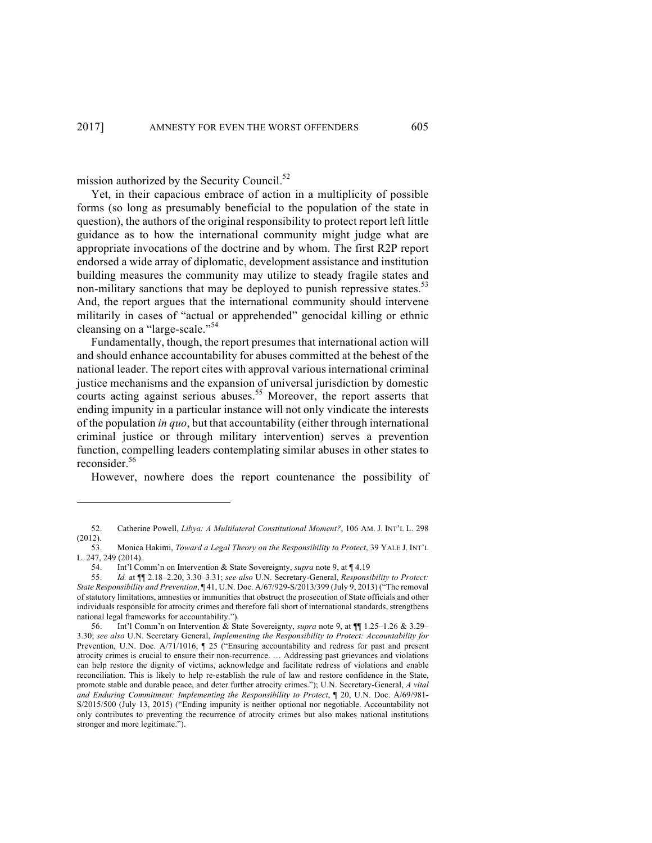mission authorized by the Security Council. $52$ 

Yet, in their capacious embrace of action in a multiplicity of possible forms (so long as presumably beneficial to the population of the state in question), the authors of the original responsibility to protect report left little guidance as to how the international community might judge what are appropriate invocations of the doctrine and by whom. The first R2P report endorsed a wide array of diplomatic, development assistance and institution building measures the community may utilize to steady fragile states and non-military sanctions that may be deployed to punish repressive states.<sup>53</sup> And, the report argues that the international community should intervene militarily in cases of "actual or apprehended" genocidal killing or ethnic cleansing on a "large-scale."<sup>54</sup>

Fundamentally, though, the report presumes that international action will and should enhance accountability for abuses committed at the behest of the national leader. The report cites with approval various international criminal justice mechanisms and the expansion of universal jurisdiction by domestic courts acting against serious abuses.<sup>55</sup> Moreover, the report asserts that ending impunity in a particular instance will not only vindicate the interests of the population *in quo*, but that accountability (either through international criminal justice or through military intervention) serves a prevention function, compelling leaders contemplating similar abuses in other states to reconsider.<sup>56</sup>

However, nowhere does the report countenance the possibility of

<sup>52.</sup> Catherine Powell, *Libya: A Multilateral Constitutional Moment?*, 106 AM. J. INT'L L. 298 (2012).

<sup>53.</sup> Monica Hakimi, *Toward a Legal Theory on the Responsibility to Protect*, 39 YALE J. INT'L L. 247, 249 (2014).

<sup>54.</sup> Int'l Comm'n on Intervention & State Sovereignty, *supra* note 9, at ¶ 4.19

<sup>55.</sup> *Id.* at ¶¶ 2.18–2.20, 3.30–3.31; *see also* U.N. Secretary-General, *Responsibility to Protect: State Responsibility and Prevention*, ¶ 41, U.N. Doc. A/67/929-S/2013/399 (July 9, 2013) ("The removal of statutory limitations, amnesties or immunities that obstruct the prosecution of State officials and other individuals responsible for atrocity crimes and therefore fall short of international standards, strengthens national legal frameworks for accountability.").

<sup>56.</sup> Int'l Comm'n on Intervention & State Sovereignty, *supra* note 9, at ¶¶ 1.25–1.26 & 3.29– 3.30; *see also* U.N. Secretary General, *Implementing the Responsibility to Protect: Accountability for*  Prevention, U.N. Doc. A/71/1016, ¶ 25 ("Ensuring accountability and redress for past and present atrocity crimes is crucial to ensure their non-recurrence. … Addressing past grievances and violations can help restore the dignity of victims, acknowledge and facilitate redress of violations and enable reconciliation. This is likely to help re-establish the rule of law and restore confidence in the State, promote stable and durable peace, and deter further atrocity crimes."); U.N. Secretary-General, *A vital and Enduring Commitment: Implementing the Responsibility to Protect*, ¶ 20, U.N. Doc. A/69/981- S/2015/500 (July 13, 2015) ("Ending impunity is neither optional nor negotiable. Accountability not only contributes to preventing the recurrence of atrocity crimes but also makes national institutions stronger and more legitimate.").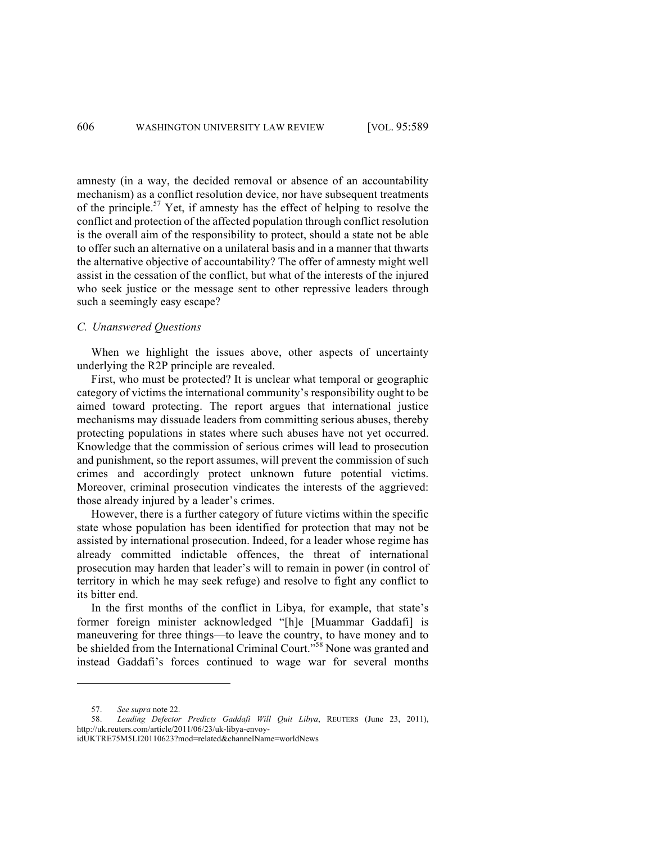amnesty (in a way, the decided removal or absence of an accountability mechanism) as a conflict resolution device, nor have subsequent treatments of the principle. $57$  Yet, if amnesty has the effect of helping to resolve the conflict and protection of the affected population through conflict resolution is the overall aim of the responsibility to protect, should a state not be able to offer such an alternative on a unilateral basis and in a manner that thwarts the alternative objective of accountability? The offer of amnesty might well assist in the cessation of the conflict, but what of the interests of the injured who seek justice or the message sent to other repressive leaders through such a seemingly easy escape?

## *C. Unanswered Questions*

When we highlight the issues above, other aspects of uncertainty underlying the R2P principle are revealed.

First, who must be protected? It is unclear what temporal or geographic category of victims the international community's responsibility ought to be aimed toward protecting. The report argues that international justice mechanisms may dissuade leaders from committing serious abuses, thereby protecting populations in states where such abuses have not yet occurred. Knowledge that the commission of serious crimes will lead to prosecution and punishment, so the report assumes, will prevent the commission of such crimes and accordingly protect unknown future potential victims. Moreover, criminal prosecution vindicates the interests of the aggrieved: those already injured by a leader's crimes.

However, there is a further category of future victims within the specific state whose population has been identified for protection that may not be assisted by international prosecution. Indeed, for a leader whose regime has already committed indictable offences, the threat of international prosecution may harden that leader's will to remain in power (in control of territory in which he may seek refuge) and resolve to fight any conflict to its bitter end.

In the first months of the conflict in Libya, for example, that state's former foreign minister acknowledged "[h]e [Muammar Gaddafi] is maneuvering for three things—to leave the country, to have money and to be shielded from the International Criminal Court."<sup>58</sup> None was granted and instead Gaddafi's forces continued to wage war for several months

<sup>57.</sup> *See supra* note 22.

<sup>58.</sup> *Leading Defector Predicts Gaddafi Will Quit Libya*, REUTERS (June 23, 2011), http://uk.reuters.com/article/2011/06/23/uk-libya-envoy-

idUKTRE75M5LI20110623?mod=related&channelName=worldNews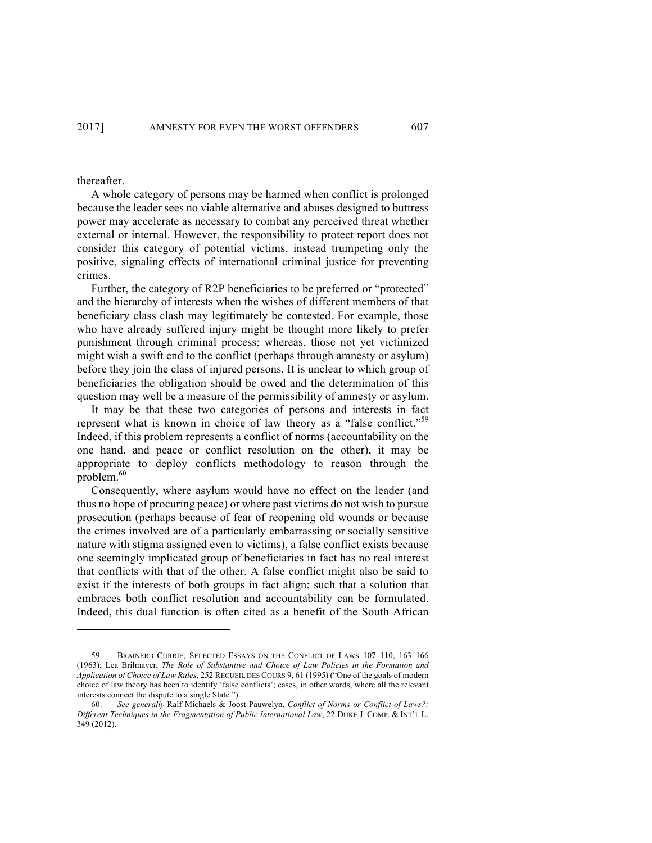thereafter.

<u>.</u>

A whole category of persons may be harmed when conflict is prolonged because the leader sees no viable alternative and abuses designed to buttress power may accelerate as necessary to combat any perceived threat whether external or internal. However, the responsibility to protect report does not consider this category of potential victims, instead trumpeting only the positive, signaling effects of international criminal justice for preventing crimes.

Further, the category of R2P beneficiaries to be preferred or "protected" and the hierarchy of interests when the wishes of different members of that beneficiary class clash may legitimately be contested. For example, those who have already suffered injury might be thought more likely to prefer punishment through criminal process; whereas, those not yet victimized might wish a swift end to the conflict (perhaps through amnesty or asylum) before they join the class of injured persons. It is unclear to which group of beneficiaries the obligation should be owed and the determination of this question may well be a measure of the permissibility of amnesty or asylum.

It may be that these two categories of persons and interests in fact represent what is known in choice of law theory as a "false conflict."<sup>59</sup> Indeed, if this problem represents a conflict of norms (accountability on the one hand, and peace or conflict resolution on the other), it may be appropriate to deploy conflicts methodology to reason through the problem.<sup>60</sup>

Consequently, where asylum would have no effect on the leader (and thus no hope of procuring peace) or where past victims do not wish to pursue prosecution (perhaps because of fear of reopening old wounds or because the crimes involved are of a particularly embarrassing or socially sensitive nature with stigma assigned even to victims), a false conflict exists because one seemingly implicated group of beneficiaries in fact has no real interest that conflicts with that of the other. A false conflict might also be said to exist if the interests of both groups in fact align; such that a solution that embraces both conflict resolution and accountability can be formulated. Indeed, this dual function is often cited as a benefit of the South African

<sup>59.</sup> BRAINERD CURRIE, SELECTED ESSAYS ON THE CONFLICT OF LAWS 107–110, 163–166 (1963); Lea Brilmayer, *The Role of Substantive and Choice of Law Policies in the Formation and Application of Choice of Law Rules*, 252 RECUEIL DES COURS 9, 61 (1995) ("One of the goals of modern choice of law theory has been to identify 'false conflicts'; cases, in other words, where all the relevant interests connect the dispute to a single State.").

<sup>60.</sup> *See generally* Ralf Michaels & Joost Pauwelyn, *Conflict of Norms or Conflict of Laws?: Different Techniques in the Fragmentation of Public International Law*, 22 DUKE J. COMP. & INT'L L. 349 (2012).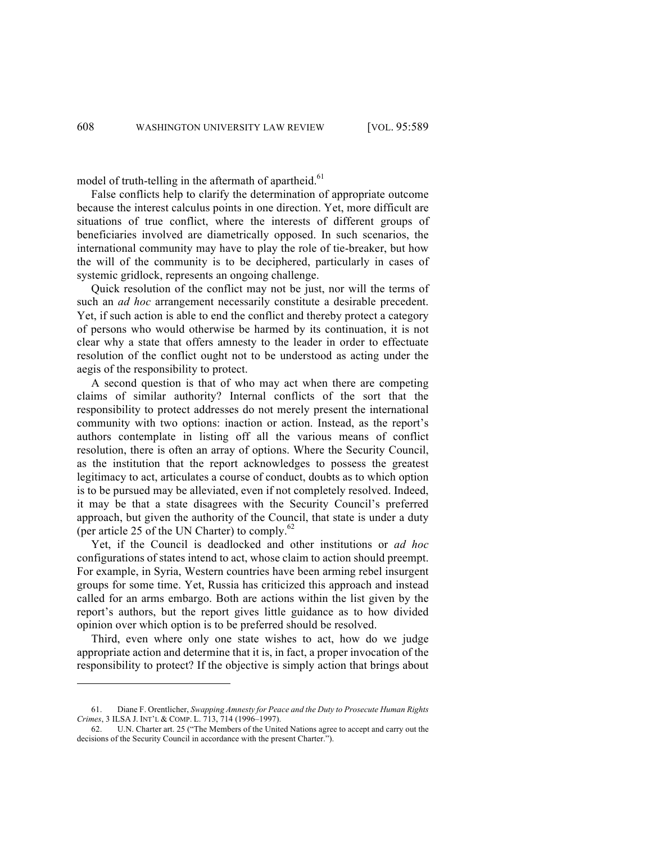model of truth-telling in the aftermath of apartheid. $61$ 

False conflicts help to clarify the determination of appropriate outcome because the interest calculus points in one direction. Yet, more difficult are situations of true conflict, where the interests of different groups of beneficiaries involved are diametrically opposed. In such scenarios, the international community may have to play the role of tie-breaker, but how the will of the community is to be deciphered, particularly in cases of systemic gridlock, represents an ongoing challenge.

Quick resolution of the conflict may not be just, nor will the terms of such an *ad hoc* arrangement necessarily constitute a desirable precedent. Yet, if such action is able to end the conflict and thereby protect a category of persons who would otherwise be harmed by its continuation, it is not clear why a state that offers amnesty to the leader in order to effectuate resolution of the conflict ought not to be understood as acting under the aegis of the responsibility to protect.

A second question is that of who may act when there are competing claims of similar authority? Internal conflicts of the sort that the responsibility to protect addresses do not merely present the international community with two options: inaction or action. Instead, as the report's authors contemplate in listing off all the various means of conflict resolution, there is often an array of options. Where the Security Council, as the institution that the report acknowledges to possess the greatest legitimacy to act, articulates a course of conduct, doubts as to which option is to be pursued may be alleviated, even if not completely resolved. Indeed, it may be that a state disagrees with the Security Council's preferred approach, but given the authority of the Council, that state is under a duty (per article 25 of the UN Charter) to comply.<sup>62</sup>

Yet, if the Council is deadlocked and other institutions or *ad hoc* configurations of states intend to act, whose claim to action should preempt. For example, in Syria, Western countries have been arming rebel insurgent groups for some time. Yet, Russia has criticized this approach and instead called for an arms embargo. Both are actions within the list given by the report's authors, but the report gives little guidance as to how divided opinion over which option is to be preferred should be resolved.

Third, even where only one state wishes to act, how do we judge appropriate action and determine that it is, in fact, a proper invocation of the responsibility to protect? If the objective is simply action that brings about

<sup>61.</sup> Diane F. Orentlicher, *Swapping Amnesty for Peace and the Duty to Prosecute Human Rights Crimes*, 3 ILSA J. INT'L & COMP. L. 713, 714 (1996–1997).

<sup>62.</sup> U.N. Charter art. 25 ("The Members of the United Nations agree to accept and carry out the decisions of the Security Council in accordance with the present Charter.").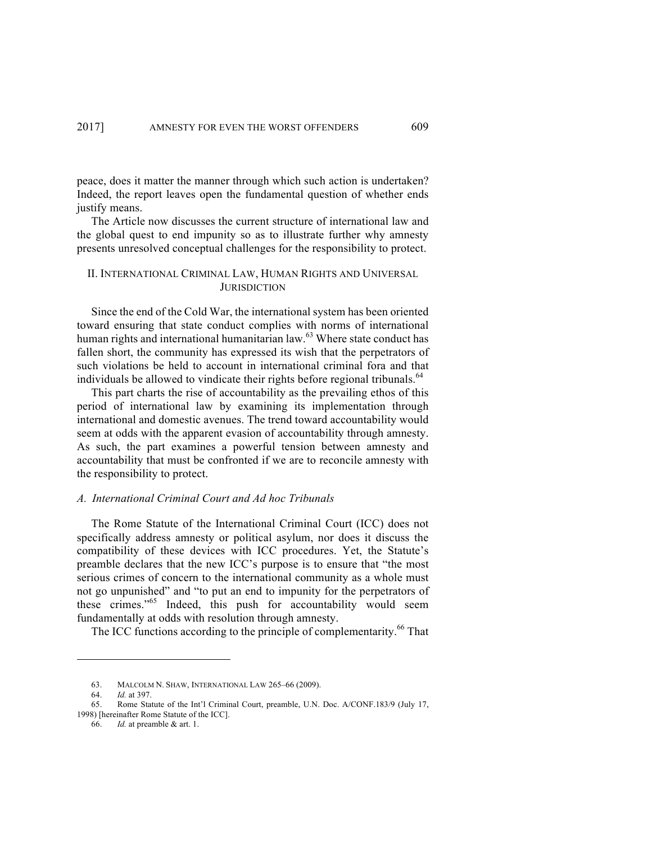peace, does it matter the manner through which such action is undertaken? Indeed, the report leaves open the fundamental question of whether ends justify means.

The Article now discusses the current structure of international law and the global quest to end impunity so as to illustrate further why amnesty presents unresolved conceptual challenges for the responsibility to protect.

## II. INTERNATIONAL CRIMINAL LAW, HUMAN RIGHTS AND UNIVERSAL **JURISDICTION**

Since the end of the Cold War, the international system has been oriented toward ensuring that state conduct complies with norms of international human rights and international humanitarian law. $63$  Where state conduct has fallen short, the community has expressed its wish that the perpetrators of such violations be held to account in international criminal fora and that individuals be allowed to vindicate their rights before regional tribunals.<sup>64</sup>

This part charts the rise of accountability as the prevailing ethos of this period of international law by examining its implementation through international and domestic avenues. The trend toward accountability would seem at odds with the apparent evasion of accountability through amnesty. As such, the part examines a powerful tension between amnesty and accountability that must be confronted if we are to reconcile amnesty with the responsibility to protect.

# *A. International Criminal Court and Ad hoc Tribunals*

The Rome Statute of the International Criminal Court (ICC) does not specifically address amnesty or political asylum, nor does it discuss the compatibility of these devices with ICC procedures. Yet, the Statute's preamble declares that the new ICC's purpose is to ensure that "the most serious crimes of concern to the international community as a whole must not go unpunished" and "to put an end to impunity for the perpetrators of these crimes."<sup>65</sup> Indeed, this push for accountability would seem fundamentally at odds with resolution through amnesty.

The ICC functions according to the principle of complementarity.<sup>66</sup> That

<sup>63.</sup> MALCOLM N. SHAW, INTERNATIONAL LAW 265–66 (2009).

<sup>64.</sup> *Id.* at 397.

<sup>65.</sup> Rome Statute of the Int'l Criminal Court, preamble, U.N. Doc. A/CONF.183/9 (July 17, 1998) [hereinafter Rome Statute of the ICC].

<sup>66.</sup> *Id.* at preamble & art. 1.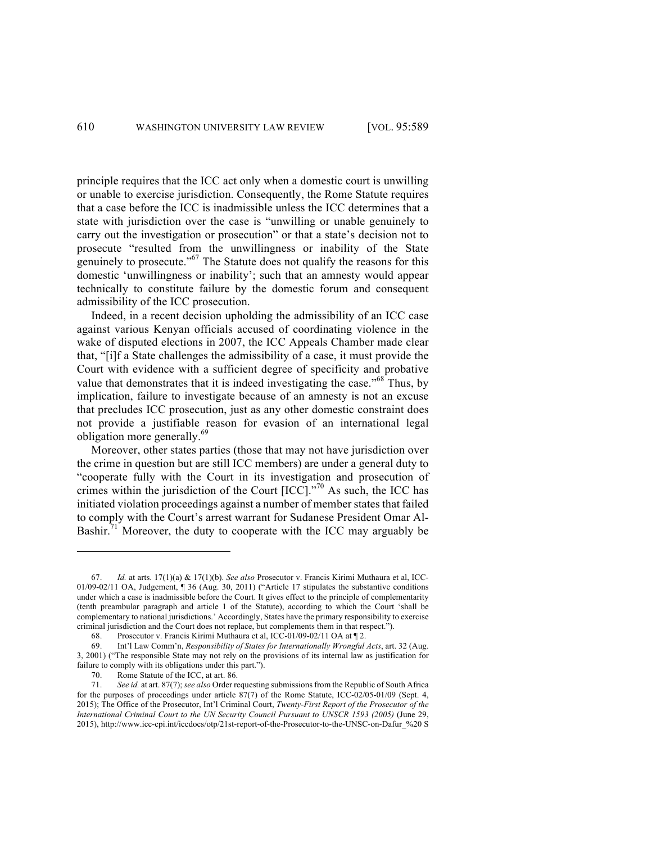principle requires that the ICC act only when a domestic court is unwilling or unable to exercise jurisdiction. Consequently, the Rome Statute requires that a case before the ICC is inadmissible unless the ICC determines that a state with jurisdiction over the case is "unwilling or unable genuinely to carry out the investigation or prosecution" or that a state's decision not to prosecute "resulted from the unwillingness or inability of the State genuinely to prosecute."<sup>67</sup> The Statute does not qualify the reasons for this domestic 'unwillingness or inability'; such that an amnesty would appear technically to constitute failure by the domestic forum and consequent admissibility of the ICC prosecution.

Indeed, in a recent decision upholding the admissibility of an ICC case against various Kenyan officials accused of coordinating violence in the wake of disputed elections in 2007, the ICC Appeals Chamber made clear that, "[i]f a State challenges the admissibility of a case, it must provide the Court with evidence with a sufficient degree of specificity and probative value that demonstrates that it is indeed investigating the case."<sup>68</sup> Thus, by implication, failure to investigate because of an amnesty is not an excuse that precludes ICC prosecution, just as any other domestic constraint does not provide a justifiable reason for evasion of an international legal obligation more generally.<sup>69</sup>

Moreover, other states parties (those that may not have jurisdiction over the crime in question but are still ICC members) are under a general duty to "cooperate fully with the Court in its investigation and prosecution of crimes within the jurisdiction of the Court  $[ICC]$ ."<sup>70</sup> As such, the ICC has initiated violation proceedings against a number of member states that failed to comply with the Court's arrest warrant for Sudanese President Omar Al-Bashir.<sup>71</sup> Moreover, the duty to cooperate with the ICC may arguably be

<sup>67.</sup> *Id.* at arts. 17(1)(a) & 17(1)(b). *See also* Prosecutor v. Francis Kirimi Muthaura et al, ICC-01/09-02/11 OA, Judgement, ¶ 36 (Aug. 30, 2011) ("Article 17 stipulates the substantive conditions under which a case is inadmissible before the Court. It gives effect to the principle of complementarity (tenth preambular paragraph and article 1 of the Statute), according to which the Court 'shall be complementary to national jurisdictions.' Accordingly, States have the primary responsibility to exercise criminal jurisdiction and the Court does not replace, but complements them in that respect.").

<sup>68.</sup> Prosecutor v. Francis Kirimi Muthaura et al, ICC-01/09-02/11 OA at ¶ 2.

<sup>69.</sup> Int'l Law Comm'n, *Responsibility of States for Internationally Wrongful Acts*, art. 32 (Aug. 3, 2001) ("The responsible State may not rely on the provisions of its internal law as justification for failure to comply with its obligations under this part.").

<sup>70.</sup> Rome Statute of the ICC, at art. 86.

<sup>71.</sup> *See id.* at art. 87(7); *see also* Order requesting submissions from the Republic of South Africa for the purposes of proceedings under article 87(7) of the Rome Statute, ICC-02/05-01/09 (Sept. 4, 2015); The Office of the Prosecutor, Int'l Criminal Court, *Twenty-First Report of the Prosecutor of the International Criminal Court to the UN Security Council Pursuant to UNSCR 1593 (2005)* (June 29, 2015), http://www.icc-cpi.int/iccdocs/otp/21st-report-of-the-Prosecutor-to-the-UNSC-on-Dafur\_%20 S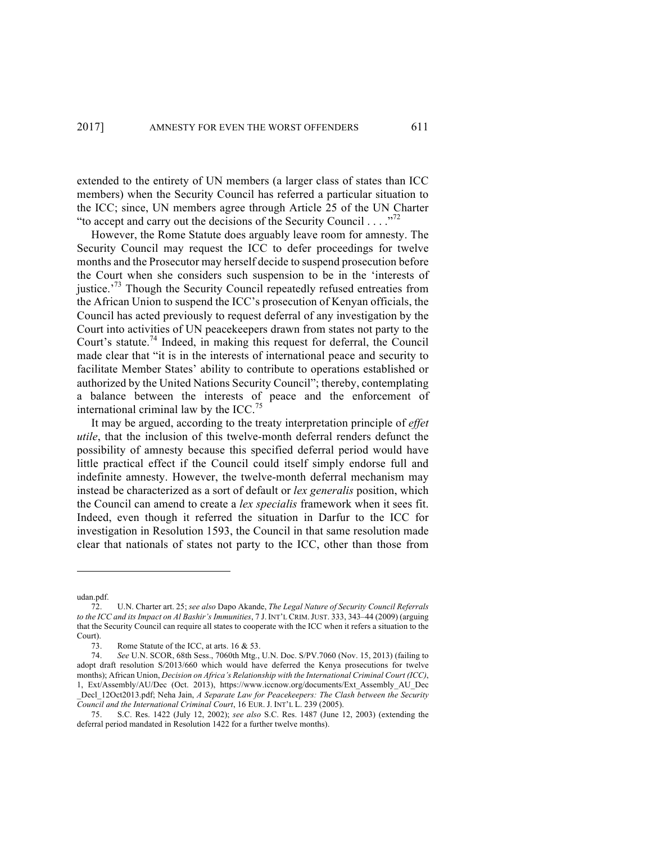extended to the entirety of UN members (a larger class of states than ICC members) when the Security Council has referred a particular situation to the ICC; since, UN members agree through Article 25 of the UN Charter "to accept and carry out the decisions of the Security Council . . . . "<sup>72</sup>

However, the Rome Statute does arguably leave room for amnesty. The Security Council may request the ICC to defer proceedings for twelve months and the Prosecutor may herself decide to suspend prosecution before the Court when she considers such suspension to be in the 'interests of justice.<sup> $3$ </sup> Though the Security Council repeatedly refused entreaties from the African Union to suspend the ICC's prosecution of Kenyan officials, the Council has acted previously to request deferral of any investigation by the Court into activities of UN peacekeepers drawn from states not party to the Court's statute. <sup>74</sup> Indeed, in making this request for deferral, the Council made clear that "it is in the interests of international peace and security to facilitate Member States' ability to contribute to operations established or authorized by the United Nations Security Council"; thereby, contemplating a balance between the interests of peace and the enforcement of international criminal law by the ICC.<sup>75</sup>

It may be argued, according to the treaty interpretation principle of *effet utile*, that the inclusion of this twelve-month deferral renders defunct the possibility of amnesty because this specified deferral period would have little practical effect if the Council could itself simply endorse full and indefinite amnesty. However, the twelve-month deferral mechanism may instead be characterized as a sort of default or *lex generalis* position, which the Council can amend to create a *lex specialis* framework when it sees fit. Indeed, even though it referred the situation in Darfur to the ICC for investigation in Resolution 1593, the Council in that same resolution made clear that nationals of states not party to the ICC, other than those from

udan.pdf.

<sup>72.</sup> U.N. Charter art. 25; *see also* Dapo Akande, *The Legal Nature of Security Council Referrals to the ICC and its Impact on Al Bashir's Immunities*, 7 J. INT'L CRIM.JUST. 333, 343–44 (2009) (arguing that the Security Council can require all states to cooperate with the ICC when it refers a situation to the Court).

<sup>73.</sup> Rome Statute of the ICC, at arts. 16 & 53.

<sup>74.</sup> *See* U.N. SCOR, 68th Sess., 7060th Mtg., U.N. Doc. S/PV.7060 (Nov. 15, 2013) (failing to adopt draft resolution S/2013/660 which would have deferred the Kenya prosecutions for twelve months); African Union, *Decision on Africa's Relationship with the International Criminal Court (ICC)*, 1, Ext/Assembly/AU/Dec (Oct. 2013), https://www.iccnow.org/documents/Ext\_Assembly\_AU\_Dec \_Decl\_12Oct2013.pdf; Neha Jain, *A Separate Law for Peacekeepers: The Clash between the Security Council and the International Criminal Court*, 16 EUR. J. INT'L L. 239 (2005).

<sup>75.</sup> S.C. Res. 1422 (July 12, 2002); *see also* S.C. Res. 1487 (June 12, 2003) (extending the deferral period mandated in Resolution 1422 for a further twelve months).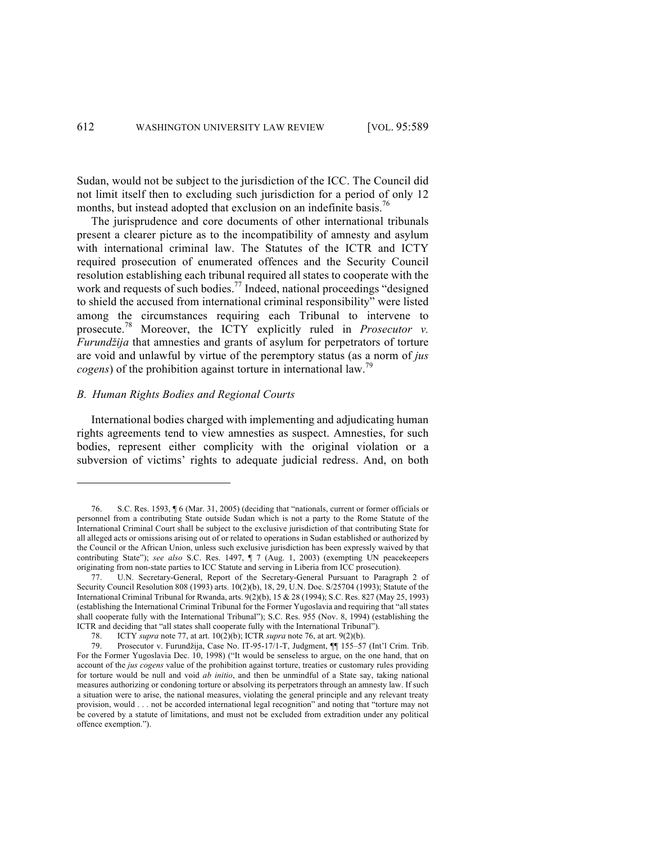Sudan, would not be subject to the jurisdiction of the ICC. The Council did not limit itself then to excluding such jurisdiction for a period of only 12 months, but instead adopted that exclusion on an indefinite basis.<sup>76</sup>

The jurisprudence and core documents of other international tribunals present a clearer picture as to the incompatibility of amnesty and asylum with international criminal law. The Statutes of the ICTR and ICTY required prosecution of enumerated offences and the Security Council resolution establishing each tribunal required all states to cooperate with the work and requests of such bodies.<sup>77</sup> Indeed, national proceedings "designed" to shield the accused from international criminal responsibility" were listed among the circumstances requiring each Tribunal to intervene to prosecute.<sup>78</sup> Moreover, the ICTY explicitly ruled in *Prosecutor v. Furundžija* that amnesties and grants of asylum for perpetrators of torture are void and unlawful by virtue of the peremptory status (as a norm of *jus cogens*) of the prohibition against torture in international law.<sup>79</sup>

## *B. Human Rights Bodies and Regional Courts*

<u>.</u>

International bodies charged with implementing and adjudicating human rights agreements tend to view amnesties as suspect. Amnesties, for such bodies, represent either complicity with the original violation or a subversion of victims' rights to adequate judicial redress. And, on both

<sup>76.</sup> S.C. Res. 1593, ¶ 6 (Mar. 31, 2005) (deciding that "nationals, current or former officials or personnel from a contributing State outside Sudan which is not a party to the Rome Statute of the International Criminal Court shall be subject to the exclusive jurisdiction of that contributing State for all alleged acts or omissions arising out of or related to operations in Sudan established or authorized by the Council or the African Union, unless such exclusive jurisdiction has been expressly waived by that contributing State"); *see also* S.C. Res. 1497, ¶ 7 (Aug. 1, 2003) (exempting UN peacekeepers originating from non-state parties to ICC Statute and serving in Liberia from ICC prosecution).

U.N. Secretary-General, Report of the Secretary-General Pursuant to Paragraph 2 of Security Council Resolution 808 (1993) arts. 10(2)(b), 18, 29, U.N. Doc. S/25704 (1993); Statute of the International Criminal Tribunal for Rwanda, arts. 9(2)(b), 15 & 28 (1994); S.C. Res. 827 (May 25, 1993) (establishing the International Criminal Tribunal for the Former Yugoslavia and requiring that "all states shall cooperate fully with the International Tribunal"); S.C. Res. 955 (Nov. 8, 1994) (establishing the ICTR and deciding that "all states shall cooperate fully with the International Tribunal").

<sup>78.</sup> ICTY *supra* note 77, at art. 10(2)(b); ICTR *supra* note 76, at art. 9(2)(b).

<sup>79.</sup> Prosecutor v. Furundžija, Case No. IT-95-17/1-T, Judgment, ¶¶ 155–57 (Int'l Crim. Trib. For the Former Yugoslavia Dec. 10, 1998) ("It would be senseless to argue, on the one hand, that on account of the *jus cogens* value of the prohibition against torture, treaties or customary rules providing for torture would be null and void *ab initio*, and then be unmindful of a State say, taking national measures authorizing or condoning torture or absolving its perpetrators through an amnesty law. If such a situation were to arise, the national measures, violating the general principle and any relevant treaty provision, would . . . not be accorded international legal recognition" and noting that "torture may not be covered by a statute of limitations, and must not be excluded from extradition under any political offence exemption.").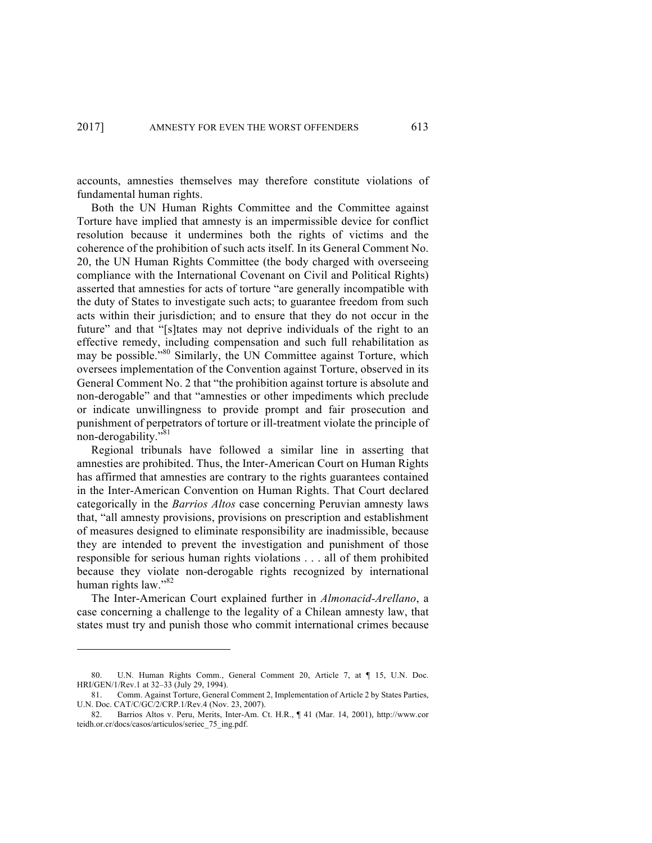accounts, amnesties themselves may therefore constitute violations of fundamental human rights.

Both the UN Human Rights Committee and the Committee against Torture have implied that amnesty is an impermissible device for conflict resolution because it undermines both the rights of victims and the coherence of the prohibition of such acts itself. In its General Comment No. 20, the UN Human Rights Committee (the body charged with overseeing compliance with the International Covenant on Civil and Political Rights) asserted that amnesties for acts of torture "are generally incompatible with the duty of States to investigate such acts; to guarantee freedom from such acts within their jurisdiction; and to ensure that they do not occur in the future" and that "[s]tates may not deprive individuals of the right to an effective remedy, including compensation and such full rehabilitation as may be possible."<sup>80</sup> Similarly, the UN Committee against Torture, which oversees implementation of the Convention against Torture, observed in its General Comment No. 2 that "the prohibition against torture is absolute and non-derogable" and that "amnesties or other impediments which preclude or indicate unwillingness to provide prompt and fair prosecution and punishment of perpetrators of torture or ill-treatment violate the principle of non-derogability."<sup>81</sup>

Regional tribunals have followed a similar line in asserting that amnesties are prohibited. Thus, the Inter-American Court on Human Rights has affirmed that amnesties are contrary to the rights guarantees contained in the Inter-American Convention on Human Rights. That Court declared categorically in the *Barrios Altos* case concerning Peruvian amnesty laws that, "all amnesty provisions, provisions on prescription and establishment of measures designed to eliminate responsibility are inadmissible, because they are intended to prevent the investigation and punishment of those responsible for serious human rights violations . . . all of them prohibited because they violate non-derogable rights recognized by international human rights law."<sup>82</sup>

The Inter-American Court explained further in *Almonacid-Arellano*, a case concerning a challenge to the legality of a Chilean amnesty law, that states must try and punish those who commit international crimes because

<sup>80.</sup> U.N. Human Rights Comm., General Comment 20, Article 7, at ¶ 15, U.N. Doc. HRI/GEN/1/Rev.1 at 32–33 (July 29, 1994).

<sup>81.</sup> Comm. Against Torture, General Comment 2, Implementation of Article 2 by States Parties, U.N. Doc. CAT/C/GC/2/CRP.1/Rev.4 (Nov. 23, 2007).

<sup>82.</sup> Barrios Altos v. Peru, Merits, Inter-Am. Ct. H.R., ¶ 41 (Mar. 14, 2001), http://www.cor teidh.or.cr/docs/casos/articulos/seriec\_75\_ing.pdf.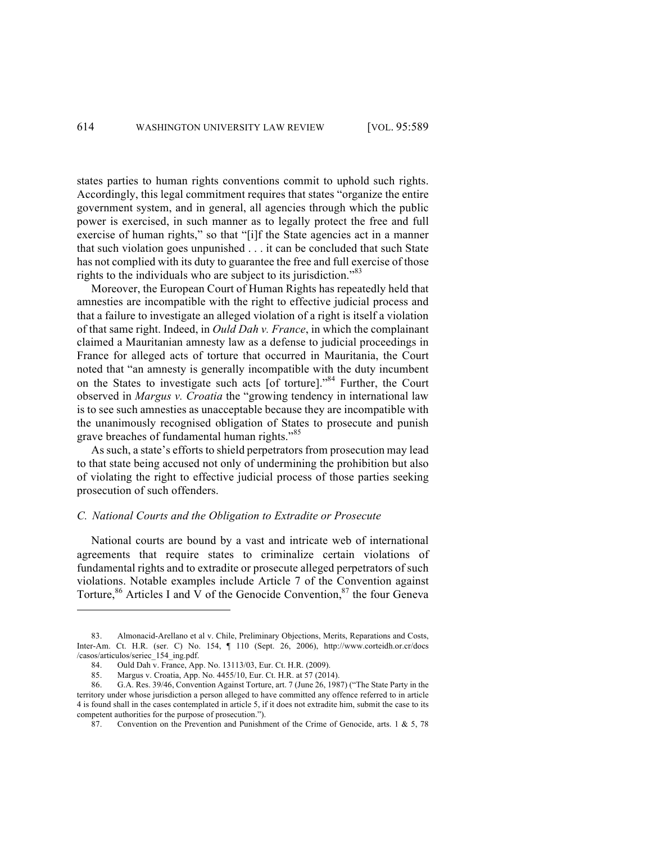states parties to human rights conventions commit to uphold such rights. Accordingly, this legal commitment requires that states "organize the entire government system, and in general, all agencies through which the public power is exercised, in such manner as to legally protect the free and full exercise of human rights," so that "[i]f the State agencies act in a manner that such violation goes unpunished . . . it can be concluded that such State has not complied with its duty to guarantee the free and full exercise of those rights to the individuals who are subject to its jurisdiction.<sup>83</sup>

Moreover, the European Court of Human Rights has repeatedly held that amnesties are incompatible with the right to effective judicial process and that a failure to investigate an alleged violation of a right is itself a violation of that same right. Indeed, in *Ould Dah v. France*, in which the complainant claimed a Mauritanian amnesty law as a defense to judicial proceedings in France for alleged acts of torture that occurred in Mauritania, the Court noted that "an amnesty is generally incompatible with the duty incumbent on the States to investigate such acts [of torture]."84 Further, the Court observed in *Margus v. Croatia* the "growing tendency in international law is to see such amnesties as unacceptable because they are incompatible with the unanimously recognised obligation of States to prosecute and punish grave breaches of fundamental human rights."<sup>85</sup>

As such, a state's efforts to shield perpetrators from prosecution may lead to that state being accused not only of undermining the prohibition but also of violating the right to effective judicial process of those parties seeking prosecution of such offenders.

## *C. National Courts and the Obligation to Extradite or Prosecute*

National courts are bound by a vast and intricate web of international agreements that require states to criminalize certain violations of fundamental rights and to extradite or prosecute alleged perpetrators of such violations. Notable examples include Article 7 of the Convention against Torture,<sup>86</sup> Articles I and V of the Genocide Convention,  $87$  the four Geneva

<sup>83.</sup> Almonacid-Arellano et al v. Chile, Preliminary Objections, Merits, Reparations and Costs, Inter-Am. Ct. H.R. (ser. C) No. 154, ¶ 110 (Sept. 26, 2006), http://www.corteidh.or.cr/docs /casos/articulos/seriec\_154\_ing.pdf.

<sup>84.</sup> Ould Dah v. France, App. No. 13113/03, Eur. Ct. H.R. (2009).

<sup>85.</sup> Margus v. Croatia, App. No. 4455/10, Eur. Ct. H.R. at 57 (2014).

<sup>86.</sup> G.A. Res. 39/46, Convention Against Torture, art. 7 (June 26, 1987) ("The State Party in the territory under whose jurisdiction a person alleged to have committed any offence referred to in article 4 is found shall in the cases contemplated in article 5, if it does not extradite him, submit the case to its competent authorities for the purpose of prosecution.").

<sup>87.</sup> Convention on the Prevention and Punishment of the Crime of Genocide, arts. 1 & 5, 78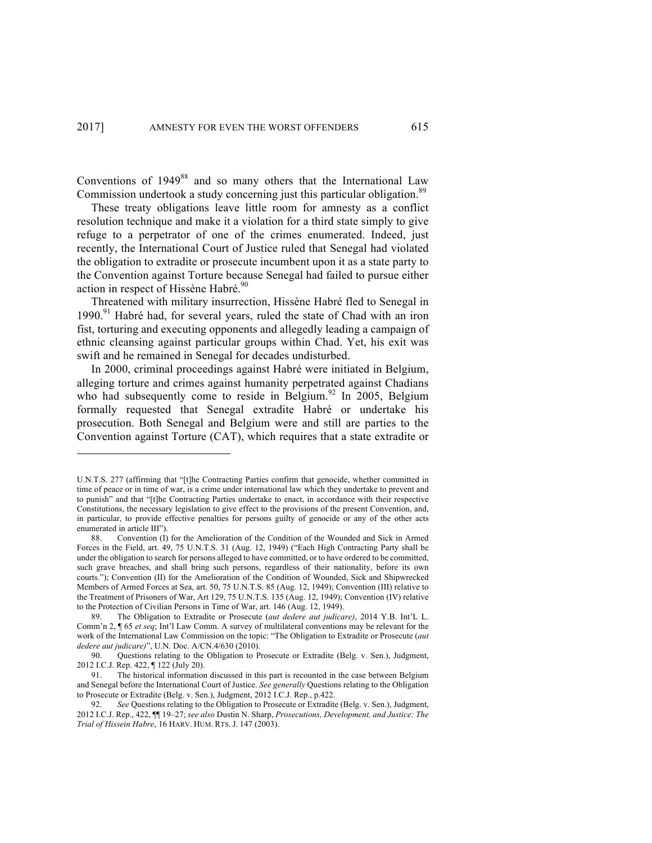Conventions of  $1949^{88}$  and so many others that the International Law Commission undertook a study concerning just this particular obligation.<sup>89</sup>

These treaty obligations leave little room for amnesty as a conflict resolution technique and make it a violation for a third state simply to give refuge to a perpetrator of one of the crimes enumerated. Indeed, just recently, the International Court of Justice ruled that Senegal had violated the obligation to extradite or prosecute incumbent upon it as a state party to the Convention against Torture because Senegal had failed to pursue either action in respect of Hissène Habré.<sup>90</sup>

Threatened with military insurrection, Hissène Habré fled to Senegal in  $1990<sup>91</sup>$  Habré had, for several years, ruled the state of Chad with an iron fist, torturing and executing opponents and allegedly leading a campaign of ethnic cleansing against particular groups within Chad. Yet, his exit was swift and he remained in Senegal for decades undisturbed.

In 2000, criminal proceedings against Habré were initiated in Belgium, alleging torture and crimes against humanity perpetrated against Chadians who had subsequently come to reside in Belgium.<sup>92</sup> In 2005, Belgium formally requested that Senegal extradite Habré or undertake his prosecution. Both Senegal and Belgium were and still are parties to the Convention against Torture (CAT), which requires that a state extradite or

U.N.T.S. 277 (affirming that "[t]he Contracting Parties confirm that genocide, whether committed in time of peace or in time of war, is a crime under international law which they undertake to prevent and to punish" and that "[t]he Contracting Parties undertake to enact, in accordance with their respective Constitutions, the necessary legislation to give effect to the provisions of the present Convention, and, in particular, to provide effective penalties for persons guilty of genocide or any of the other acts enumerated in article III").

<sup>88.</sup> Convention (I) for the Amelioration of the Condition of the Wounded and Sick in Armed Forces in the Field, art. 49, 75 U.N.T.S. 31 (Aug. 12, 1949) ("Each High Contracting Party shall be under the obligation to search for persons alleged to have committed, or to have ordered to be committed, such grave breaches, and shall bring such persons, regardless of their nationality, before its own courts."); Convention (II) for the Amelioration of the Condition of Wounded, Sick and Shipwrecked Members of Armed Forces at Sea, art. 50, 75 U.N.T.S. 85 (Aug. 12, 1949); Convention (III) relative to the Treatment of Prisoners of War, Art 129, 75 U.N.T.S. 135 (Aug. 12, 1949); Convention (IV) relative to the Protection of Civilian Persons in Time of War, art. 146 (Aug. 12, 1949).

<sup>89.</sup> The Obligation to Extradite or Prosecute (*aut dedere aut judicare)*, 2014 Y.B. Int'L L. Comm'n 2, ¶ 65 *et seq*; Int'l Law Comm. A survey of multilateral conventions may be relevant for the work of the International Law Commission on the topic: "The Obligation to Extradite or Prosecute (*aut dedere aut judicare)*", U.N. Doc. A/CN.4/630 (2010).

<sup>90.</sup> Questions relating to the Obligation to Prosecute or Extradite (Belg. v. Sen.), Judgment, 2012 I.C.J. Rep. 422, ¶ 122 (July 20).

<sup>91.</sup> The historical information discussed in this part is recounted in the case between Belgium and Senegal before the International Court of Justice. *See generally* Questions relating to the Obligation to Prosecute or Extradite (Belg. v. Sen.), Judgment, 2012 I.C.J. Rep., p.422.

<sup>92.</sup> *See* Questions relating to the Obligation to Prosecute or Extradite (Belg. v. Sen.), Judgment, 2012 I.C.J. Rep., 422, ¶¶ 19–27; *see also* Dustin N. Sharp, *Prosecutions, Development, and Justice: The Trial of Hissein Habre*, 16 HARV. HUM. RTS. J. 147 (2003).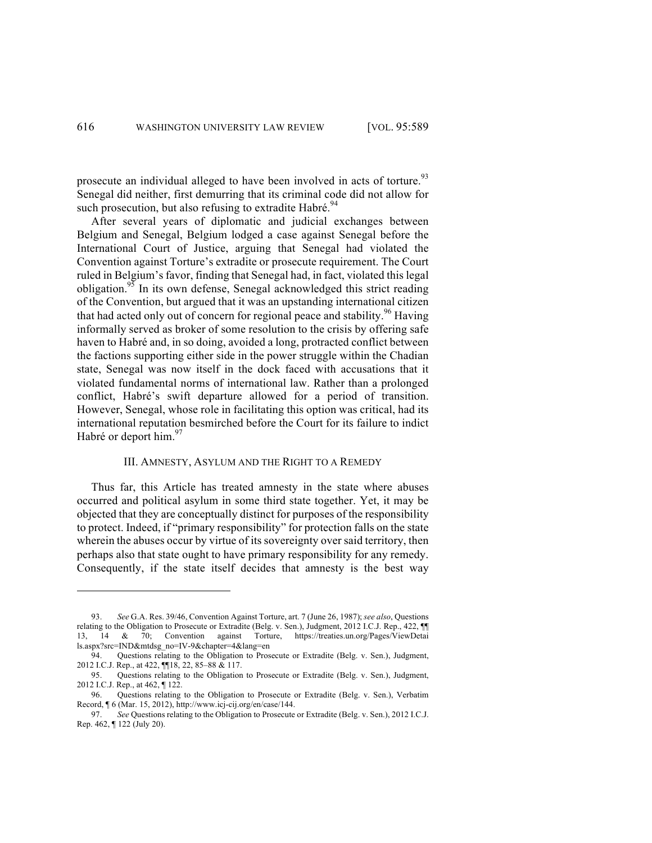prosecute an individual alleged to have been involved in acts of torture.<sup>93</sup> Senegal did neither, first demurring that its criminal code did not allow for such prosecution, but also refusing to extradite Habré.<sup>94</sup>

After several years of diplomatic and judicial exchanges between Belgium and Senegal, Belgium lodged a case against Senegal before the International Court of Justice, arguing that Senegal had violated the Convention against Torture's extradite or prosecute requirement. The Court ruled in Belgium's favor, finding that Senegal had, in fact, violated this legal obligation.<sup>95</sup> In its own defense, Senegal acknowledged this strict reading of the Convention, but argued that it was an upstanding international citizen that had acted only out of concern for regional peace and stability.<sup>96</sup> Having informally served as broker of some resolution to the crisis by offering safe haven to Habré and, in so doing, avoided a long, protracted conflict between the factions supporting either side in the power struggle within the Chadian state, Senegal was now itself in the dock faced with accusations that it violated fundamental norms of international law. Rather than a prolonged conflict, Habré's swift departure allowed for a period of transition. However, Senegal, whose role in facilitating this option was critical, had its international reputation besmirched before the Court for its failure to indict Habré or deport him.<sup>97</sup>

## III. AMNESTY, ASYLUM AND THE RIGHT TO A REMEDY

Thus far, this Article has treated amnesty in the state where abuses occurred and political asylum in some third state together. Yet, it may be objected that they are conceptually distinct for purposes of the responsibility to protect. Indeed, if "primary responsibility" for protection falls on the state wherein the abuses occur by virtue of its sovereignty over said territory, then perhaps also that state ought to have primary responsibility for any remedy. Consequently, if the state itself decides that amnesty is the best way

<sup>93.</sup> *See* G.A. Res. 39/46, Convention Against Torture, art. 7 (June 26, 1987); *see also*, Questions relating to the Obligation to Prosecute or Extradite (Belg. v. Sen.), Judgment, 2012 I.C.J. Rep., 422,  $\P$ 13, 14 & 70; Convention against Torture, https://treaties.un.org/Pages/ViewDetai ls.aspx?src=IND&mtdsg\_no=IV-9&chapter=4&lang=en

<sup>94.</sup> Questions relating to the Obligation to Prosecute or Extradite (Belg. v. Sen.), Judgment, 2012 I.C.J. Rep., at 422, ¶¶18, 22, 85–88 & 117.

<sup>95.</sup> Questions relating to the Obligation to Prosecute or Extradite (Belg. v. Sen.), Judgment, 2012 I.C.J. Rep., at 462, ¶ 122.

<sup>96.</sup> Questions relating to the Obligation to Prosecute or Extradite (Belg. v. Sen.), Verbatim Record, ¶ 6 (Mar. 15, 2012), http://www.icj-cij.org/en/case/144.

<sup>97.</sup> *See* Questions relating to the Obligation to Prosecute or Extradite (Belg. v. Sen.), 2012 I.C.J. Rep. 462, ¶ 122 (July 20).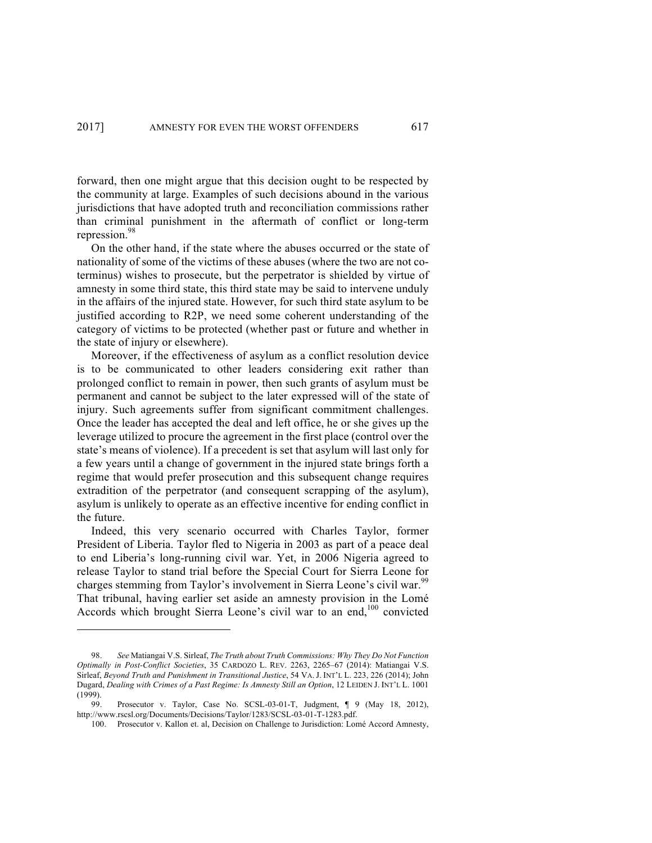forward, then one might argue that this decision ought to be respected by the community at large. Examples of such decisions abound in the various jurisdictions that have adopted truth and reconciliation commissions rather than criminal punishment in the aftermath of conflict or long-term repression.<sup>98</sup>

On the other hand, if the state where the abuses occurred or the state of nationality of some of the victims of these abuses (where the two are not coterminus) wishes to prosecute, but the perpetrator is shielded by virtue of amnesty in some third state, this third state may be said to intervene unduly in the affairs of the injured state. However, for such third state asylum to be justified according to R2P, we need some coherent understanding of the category of victims to be protected (whether past or future and whether in the state of injury or elsewhere).

Moreover, if the effectiveness of asylum as a conflict resolution device is to be communicated to other leaders considering exit rather than prolonged conflict to remain in power, then such grants of asylum must be permanent and cannot be subject to the later expressed will of the state of injury. Such agreements suffer from significant commitment challenges. Once the leader has accepted the deal and left office, he or she gives up the leverage utilized to procure the agreement in the first place (control over the state's means of violence). If a precedent is set that asylum will last only for a few years until a change of government in the injured state brings forth a regime that would prefer prosecution and this subsequent change requires extradition of the perpetrator (and consequent scrapping of the asylum), asylum is unlikely to operate as an effective incentive for ending conflict in the future.

Indeed, this very scenario occurred with Charles Taylor, former President of Liberia. Taylor fled to Nigeria in 2003 as part of a peace deal to end Liberia's long-running civil war. Yet, in 2006 Nigeria agreed to release Taylor to stand trial before the Special Court for Sierra Leone for charges stemming from Taylor's involvement in Sierra Leone's civil war.<sup>99</sup> That tribunal, having earlier set aside an amnesty provision in the Lomé Accords which brought Sierra Leone's civil war to an end,<sup>100</sup> convicted

<sup>98.</sup> *See* Matiangai V.S. Sirleaf, *The Truth about Truth Commissions: Why They Do Not Function Optimally in Post-Conflict Societies*, 35 CARDOZO L. REV. 2263, 2265–67 (2014): Matiangai V.S. Sirleaf, *Beyond Truth and Punishment in Transitional Justice*, 54 VA. J. INT'L L. 223, 226 (2014); John Dugard, *Dealing with Crimes of a Past Regime: Is Amnesty Still an Option*, 12 LEIDEN J. INT'L L. 1001 (1999).

<sup>99.</sup> Prosecutor v. Taylor, Case No. SCSL-03-01-T, Judgment, ¶ 9 (May 18, 2012), http://www.rscsl.org/Documents/Decisions/Taylor/1283/SCSL-03-01-T-1283.pdf.

<sup>100.</sup> Prosecutor v. Kallon et. al, Decision on Challenge to Jurisdiction: Lomé Accord Amnesty,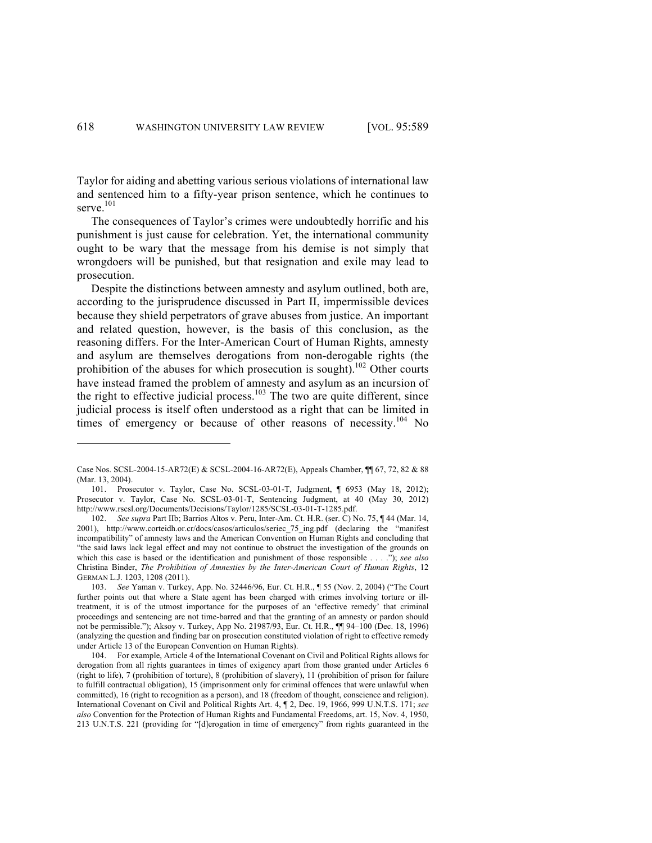Taylor for aiding and abetting various serious violations of international law and sentenced him to a fifty-year prison sentence, which he continues to serve. $101$ 

The consequences of Taylor's crimes were undoubtedly horrific and his punishment is just cause for celebration. Yet, the international community ought to be wary that the message from his demise is not simply that wrongdoers will be punished, but that resignation and exile may lead to prosecution.

Despite the distinctions between amnesty and asylum outlined, both are, according to the jurisprudence discussed in Part II, impermissible devices because they shield perpetrators of grave abuses from justice. An important and related question, however, is the basis of this conclusion, as the reasoning differs. For the Inter-American Court of Human Rights, amnesty and asylum are themselves derogations from non-derogable rights (the prohibition of the abuses for which prosecution is sought).<sup>102</sup> Other courts have instead framed the problem of amnesty and asylum as an incursion of the right to effective judicial process.<sup>103</sup> The two are quite different, since judicial process is itself often understood as a right that can be limited in times of emergency or because of other reasons of necessity.<sup>104</sup> No

Case Nos. SCSL-2004-15-AR72(E) & SCSL-2004-16-AR72(E), Appeals Chamber, ¶¶ 67, 72, 82 & 88 (Mar. 13, 2004).

<sup>101.</sup> Prosecutor v. Taylor, Case No. SCSL-03-01-T, Judgment, ¶ 6953 (May 18, 2012); Prosecutor v. Taylor, Case No. SCSL-03-01-T, Sentencing Judgment, at 40 (May 30, 2012) http://www.rscsl.org/Documents/Decisions/Taylor/1285/SCSL-03-01-T-1285.pdf.

<sup>102.</sup> *See supra* Part IIb; Barrios Altos v. Peru, Inter-Am. Ct. H.R. (ser. C) No. 75, ¶ 44 (Mar. 14, 2001), http://www.corteidh.or.cr/docs/casos/articulos/seriec\_75\_ing.pdf (declaring the "manifest incompatibility" of amnesty laws and the American Convention on Human Rights and concluding that "the said laws lack legal effect and may not continue to obstruct the investigation of the grounds on which this case is based or the identification and punishment of those responsible . . . ."); *see also* Christina Binder, *The Prohibition of Amnesties by the Inter-American Court of Human Rights*, 12 GERMAN L.J. 1203, 1208 (2011).

<sup>103.</sup> *See* Yaman v. Turkey, App. No. 32446/96, Eur. Ct. H.R., ¶ 55 (Nov. 2, 2004) ("The Court further points out that where a State agent has been charged with crimes involving torture or illtreatment, it is of the utmost importance for the purposes of an 'effective remedy' that criminal proceedings and sentencing are not time-barred and that the granting of an amnesty or pardon should not be permissible."); Aksoy v. Turkey, App No. 21987/93, Eur. Ct. H.R., ¶¶ 94–100 (Dec. 18, 1996) (analyzing the question and finding bar on prosecution constituted violation of right to effective remedy under Article 13 of the European Convention on Human Rights).

<sup>104.</sup> For example, Article 4 of the International Covenant on Civil and Political Rights allows for derogation from all rights guarantees in times of exigency apart from those granted under Articles 6 (right to life), 7 (prohibition of torture), 8 (prohibition of slavery), 11 (prohibition of prison for failure to fulfill contractual obligation), 15 (imprisonment only for criminal offences that were unlawful when committed), 16 (right to recognition as a person), and 18 (freedom of thought, conscience and religion). International Covenant on Civil and Political Rights Art. 4, ¶ 2, Dec. 19, 1966, 999 U.N.T.S. 171; *see also* Convention for the Protection of Human Rights and Fundamental Freedoms, art. 15, Nov. 4, 1950, 213 U.N.T.S. 221 (providing for "[d]erogation in time of emergency" from rights guaranteed in the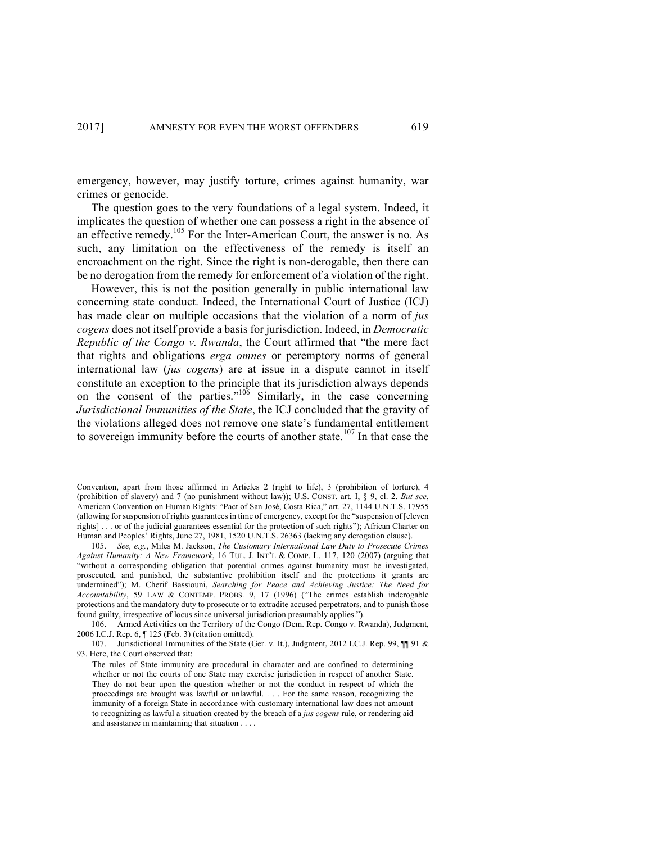emergency, however, may justify torture, crimes against humanity, war crimes or genocide.

The question goes to the very foundations of a legal system. Indeed, it implicates the question of whether one can possess a right in the absence of an effective remedy.105 For the Inter-American Court, the answer is no. As such, any limitation on the effectiveness of the remedy is itself an encroachment on the right. Since the right is non-derogable, then there can be no derogation from the remedy for enforcement of a violation of the right.

However, this is not the position generally in public international law concerning state conduct. Indeed, the International Court of Justice (ICJ) has made clear on multiple occasions that the violation of a norm of *jus cogens* does not itself provide a basis for jurisdiction. Indeed, in *Democratic Republic of the Congo v. Rwanda*, the Court affirmed that "the mere fact that rights and obligations *erga omnes* or peremptory norms of general international law (*jus cogens*) are at issue in a dispute cannot in itself constitute an exception to the principle that its jurisdiction always depends on the consent of the parties."<sup>106</sup> Similarly, in the case concerning *Jurisdictional Immunities of the State*, the ICJ concluded that the gravity of the violations alleged does not remove one state's fundamental entitlement to sovereign immunity before the courts of another state.<sup>107</sup> In that case the

Convention, apart from those affirmed in Articles 2 (right to life), 3 (prohibition of torture), 4 (prohibition of slavery) and 7 (no punishment without law)); U.S. CONST. art. I, § 9, cl. 2. *But see*, American Convention on Human Rights: "Pact of San José, Costa Rica," art. 27, 1144 U.N.T.S. 17955 (allowing for suspension of rights guarantees in time of emergency, except for the "suspension of [eleven rights] . . . or of the judicial guarantees essential for the protection of such rights"); African Charter on Human and Peoples' Rights, June 27, 1981, 1520 U.N.T.S. 26363 (lacking any derogation clause).

<sup>105.</sup> *See, e.g.*, Miles M. Jackson, *The Customary International Law Duty to Prosecute Crimes Against Humanity: A New Framework*, 16 TUL. J. INT'L & COMP. L. 117, 120 (2007) (arguing that "without a corresponding obligation that potential crimes against humanity must be investigated, prosecuted, and punished, the substantive prohibition itself and the protections it grants are undermined"); M. Cherif Bassiouni, *Searching for Peace and Achieving Justice: The Need for Accountability*, 59 LAW & CONTEMP. PROBS. 9, 17 (1996) ("The crimes establish inderogable protections and the mandatory duty to prosecute or to extradite accused perpetrators, and to punish those found guilty, irrespective of locus since universal jurisdiction presumably applies.").

<sup>106.</sup> Armed Activities on the Territory of the Congo (Dem. Rep. Congo v. Rwanda), Judgment, 2006 I.C.J. Rep. 6, ¶ 125 (Feb. 3) (citation omitted).

<sup>107.</sup> Jurisdictional Immunities of the State (Ger. v. It.), Judgment, 2012 I.C.J. Rep. 99, 11 91 & 93. Here, the Court observed that:

The rules of State immunity are procedural in character and are confined to determining whether or not the courts of one State may exercise jurisdiction in respect of another State. They do not bear upon the question whether or not the conduct in respect of which the proceedings are brought was lawful or unlawful. . . . For the same reason, recognizing the immunity of a foreign State in accordance with customary international law does not amount to recognizing as lawful a situation created by the breach of a *jus cogens* rule, or rendering aid and assistance in maintaining that situation . . . .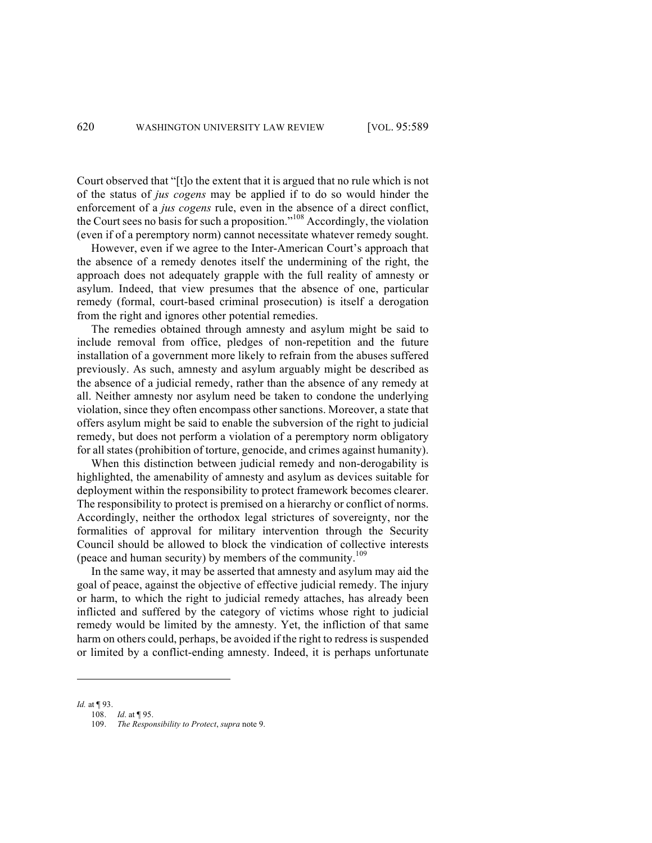Court observed that "[t]o the extent that it is argued that no rule which is not of the status of *jus cogens* may be applied if to do so would hinder the enforcement of a *jus cogens* rule, even in the absence of a direct conflict, the Court sees no basis for such a proposition."<sup>108</sup> Accordingly, the violation (even if of a peremptory norm) cannot necessitate whatever remedy sought.

However, even if we agree to the Inter-American Court's approach that the absence of a remedy denotes itself the undermining of the right, the approach does not adequately grapple with the full reality of amnesty or asylum. Indeed, that view presumes that the absence of one, particular remedy (formal, court-based criminal prosecution) is itself a derogation from the right and ignores other potential remedies.

The remedies obtained through amnesty and asylum might be said to include removal from office, pledges of non-repetition and the future installation of a government more likely to refrain from the abuses suffered previously. As such, amnesty and asylum arguably might be described as the absence of a judicial remedy, rather than the absence of any remedy at all. Neither amnesty nor asylum need be taken to condone the underlying violation, since they often encompass other sanctions. Moreover, a state that offers asylum might be said to enable the subversion of the right to judicial remedy, but does not perform a violation of a peremptory norm obligatory for all states (prohibition of torture, genocide, and crimes against humanity).

When this distinction between judicial remedy and non-derogability is highlighted, the amenability of amnesty and asylum as devices suitable for deployment within the responsibility to protect framework becomes clearer. The responsibility to protect is premised on a hierarchy or conflict of norms. Accordingly, neither the orthodox legal strictures of sovereignty, nor the formalities of approval for military intervention through the Security Council should be allowed to block the vindication of collective interests (peace and human security) by members of the community.<sup>109</sup>

In the same way, it may be asserted that amnesty and asylum may aid the goal of peace, against the objective of effective judicial remedy. The injury or harm, to which the right to judicial remedy attaches, has already been inflicted and suffered by the category of victims whose right to judicial remedy would be limited by the amnesty. Yet, the infliction of that same harm on others could, perhaps, be avoided if the right to redress is suspended or limited by a conflict-ending amnesty. Indeed, it is perhaps unfortunate

*Id.* at ¶ 93.

<sup>108.</sup> *Id*. at ¶ 95.

<sup>109.</sup> *The Responsibility to Protect*, *supra* note 9.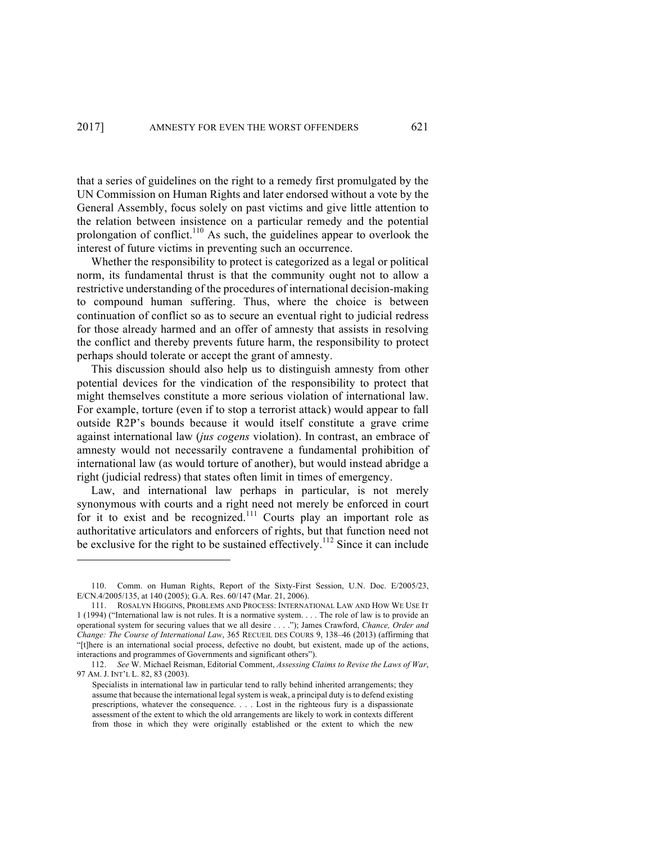that a series of guidelines on the right to a remedy first promulgated by the UN Commission on Human Rights and later endorsed without a vote by the General Assembly, focus solely on past victims and give little attention to the relation between insistence on a particular remedy and the potential prolongation of conflict.<sup>110</sup> As such, the guidelines appear to overlook the interest of future victims in preventing such an occurrence.

Whether the responsibility to protect is categorized as a legal or political norm, its fundamental thrust is that the community ought not to allow a restrictive understanding of the procedures of international decision-making to compound human suffering. Thus, where the choice is between continuation of conflict so as to secure an eventual right to judicial redress for those already harmed and an offer of amnesty that assists in resolving the conflict and thereby prevents future harm, the responsibility to protect perhaps should tolerate or accept the grant of amnesty.

This discussion should also help us to distinguish amnesty from other potential devices for the vindication of the responsibility to protect that might themselves constitute a more serious violation of international law. For example, torture (even if to stop a terrorist attack) would appear to fall outside R2P's bounds because it would itself constitute a grave crime against international law (*jus cogens* violation). In contrast, an embrace of amnesty would not necessarily contravene a fundamental prohibition of international law (as would torture of another), but would instead abridge a right (judicial redress) that states often limit in times of emergency.

Law, and international law perhaps in particular, is not merely synonymous with courts and a right need not merely be enforced in court for it to exist and be recognized.<sup>111</sup> Courts play an important role as authoritative articulators and enforcers of rights, but that function need not be exclusive for the right to be sustained effectively.<sup>112</sup> Since it can include

<sup>110.</sup> Comm. on Human Rights, Report of the Sixty-First Session, U.N. Doc. E/2005/23, E/CN.4/2005/135, at 140 (2005); G.A. Res. 60/147 (Mar. 21, 2006).

<sup>111.</sup> ROSALYN HIGGINS, PROBLEMS AND PROCESS: INTERNATIONAL LAW AND HOW WE USE IT 1 (1994) ("International law is not rules. It is a normative system. . . . The role of law is to provide an operational system for securing values that we all desire . . . ."); James Crawford, *Chance, Order and Change: The Course of International Law*, 365 RECUEIL DES COURS 9, 138–46 (2013) (affirming that "[t]here is an international social process, defective no doubt, but existent, made up of the actions, interactions and programmes of Governments and significant others").

<sup>112.</sup> *See* W. Michael Reisman, Editorial Comment, *Assessing Claims to Revise the Laws of War*, 97 AM. J. INT'L L. 82, 83 (2003).

Specialists in international law in particular tend to rally behind inherited arrangements; they assume that because the international legal system is weak, a principal duty is to defend existing prescriptions, whatever the consequence. . . . Lost in the righteous fury is a dispassionate assessment of the extent to which the old arrangements are likely to work in contexts different from those in which they were originally established or the extent to which the new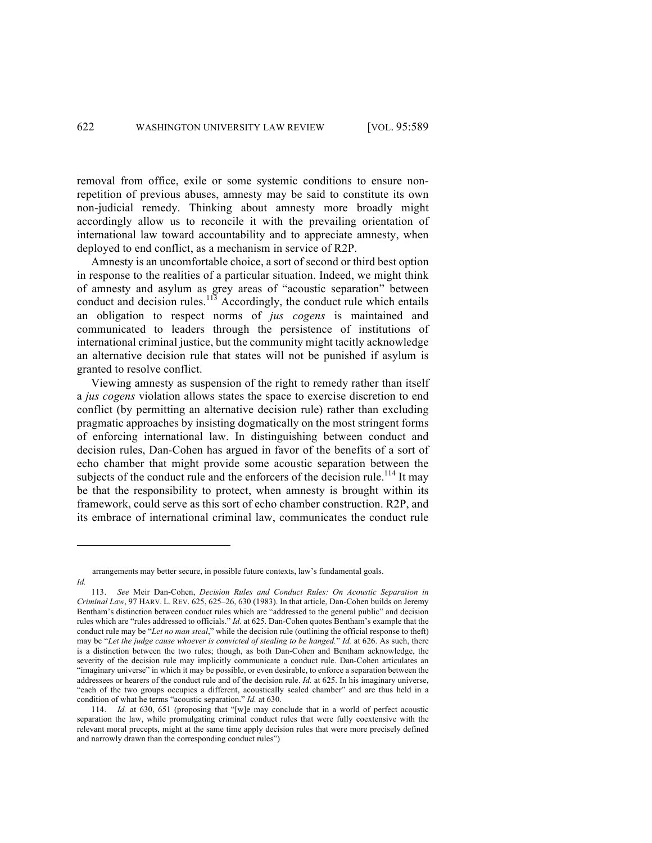removal from office, exile or some systemic conditions to ensure nonrepetition of previous abuses, amnesty may be said to constitute its own non-judicial remedy. Thinking about amnesty more broadly might accordingly allow us to reconcile it with the prevailing orientation of international law toward accountability and to appreciate amnesty, when deployed to end conflict, as a mechanism in service of R2P.

Amnesty is an uncomfortable choice, a sort of second or third best option in response to the realities of a particular situation. Indeed, we might think of amnesty and asylum as grey areas of "acoustic separation" between conduct and decision rules.<sup>113</sup> Accordingly, the conduct rule which entails an obligation to respect norms of *jus cogens* is maintained and communicated to leaders through the persistence of institutions of international criminal justice, but the community might tacitly acknowledge an alternative decision rule that states will not be punished if asylum is granted to resolve conflict.

Viewing amnesty as suspension of the right to remedy rather than itself a *jus cogens* violation allows states the space to exercise discretion to end conflict (by permitting an alternative decision rule) rather than excluding pragmatic approaches by insisting dogmatically on the most stringent forms of enforcing international law. In distinguishing between conduct and decision rules, Dan-Cohen has argued in favor of the benefits of a sort of echo chamber that might provide some acoustic separation between the subjects of the conduct rule and the enforcers of the decision rule.<sup>114</sup> It may be that the responsibility to protect, when amnesty is brought within its framework, could serve as this sort of echo chamber construction. R2P, and its embrace of international criminal law, communicates the conduct rule

arrangements may better secure, in possible future contexts, law's fundamental goals.

*Id.*

<sup>113.</sup> *See* Meir Dan-Cohen, *Decision Rules and Conduct Rules: On Acoustic Separation in Criminal Law*, 97 HARV. L. REV. 625, 625–26, 630 (1983). In that article, Dan-Cohen builds on Jeremy Bentham's distinction between conduct rules which are "addressed to the general public" and decision rules which are "rules addressed to officials." *Id.* at 625. Dan-Cohen quotes Bentham's example that the conduct rule may be "*Let no man steal*," while the decision rule (outlining the official response to theft) may be "*Let the judge cause whoever is convicted of stealing to be hanged.*" *Id.* at 626. As such, there is a distinction between the two rules; though, as both Dan-Cohen and Bentham acknowledge, the severity of the decision rule may implicitly communicate a conduct rule. Dan-Cohen articulates an "imaginary universe" in which it may be possible, or even desirable, to enforce a separation between the addressees or hearers of the conduct rule and of the decision rule. *Id.* at 625. In his imaginary universe, "each of the two groups occupies a different, acoustically sealed chamber" and are thus held in a condition of what he terms "acoustic separation." *Id.* at 630.

<sup>114.</sup> *Id.* at 630, 651 (proposing that "[w]e may conclude that in a world of perfect acoustic separation the law, while promulgating criminal conduct rules that were fully coextensive with the relevant moral precepts, might at the same time apply decision rules that were more precisely defined and narrowly drawn than the corresponding conduct rules")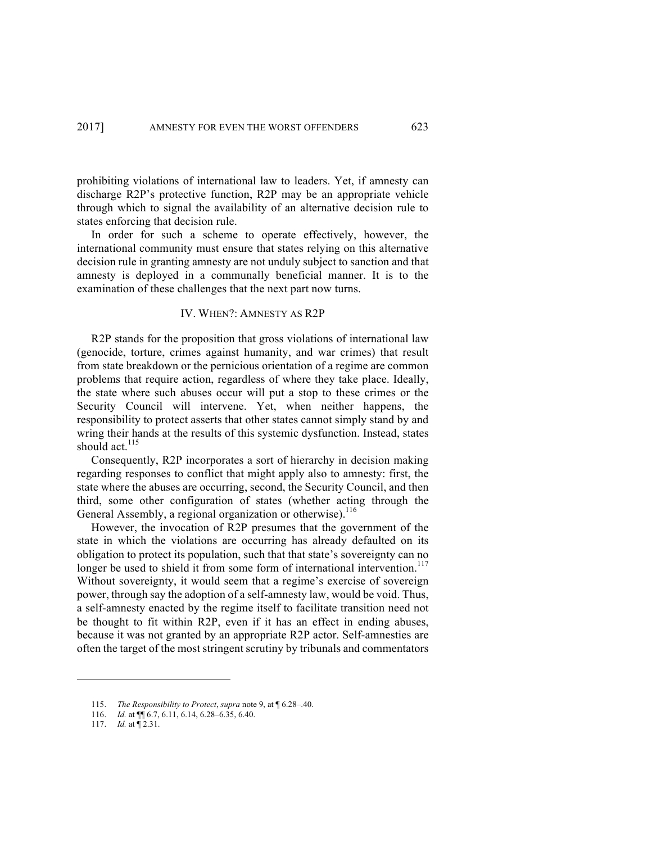prohibiting violations of international law to leaders. Yet, if amnesty can discharge R2P's protective function, R2P may be an appropriate vehicle through which to signal the availability of an alternative decision rule to states enforcing that decision rule.

In order for such a scheme to operate effectively, however, the international community must ensure that states relying on this alternative decision rule in granting amnesty are not unduly subject to sanction and that amnesty is deployed in a communally beneficial manner. It is to the examination of these challenges that the next part now turns.

## IV. WHEN?: AMNESTY AS R2P

R2P stands for the proposition that gross violations of international law (genocide, torture, crimes against humanity, and war crimes) that result from state breakdown or the pernicious orientation of a regime are common problems that require action, regardless of where they take place. Ideally, the state where such abuses occur will put a stop to these crimes or the Security Council will intervene. Yet, when neither happens, the responsibility to protect asserts that other states cannot simply stand by and wring their hands at the results of this systemic dysfunction. Instead, states should act. $115$ 

Consequently, R2P incorporates a sort of hierarchy in decision making regarding responses to conflict that might apply also to amnesty: first, the state where the abuses are occurring, second, the Security Council, and then third, some other configuration of states (whether acting through the General Assembly, a regional organization or otherwise).<sup>116</sup>

However, the invocation of R2P presumes that the government of the state in which the violations are occurring has already defaulted on its obligation to protect its population, such that that state's sovereignty can no longer be used to shield it from some form of international intervention.<sup>117</sup> Without sovereignty, it would seem that a regime's exercise of sovereign power, through say the adoption of a self-amnesty law, would be void. Thus, a self-amnesty enacted by the regime itself to facilitate transition need not be thought to fit within R2P, even if it has an effect in ending abuses, because it was not granted by an appropriate R2P actor. Self-amnesties are often the target of the most stringent scrutiny by tribunals and commentators

<sup>115.</sup> *The Responsibility to Protect*, *supra* note 9, at ¶ 6.28–.40.

<sup>116.</sup> *Id.* at ¶¶ 6.7, 6.11, 6.14, 6.28–6.35, 6.40.

<sup>117.</sup> *Id.* at ¶ 2.31.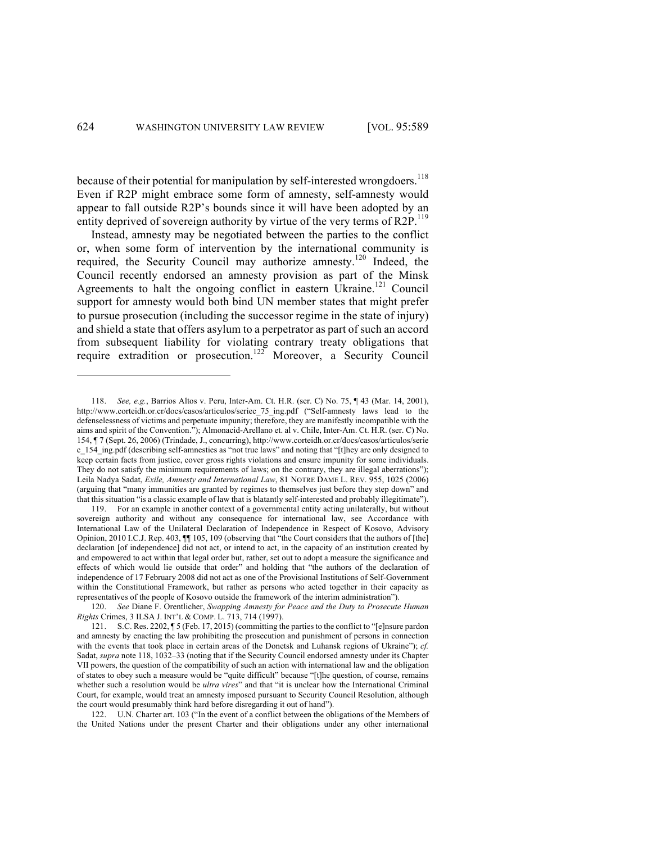because of their potential for manipulation by self-interested wrongdoers.<sup>118</sup> Even if R2P might embrace some form of amnesty, self-amnesty would appear to fall outside R2P's bounds since it will have been adopted by an entity deprived of sovereign authority by virtue of the very terms of R2P.<sup>119</sup>

Instead, amnesty may be negotiated between the parties to the conflict or, when some form of intervention by the international community is required, the Security Council may authorize amnesty.<sup>120</sup> Indeed, the Council recently endorsed an amnesty provision as part of the Minsk Agreements to halt the ongoing conflict in eastern Ukraine.<sup>121</sup> Council support for amnesty would both bind UN member states that might prefer to pursue prosecution (including the successor regime in the state of injury) and shield a state that offers asylum to a perpetrator as part of such an accord from subsequent liability for violating contrary treaty obligations that require extradition or prosecution.<sup>122</sup> Moreover, a Security Council

122. U.N. Charter art. 103 ("In the event of a conflict between the obligations of the Members of the United Nations under the present Charter and their obligations under any other international

<sup>118.</sup> *See, e.g.*, Barrios Altos v. Peru, Inter-Am. Ct. H.R. (ser. C) No. 75, ¶ 43 (Mar. 14, 2001), http://www.corteidh.or.cr/docs/casos/articulos/seriec\_75\_ing.pdf ("Self-amnesty laws lead to the defenselessness of victims and perpetuate impunity; therefore, they are manifestly incompatible with the aims and spirit of the Convention."); Almonacid-Arellano et. al v. Chile, Inter-Am. Ct. H.R. (ser. C) No. 154, ¶ 7 (Sept. 26, 2006) (Trindade, J., concurring), http://www.corteidh.or.cr/docs/casos/articulos/serie c\_154\_ing.pdf (describing self-amnesties as "not true laws" and noting that "[t]hey are only designed to keep certain facts from justice, cover gross rights violations and ensure impunity for some individuals. They do not satisfy the minimum requirements of laws; on the contrary, they are illegal aberrations"); Leila Nadya Sadat, *Exile, Amnesty and International Law*, 81 NOTRE DAME L. REV. 955, 1025 (2006) (arguing that "many immunities are granted by regimes to themselves just before they step down" and that this situation "is a classic example of law that is blatantly self-interested and probably illegitimate").

<sup>119.</sup> For an example in another context of a governmental entity acting unilaterally, but without sovereign authority and without any consequence for international law, see Accordance with International Law of the Unilateral Declaration of Independence in Respect of Kosovo, Advisory Opinion, 2010 I.C.J. Rep. 403, ¶¶ 105, 109 (observing that "the Court considers that the authors of [the] declaration [of independence] did not act, or intend to act, in the capacity of an institution created by and empowered to act within that legal order but, rather, set out to adopt a measure the significance and effects of which would lie outside that order" and holding that "the authors of the declaration of independence of 17 February 2008 did not act as one of the Provisional Institutions of Self-Government within the Constitutional Framework, but rather as persons who acted together in their capacity as representatives of the people of Kosovo outside the framework of the interim administration").

<sup>120.</sup> *See* Diane F. Orentlicher, *Swapping Amnesty for Peace and the Duty to Prosecute Human Rights* Crimes, 3 ILSA J. INT'L & COMP. L. 713, 714 (1997).

<sup>121.</sup> S.C. Res. 2202, ¶ 5 (Feb. 17, 2015) (committing the parties to the conflict to "[e]nsure pardon and amnesty by enacting the law prohibiting the prosecution and punishment of persons in connection with the events that took place in certain areas of the Donetsk and Luhansk regions of Ukraine"); *cf.* Sadat, *supra* note 118, 1032–33 (noting that if the Security Council endorsed amnesty under its Chapter VII powers, the question of the compatibility of such an action with international law and the obligation of states to obey such a measure would be "quite difficult" because "[t]he question, of course, remains whether such a resolution would be *ultra vires*" and that "it is unclear how the International Criminal Court, for example, would treat an amnesty imposed pursuant to Security Council Resolution, although the court would presumably think hard before disregarding it out of hand").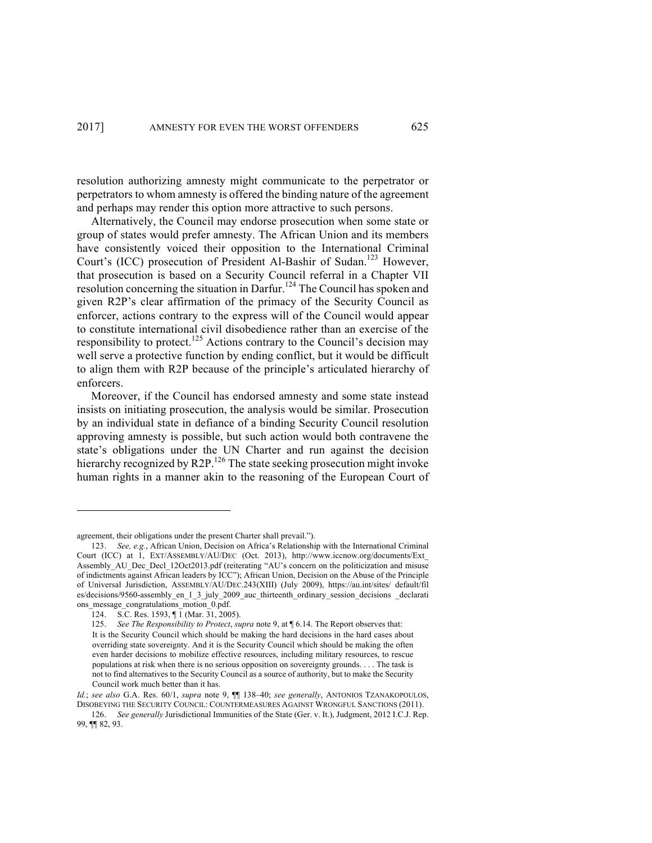resolution authorizing amnesty might communicate to the perpetrator or perpetrators to whom amnesty is offered the binding nature of the agreement and perhaps may render this option more attractive to such persons.

Alternatively, the Council may endorse prosecution when some state or group of states would prefer amnesty. The African Union and its members have consistently voiced their opposition to the International Criminal Court's (ICC) prosecution of President Al-Bashir of Sudan.<sup>123</sup> However, that prosecution is based on a Security Council referral in a Chapter VII resolution concerning the situation in Darfur.<sup>124</sup> The Council has spoken and given R2P's clear affirmation of the primacy of the Security Council as enforcer, actions contrary to the express will of the Council would appear to constitute international civil disobedience rather than an exercise of the responsibility to protect.<sup>125</sup> Actions contrary to the Council's decision may well serve a protective function by ending conflict, but it would be difficult to align them with R2P because of the principle's articulated hierarchy of enforcers.

Moreover, if the Council has endorsed amnesty and some state instead insists on initiating prosecution, the analysis would be similar. Prosecution by an individual state in defiance of a binding Security Council resolution approving amnesty is possible, but such action would both contravene the state's obligations under the UN Charter and run against the decision hierarchy recognized by R2P.<sup>126</sup> The state seeking prosecution might invoke human rights in a manner akin to the reasoning of the European Court of

agreement, their obligations under the present Charter shall prevail.").

<sup>123.</sup> *See, e.g.*, African Union, Decision on Africa's Relationship with the International Criminal Court (ICC) at 1, EXT/ASSEMBLY/AU/DEC (Oct. 2013), http://www.iccnow.org/documents/Ext\_ Assembly\_AU\_Dec\_Decl\_12Oct2013.pdf (reiterating "AU's concern on the politicization and misuse of indictments against African leaders by ICC"); African Union, Decision on the Abuse of the Principle of Universal Jurisdiction, ASSEMBLY/AU/DEC.243(XIII) (July 2009), https://au.int/sites/ default/fil es/decisions/9560-assembly\_en\_1\_3\_july\_2009\_auc\_thirteenth\_ordinary\_session\_decisions \_declarati ons message congratulations motion 0.pdf.

<sup>124.</sup> S.C. Res. 1593, ¶ 1 (Mar. 31, 2005).

<sup>125.</sup> *See The Responsibility to Protect, supra* note 9, at  $\P$  6.14. The Report observes that: It is the Security Council which should be making the hard decisions in the hard cases about overriding state sovereignty. And it is the Security Council which should be making the often even harder decisions to mobilize effective resources, including military resources, to rescue populations at risk when there is no serious opposition on sovereignty grounds. . . . The task is not to find alternatives to the Security Council as a source of authority, but to make the Security Council work much better than it has.

*Id.*; *see also* G.A. Res. 60/1, *supra* note 9, ¶¶ 138–40; *see generally*, ANTONIOS TZANAKOPOULOS, DISOBEYING THE SECURITY COUNCIL: COUNTERMEASURES AGAINST WRONGFUL SANCTIONS (2011).

<sup>126.</sup> *See generally* Jurisdictional Immunities of the State (Ger. v. It.), Judgment, 2012 I.C.J. Rep. 99, ¶¶ 82, 93.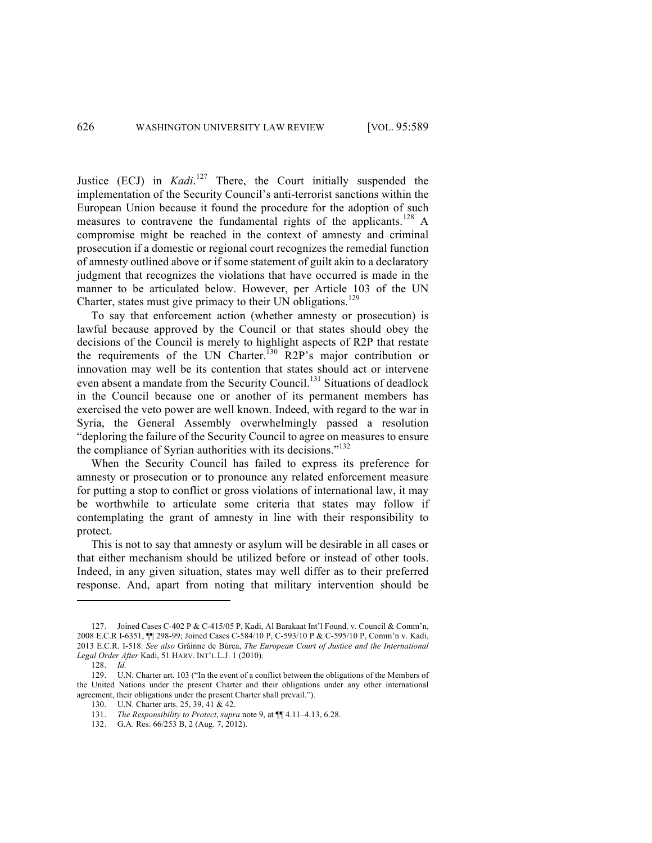Justice (ECJ) in *Kadi*.<sup>127</sup> There, the Court initially suspended the implementation of the Security Council's anti-terrorist sanctions within the European Union because it found the procedure for the adoption of such measures to contravene the fundamental rights of the applicants.<sup>128</sup> A compromise might be reached in the context of amnesty and criminal prosecution if a domestic or regional court recognizes the remedial function of amnesty outlined above or if some statement of guilt akin to a declaratory judgment that recognizes the violations that have occurred is made in the manner to be articulated below. However, per Article 103 of the UN Charter, states must give primacy to their UN obligations.<sup>129</sup>

To say that enforcement action (whether amnesty or prosecution) is lawful because approved by the Council or that states should obey the decisions of the Council is merely to highlight aspects of R2P that restate the requirements of the UN Charter.<sup>130</sup> R2P's major contribution or innovation may well be its contention that states should act or intervene even absent a mandate from the Security Council.<sup>131</sup> Situations of deadlock in the Council because one or another of its permanent members has exercised the veto power are well known. Indeed, with regard to the war in Syria, the General Assembly overwhelmingly passed a resolution "deploring the failure of the Security Council to agree on measures to ensure the compliance of Syrian authorities with its decisions."<sup>132</sup>

When the Security Council has failed to express its preference for amnesty or prosecution or to pronounce any related enforcement measure for putting a stop to conflict or gross violations of international law, it may be worthwhile to articulate some criteria that states may follow if contemplating the grant of amnesty in line with their responsibility to protect.

This is not to say that amnesty or asylum will be desirable in all cases or that either mechanism should be utilized before or instead of other tools. Indeed, in any given situation, states may well differ as to their preferred response. And, apart from noting that military intervention should be

<sup>127.</sup> Joined Cases C-402 P & C-415/05 P, Kadi, Al Barakaat Int'l Found. v. Council & Comm'n, 2008 E.C.R I-6351, ¶¶ 298-99; Joined Cases C-584/10 P, C-593/10 P & C-595/10 P, Comm'n v. Kadi, 2013 E.C.R. I-518. *See also* Gráinne de Búrca, *The European Court of Justice and the International Legal Order After* Kadi, 51 HARV. INT'L L.J. 1 (2010).

<sup>128.</sup> *Id.*

<sup>129.</sup> U.N. Charter art. 103 ("In the event of a conflict between the obligations of the Members of the United Nations under the present Charter and their obligations under any other international agreement, their obligations under the present Charter shall prevail.").

<sup>130.</sup> U.N. Charter arts. 25, 39, 41 & 42.

<sup>131.</sup> *The Responsibility to Protect*, *supra* note 9, at ¶¶ 4.11–4.13, 6.28.

<sup>132.</sup> G.A. Res. 66/253 B, 2 (Aug. 7, 2012).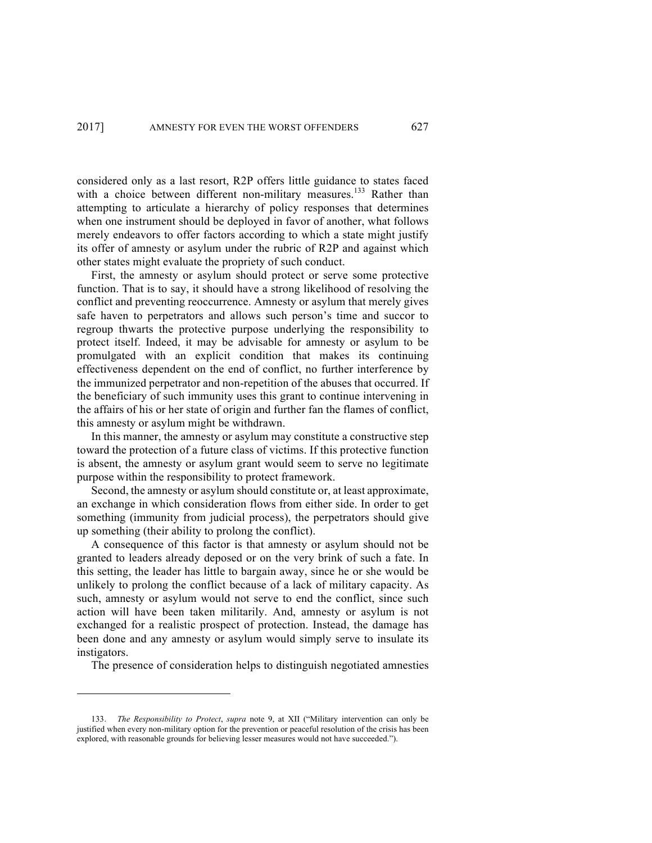considered only as a last resort, R2P offers little guidance to states faced with a choice between different non-military measures.<sup>133</sup> Rather than attempting to articulate a hierarchy of policy responses that determines when one instrument should be deployed in favor of another, what follows merely endeavors to offer factors according to which a state might justify its offer of amnesty or asylum under the rubric of R2P and against which other states might evaluate the propriety of such conduct.

First, the amnesty or asylum should protect or serve some protective function. That is to say, it should have a strong likelihood of resolving the conflict and preventing reoccurrence. Amnesty or asylum that merely gives safe haven to perpetrators and allows such person's time and succor to regroup thwarts the protective purpose underlying the responsibility to protect itself. Indeed, it may be advisable for amnesty or asylum to be promulgated with an explicit condition that makes its continuing effectiveness dependent on the end of conflict, no further interference by the immunized perpetrator and non-repetition of the abuses that occurred. If the beneficiary of such immunity uses this grant to continue intervening in the affairs of his or her state of origin and further fan the flames of conflict, this amnesty or asylum might be withdrawn.

In this manner, the amnesty or asylum may constitute a constructive step toward the protection of a future class of victims. If this protective function is absent, the amnesty or asylum grant would seem to serve no legitimate purpose within the responsibility to protect framework.

Second, the amnesty or asylum should constitute or, at least approximate, an exchange in which consideration flows from either side. In order to get something (immunity from judicial process), the perpetrators should give up something (their ability to prolong the conflict).

A consequence of this factor is that amnesty or asylum should not be granted to leaders already deposed or on the very brink of such a fate. In this setting, the leader has little to bargain away, since he or she would be unlikely to prolong the conflict because of a lack of military capacity. As such, amnesty or asylum would not serve to end the conflict, since such action will have been taken militarily. And, amnesty or asylum is not exchanged for a realistic prospect of protection. Instead, the damage has been done and any amnesty or asylum would simply serve to insulate its instigators.

The presence of consideration helps to distinguish negotiated amnesties

<sup>133.</sup> *The Responsibility to Protect*, *supra* note 9, at XII ("Military intervention can only be justified when every non-military option for the prevention or peaceful resolution of the crisis has been explored, with reasonable grounds for believing lesser measures would not have succeeded.").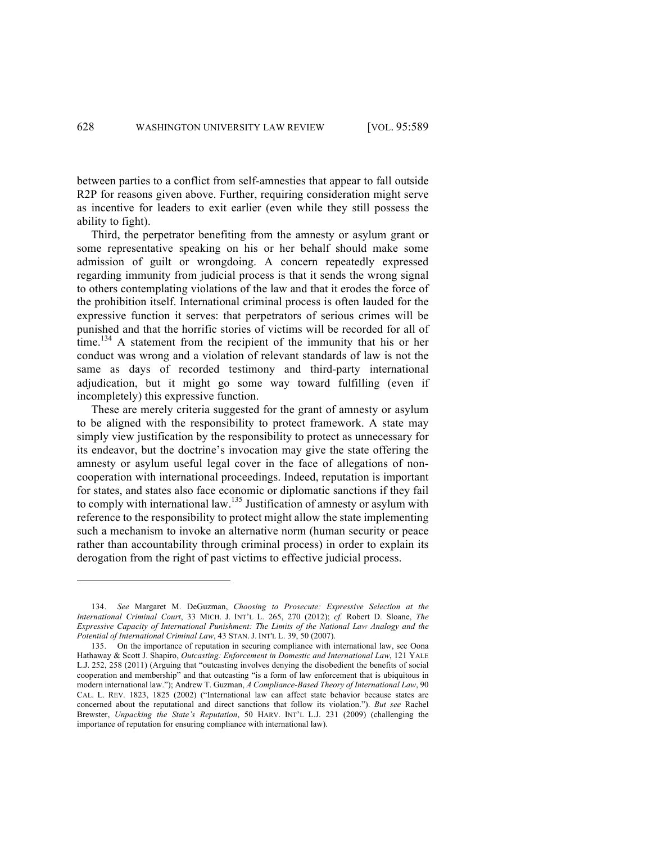between parties to a conflict from self-amnesties that appear to fall outside R2P for reasons given above. Further, requiring consideration might serve as incentive for leaders to exit earlier (even while they still possess the ability to fight).

Third, the perpetrator benefiting from the amnesty or asylum grant or some representative speaking on his or her behalf should make some admission of guilt or wrongdoing. A concern repeatedly expressed regarding immunity from judicial process is that it sends the wrong signal to others contemplating violations of the law and that it erodes the force of the prohibition itself. International criminal process is often lauded for the expressive function it serves: that perpetrators of serious crimes will be punished and that the horrific stories of victims will be recorded for all of time.<sup>134</sup> A statement from the recipient of the immunity that his or her conduct was wrong and a violation of relevant standards of law is not the same as days of recorded testimony and third-party international adjudication, but it might go some way toward fulfilling (even if incompletely) this expressive function.

These are merely criteria suggested for the grant of amnesty or asylum to be aligned with the responsibility to protect framework. A state may simply view justification by the responsibility to protect as unnecessary for its endeavor, but the doctrine's invocation may give the state offering the amnesty or asylum useful legal cover in the face of allegations of noncooperation with international proceedings. Indeed, reputation is important for states, and states also face economic or diplomatic sanctions if they fail to comply with international law.<sup>135</sup> Justification of amnesty or asylum with reference to the responsibility to protect might allow the state implementing such a mechanism to invoke an alternative norm (human security or peace rather than accountability through criminal process) in order to explain its derogation from the right of past victims to effective judicial process.

<sup>134.</sup> *See* Margaret M. DeGuzman, *Choosing to Prosecute: Expressive Selection at the International Criminal Court*, 33 MICH. J. INT'L L. 265, 270 (2012); *cf.* Robert D. Sloane, *The Expressive Capacity of International Punishment: The Limits of the National Law Analogy and the Potential of International Criminal Law*, 43 STAN. J. INT'L L. 39, 50 (2007).

<sup>135.</sup> On the importance of reputation in securing compliance with international law, see Oona Hathaway & Scott J. Shapiro, *Outcasting: Enforcement in Domestic and International Law*, 121 YALE L.J. 252, 258 (2011) (Arguing that "outcasting involves denying the disobedient the benefits of social cooperation and membership" and that outcasting "is a form of law enforcement that is ubiquitous in modern international law."); Andrew T. Guzman, *A Compliance-Based Theory of International Law*, 90 CAL. L. REV. 1823, 1825 (2002) ("International law can affect state behavior because states are concerned about the reputational and direct sanctions that follow its violation."). *But see* Rachel Brewster, *Unpacking the State's Reputation*, 50 HARV. INT'L L.J. 231 (2009) (challenging the importance of reputation for ensuring compliance with international law).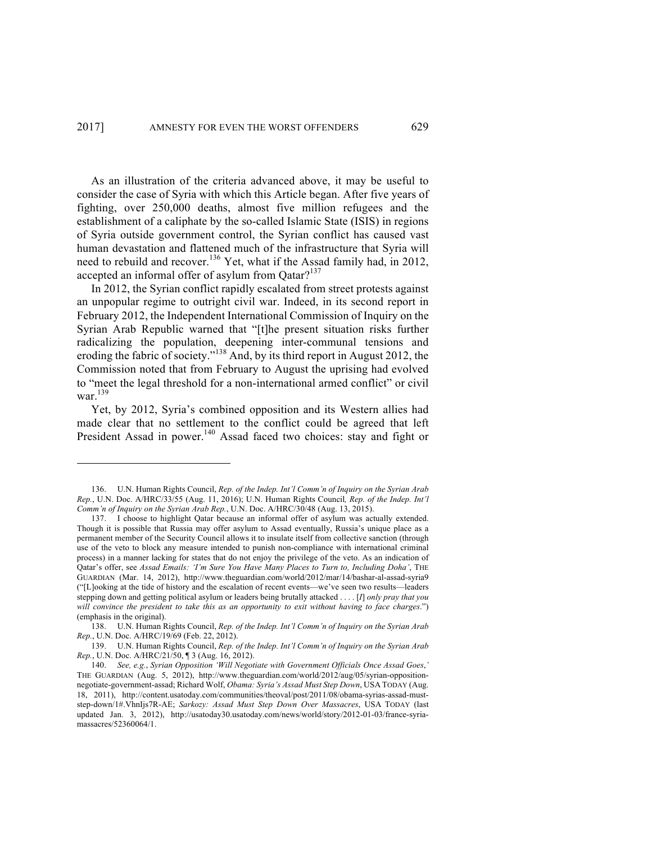As an illustration of the criteria advanced above, it may be useful to consider the case of Syria with which this Article began. After five years of fighting, over 250,000 deaths, almost five million refugees and the establishment of a caliphate by the so-called Islamic State (ISIS) in regions of Syria outside government control, the Syrian conflict has caused vast human devastation and flattened much of the infrastructure that Syria will need to rebuild and recover.<sup>136</sup> Yet, what if the Assad family had, in 2012, accepted an informal offer of asylum from  $Qatar$ <sup>137</sup>

In 2012, the Syrian conflict rapidly escalated from street protests against an unpopular regime to outright civil war. Indeed, in its second report in February 2012, the Independent International Commission of Inquiry on the Syrian Arab Republic warned that "[t]he present situation risks further radicalizing the population, deepening inter-communal tensions and eroding the fabric of society."<sup>138</sup> And, by its third report in August 2012, the Commission noted that from February to August the uprising had evolved to "meet the legal threshold for a non-international armed conflict" or civil war.<sup>139</sup>

Yet, by 2012, Syria's combined opposition and its Western allies had made clear that no settlement to the conflict could be agreed that left President Assad in power.<sup>140</sup> Assad faced two choices: stay and fight or

<sup>136.</sup> U.N. Human Rights Council, *Rep. of the Indep. Int'l Comm'n of Inquiry on the Syrian Arab Rep.*, U.N. Doc. A/HRC/33/55 (Aug. 11, 2016); U.N. Human Rights Council*, Rep. of the Indep. Int'l Comm'n of Inquiry on the Syrian Arab Rep.*, U.N. Doc. A/HRC/30/48 (Aug. 13, 2015).

<sup>137.</sup> I choose to highlight Qatar because an informal offer of asylum was actually extended. Though it is possible that Russia may offer asylum to Assad eventually, Russia's unique place as a permanent member of the Security Council allows it to insulate itself from collective sanction (through use of the veto to block any measure intended to punish non-compliance with international criminal process) in a manner lacking for states that do not enjoy the privilege of the veto. As an indication of Qatar's offer, see *Assad Emails: 'I'm Sure You Have Many Places to Turn to, Including Doha'*, THE GUARDIAN (Mar. 14, 2012), http://www.theguardian.com/world/2012/mar/14/bashar-al-assad-syria9 ("[L]ooking at the tide of history and the escalation of recent events—we've seen two results—leaders stepping down and getting political asylum or leaders being brutally attacked . . . . [*I*] *only pray that you will convince the president to take this as an opportunity to exit without having to face charges*.") (emphasis in the original).

<sup>138.</sup> U.N. Human Rights Council, *Rep. of the Indep. Int'l Comm'n of Inquiry on the Syrian Arab Rep.*, U.N. Doc. A/HRC/19/69 (Feb. 22, 2012).

<sup>139.</sup> U.N. Human Rights Council, *Rep. of the Indep. Int'l Comm'n of Inquiry on the Syrian Arab Rep.*, U.N. Doc. A/HRC/21/50, ¶ 3 (Aug. 16, 2012).

<sup>140.</sup> *See, e.g.*, *Syrian Opposition 'Will Negotiate with Government Officials Once Assad Goes*,*'* THE GUARDIAN (Aug. 5, 2012), http://www.theguardian.com/world/2012/aug/05/syrian-oppositionnegotiate-government-assad; Richard Wolf, *Obama: Syria's Assad Must Step Down*, USA TODAY (Aug. 18, 2011), http://content.usatoday.com/communities/theoval/post/2011/08/obama-syrias-assad-muststep-down/1#.VhnIjs7R-AE; *Sarkozy: Assad Must Step Down Over Massacres*, USA TODAY (last updated Jan. 3, 2012), http://usatoday30.usatoday.com/news/world/story/2012-01-03/france-syriamassacres/52360064/1.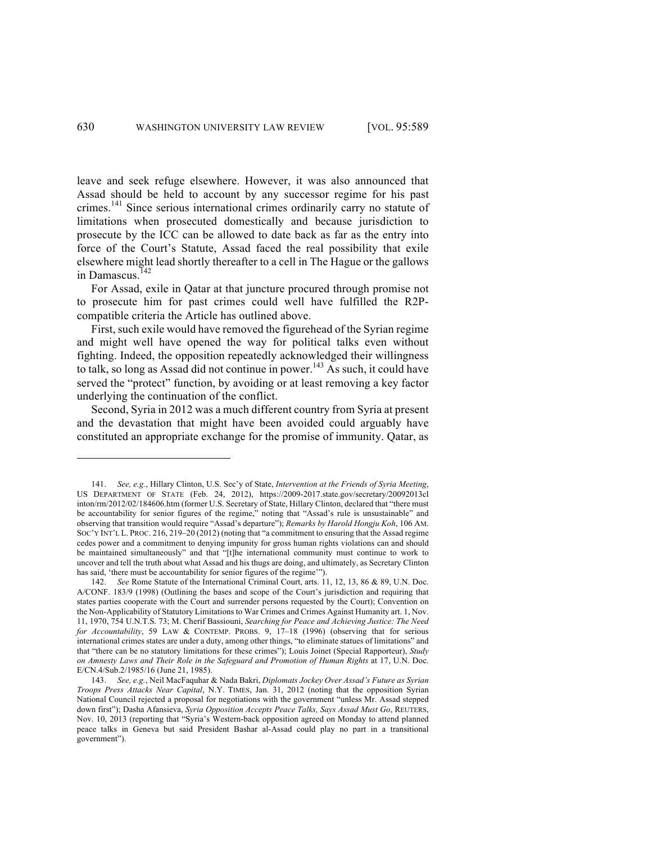leave and seek refuge elsewhere. However, it was also announced that Assad should be held to account by any successor regime for his past crimes.<sup>141</sup> Since serious international crimes ordinarily carry no statute of limitations when prosecuted domestically and because jurisdiction to prosecute by the ICC can be allowed to date back as far as the entry into force of the Court's Statute, Assad faced the real possibility that exile elsewhere might lead shortly thereafter to a cell in The Hague or the gallows in Damascus.<sup>142</sup>

For Assad, exile in Qatar at that juncture procured through promise not to prosecute him for past crimes could well have fulfilled the R2Pcompatible criteria the Article has outlined above.

First, such exile would have removed the figurehead of the Syrian regime and might well have opened the way for political talks even without fighting. Indeed, the opposition repeatedly acknowledged their willingness to talk, so long as Assad did not continue in power.<sup>143</sup> As such, it could have served the "protect" function, by avoiding or at least removing a key factor underlying the continuation of the conflict.

Second, Syria in 2012 was a much different country from Syria at present and the devastation that might have been avoided could arguably have constituted an appropriate exchange for the promise of immunity. Qatar, as

<sup>141.</sup> *See, e.g.*, Hillary Clinton, U.S. Sec'y of State, *Intervention at the Friends of Syria Meeting*, US DEPARTMENT OF STATE (Feb. 24, 2012), https://2009-2017.state.gov/secretary/20092013cl inton/rm/2012/02/184606.htm (former U.S. Secretary of State, Hillary Clinton, declared that "there must be accountability for senior figures of the regime," noting that "Assad's rule is unsustainable" and observing that transition would require "Assad's departure"); *Remarks by Harold Hongju Koh*, 106 AM. SOC'Y INT'L L. PROC. 216, 219–20 (2012) (noting that "a commitment to ensuring that the Assad regime cedes power and a commitment to denying impunity for gross human rights violations can and should be maintained simultaneously" and that "[t]he international community must continue to work to uncover and tell the truth about what Assad and his thugs are doing, and ultimately, as Secretary Clinton has said, 'there must be accountability for senior figures of the regime'").

<sup>142.</sup> *See* Rome Statute of the International Criminal Court, arts. 11, 12, 13, 86 & 89, U.N. Doc. A/CONF. 183/9 (1998) (Outlining the bases and scope of the Court's jurisdiction and requiring that states parties cooperate with the Court and surrender persons requested by the Court); Convention on the Non-Applicability of Statutory Limitations to War Crimes and Crimes Against Humanity art. 1, Nov. 11, 1970, 754 U.N.T.S. 73; M. Cherif Bassiouni, *Searching for Peace and Achieving Justice: The Need for Accountability*, 59 LAW & CONTEMP. PROBS. 9, 17–18 (1996) (observing that for serious international crimes states are under a duty, among other things, "to eliminate statues of limitations" and that "there can be no statutory limitations for these crimes"); Louis Joinet (Special Rapporteur), *Study on Amnesty Laws and Their Role in the Safeguard and Promotion of Human Rights* at 17, U.N. Doc. E/CN.4/Sub.2/1985/16 (June 21, 1985).

<sup>143.</sup> *See, e.g.*, Neil MacFaquhar & Nada Bakri, *Diplomats Jockey Over Assad's Future as Syrian Troops Press Attacks Near Capital*, N.Y. TIMES, Jan. 31, 2012 (noting that the opposition Syrian National Council rejected a proposal for negotiations with the government "unless Mr. Assad stepped down first"); Dasha Afansieva, *Syria Opposition Accepts Peace Talks, Says Assad Must Go*, REUTERS, Nov. 10, 2013 (reporting that "Syria's Western-back opposition agreed on Monday to attend planned peace talks in Geneva but said President Bashar al-Assad could play no part in a transitional government").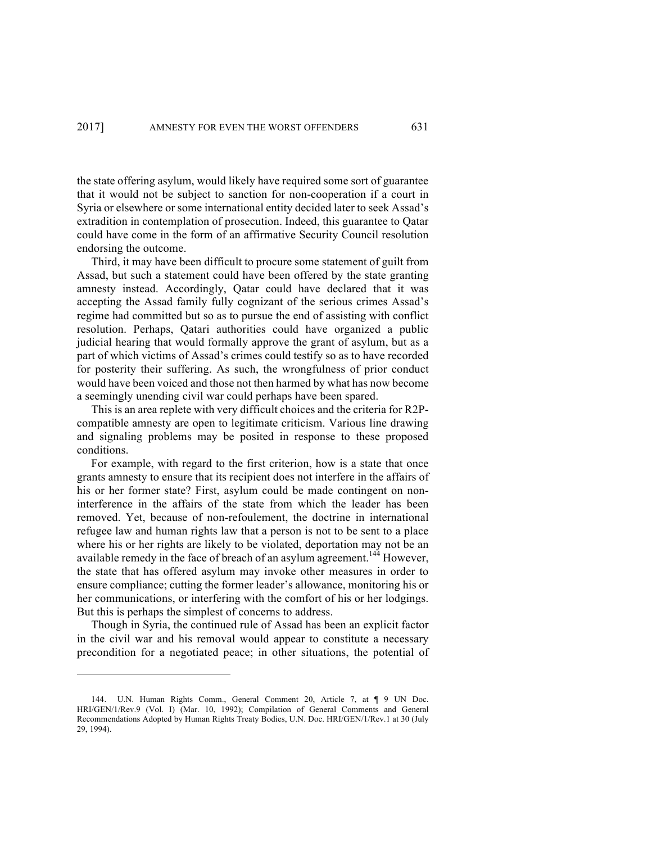the state offering asylum, would likely have required some sort of guarantee that it would not be subject to sanction for non-cooperation if a court in Syria or elsewhere or some international entity decided later to seek Assad's extradition in contemplation of prosecution. Indeed, this guarantee to Qatar could have come in the form of an affirmative Security Council resolution endorsing the outcome.

Third, it may have been difficult to procure some statement of guilt from Assad, but such a statement could have been offered by the state granting amnesty instead. Accordingly, Qatar could have declared that it was accepting the Assad family fully cognizant of the serious crimes Assad's regime had committed but so as to pursue the end of assisting with conflict resolution. Perhaps, Qatari authorities could have organized a public judicial hearing that would formally approve the grant of asylum, but as a part of which victims of Assad's crimes could testify so as to have recorded for posterity their suffering. As such, the wrongfulness of prior conduct would have been voiced and those not then harmed by what has now become a seemingly unending civil war could perhaps have been spared.

This is an area replete with very difficult choices and the criteria for R2Pcompatible amnesty are open to legitimate criticism. Various line drawing and signaling problems may be posited in response to these proposed conditions.

For example, with regard to the first criterion, how is a state that once grants amnesty to ensure that its recipient does not interfere in the affairs of his or her former state? First, asylum could be made contingent on noninterference in the affairs of the state from which the leader has been removed. Yet, because of non-refoulement, the doctrine in international refugee law and human rights law that a person is not to be sent to a place where his or her rights are likely to be violated, deportation may not be an available remedy in the face of breach of an asylum agreement.<sup>144</sup> However, the state that has offered asylum may invoke other measures in order to ensure compliance; cutting the former leader's allowance, monitoring his or her communications, or interfering with the comfort of his or her lodgings. But this is perhaps the simplest of concerns to address.

Though in Syria, the continued rule of Assad has been an explicit factor in the civil war and his removal would appear to constitute a necessary precondition for a negotiated peace; in other situations, the potential of

<sup>144.</sup> U.N. Human Rights Comm., General Comment 20, Article 7, at ¶ 9 UN Doc. HRI/GEN/1/Rev.9 (Vol. I) (Mar. 10, 1992); Compilation of General Comments and General Recommendations Adopted by Human Rights Treaty Bodies, U.N. Doc. HRI/GEN/1/Rev.1 at 30 (July 29, 1994).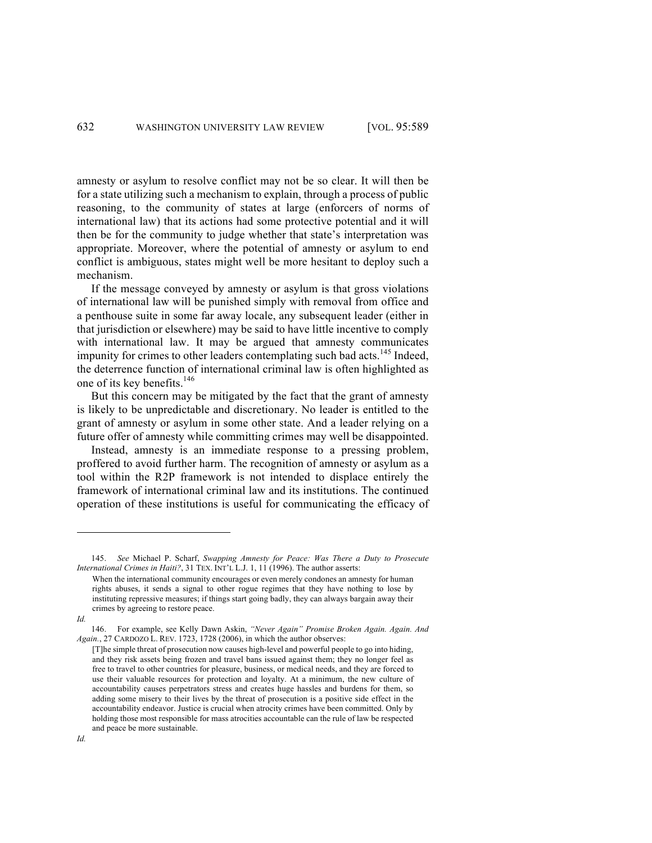amnesty or asylum to resolve conflict may not be so clear. It will then be for a state utilizing such a mechanism to explain, through a process of public reasoning, to the community of states at large (enforcers of norms of international law) that its actions had some protective potential and it will then be for the community to judge whether that state's interpretation was appropriate. Moreover, where the potential of amnesty or asylum to end conflict is ambiguous, states might well be more hesitant to deploy such a mechanism.

If the message conveyed by amnesty or asylum is that gross violations of international law will be punished simply with removal from office and a penthouse suite in some far away locale, any subsequent leader (either in that jurisdiction or elsewhere) may be said to have little incentive to comply with international law. It may be argued that amnesty communicates impunity for crimes to other leaders contemplating such bad acts.<sup>145</sup> Indeed, the deterrence function of international criminal law is often highlighted as one of its key benefits.<sup>146</sup>

But this concern may be mitigated by the fact that the grant of amnesty is likely to be unpredictable and discretionary. No leader is entitled to the grant of amnesty or asylum in some other state. And a leader relying on a future offer of amnesty while committing crimes may well be disappointed.

Instead, amnesty is an immediate response to a pressing problem, proffered to avoid further harm. The recognition of amnesty or asylum as a tool within the R2P framework is not intended to displace entirely the framework of international criminal law and its institutions. The continued operation of these institutions is useful for communicating the efficacy of

<sup>145.</sup> *See* Michael P. Scharf, *Swapping Amnesty for Peace: Was There a Duty to Prosecute International Crimes in Haiti?*, 31 TEX. INT'L L.J. 1, 11 (1996). The author asserts:

When the international community encourages or even merely condones an amnesty for human rights abuses, it sends a signal to other rogue regimes that they have nothing to lose by instituting repressive measures; if things start going badly, they can always bargain away their crimes by agreeing to restore peace.

*Id.*

<sup>146.</sup> For example, see Kelly Dawn Askin, *"Never Again" Promise Broken Again. Again. And Again.*, 27 CARDOZO L. REV. 1723, 1728 (2006), in which the author observes:

<sup>[</sup>T]he simple threat of prosecution now causes high-level and powerful people to go into hiding, and they risk assets being frozen and travel bans issued against them; they no longer feel as free to travel to other countries for pleasure, business, or medical needs, and they are forced to use their valuable resources for protection and loyalty. At a minimum, the new culture of accountability causes perpetrators stress and creates huge hassles and burdens for them, so adding some misery to their lives by the threat of prosecution is a positive side effect in the accountability endeavor. Justice is crucial when atrocity crimes have been committed. Only by holding those most responsible for mass atrocities accountable can the rule of law be respected and peace be more sustainable.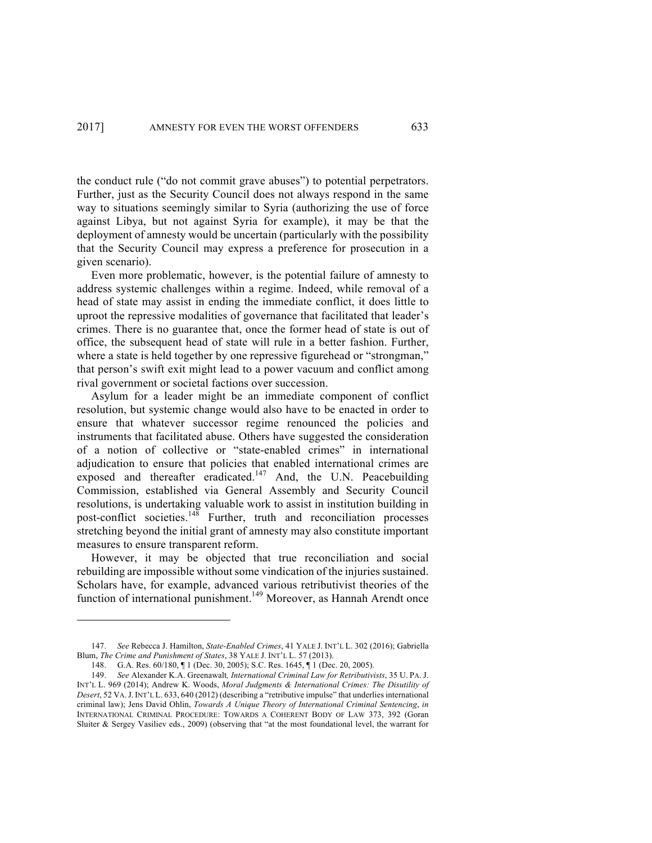the conduct rule ("do not commit grave abuses") to potential perpetrators. Further, just as the Security Council does not always respond in the same way to situations seemingly similar to Syria (authorizing the use of force against Libya, but not against Syria for example), it may be that the deployment of amnesty would be uncertain (particularly with the possibility that the Security Council may express a preference for prosecution in a given scenario).

Even more problematic, however, is the potential failure of amnesty to address systemic challenges within a regime. Indeed, while removal of a head of state may assist in ending the immediate conflict, it does little to uproot the repressive modalities of governance that facilitated that leader's crimes. There is no guarantee that, once the former head of state is out of office, the subsequent head of state will rule in a better fashion. Further, where a state is held together by one repressive figurehead or "strongman," that person's swift exit might lead to a power vacuum and conflict among rival government or societal factions over succession.

Asylum for a leader might be an immediate component of conflict resolution, but systemic change would also have to be enacted in order to ensure that whatever successor regime renounced the policies and instruments that facilitated abuse. Others have suggested the consideration of a notion of collective or "state-enabled crimes" in international adjudication to ensure that policies that enabled international crimes are exposed and thereafter eradicated.<sup>147</sup> And, the U.N. Peacebuilding Commission, established via General Assembly and Security Council resolutions, is undertaking valuable work to assist in institution building in post-conflict societies.<sup>148</sup> Further, truth and reconciliation processes stretching beyond the initial grant of amnesty may also constitute important measures to ensure transparent reform.

However, it may be objected that true reconciliation and social rebuilding are impossible without some vindication of the injuries sustained. Scholars have, for example, advanced various retributivist theories of the function of international punishment.<sup>149</sup> Moreover, as Hannah Arendt once

<sup>147.</sup> *See* Rebecca J. Hamilton, *State-Enabled Crimes*, 41 YALE J. INT'L L. 302 (2016); Gabriella Blum, *The Crime and Punishment of States*, 38 YALE J. INT'L L. 57 (2013).

<sup>148.</sup> G.A. Res. 60/180, ¶ 1 (Dec. 30, 2005); S.C. Res. 1645, ¶ 1 (Dec. 20, 2005).

<sup>149.</sup> *See* Alexander K.A. Greenawalt*, International Criminal Law for Retributivists*, 35 U. PA. J. INT'L L. 969 (2014); Andrew K. Woods, *Moral Judgments & International Crimes: The Disutility of Desert*, 52 VA.J.INT'L L. 633, 640 (2012) (describing a "retributive impulse" that underlies international criminal law); Jens David Ohlin, *Towards A Unique Theory of International Criminal Sentencing*, *in* INTERNATIONAL CRIMINAL PROCEDURE: TOWARDS A COHERENT BODY OF LAW 373, 392 (Goran Sluiter & Sergey Vasiliev eds., 2009) (observing that "at the most foundational level, the warrant for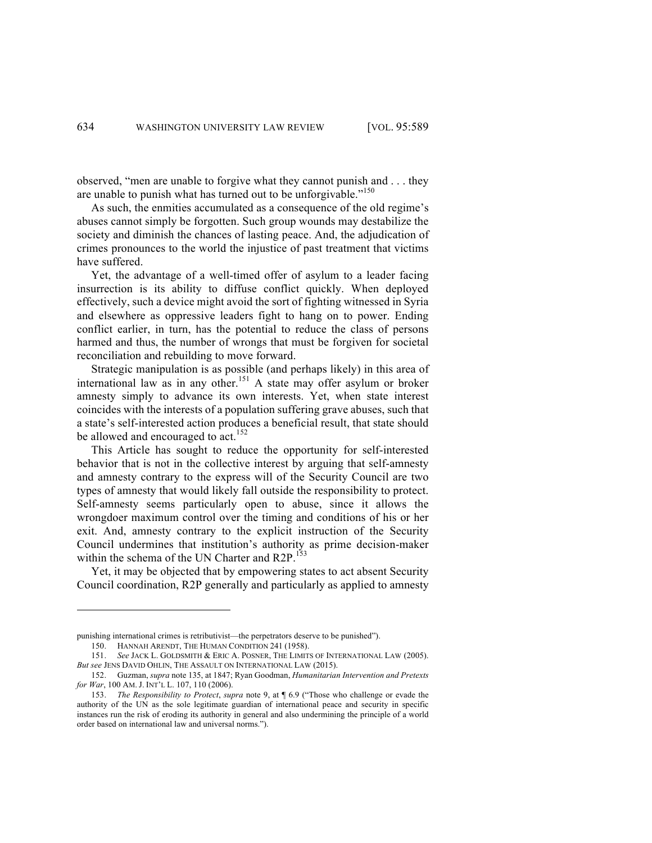observed, "men are unable to forgive what they cannot punish and . . . they are unable to punish what has turned out to be unforgivable."<sup>150</sup>

As such, the enmities accumulated as a consequence of the old regime's abuses cannot simply be forgotten. Such group wounds may destabilize the society and diminish the chances of lasting peace. And, the adjudication of crimes pronounces to the world the injustice of past treatment that victims have suffered.

Yet, the advantage of a well-timed offer of asylum to a leader facing insurrection is its ability to diffuse conflict quickly. When deployed effectively, such a device might avoid the sort of fighting witnessed in Syria and elsewhere as oppressive leaders fight to hang on to power. Ending conflict earlier, in turn, has the potential to reduce the class of persons harmed and thus, the number of wrongs that must be forgiven for societal reconciliation and rebuilding to move forward.

Strategic manipulation is as possible (and perhaps likely) in this area of international law as in any other.<sup>151</sup> A state may offer asylum or broker amnesty simply to advance its own interests. Yet, when state interest coincides with the interests of a population suffering grave abuses, such that a state's self-interested action produces a beneficial result, that state should be allowed and encouraged to act.<sup>152</sup>

This Article has sought to reduce the opportunity for self-interested behavior that is not in the collective interest by arguing that self-amnesty and amnesty contrary to the express will of the Security Council are two types of amnesty that would likely fall outside the responsibility to protect. Self-amnesty seems particularly open to abuse, since it allows the wrongdoer maximum control over the timing and conditions of his or her exit. And, amnesty contrary to the explicit instruction of the Security Council undermines that institution's authority as prime decision-maker within the schema of the UN Charter and  $R2P$ .<sup>153</sup>

Yet, it may be objected that by empowering states to act absent Security Council coordination, R2P generally and particularly as applied to amnesty

punishing international crimes is retributivist—the perpetrators deserve to be punished").

<sup>150.</sup> HANNAH ARENDT, THE HUMAN CONDITION 241 (1958).

<sup>151.</sup> *See* JACK L. GOLDSMITH & ERIC A. POSNER, THE LIMITS OF INTERNATIONAL LAW (2005). *But see* JENS DAVID OHLIN, THE ASSAULT ON INTERNATIONAL LAW (2015).

<sup>152.</sup> Guzman, *supra* note 135, at 1847; Ryan Goodman, *Humanitarian Intervention and Pretexts for War*, 100 AM. J. INT'L L. 107, 110 (2006).

<sup>153.</sup> *The Responsibility to Protect*, *supra* note 9, at ¶ 6.9 ("Those who challenge or evade the authority of the UN as the sole legitimate guardian of international peace and security in specific instances run the risk of eroding its authority in general and also undermining the principle of a world order based on international law and universal norms.").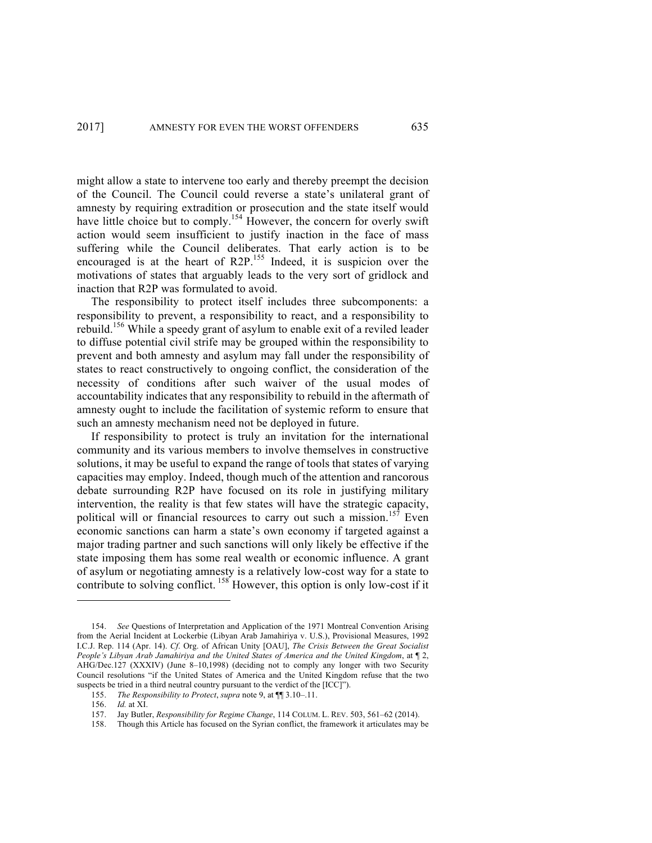might allow a state to intervene too early and thereby preempt the decision of the Council. The Council could reverse a state's unilateral grant of amnesty by requiring extradition or prosecution and the state itself would have little choice but to comply.<sup>154</sup> However, the concern for overly swift action would seem insufficient to justify inaction in the face of mass suffering while the Council deliberates. That early action is to be encouraged is at the heart of R2P.<sup>155</sup> Indeed, it is suspicion over the motivations of states that arguably leads to the very sort of gridlock and inaction that R2P was formulated to avoid.

The responsibility to protect itself includes three subcomponents: a responsibility to prevent, a responsibility to react, and a responsibility to rebuild.156 While a speedy grant of asylum to enable exit of a reviled leader to diffuse potential civil strife may be grouped within the responsibility to prevent and both amnesty and asylum may fall under the responsibility of states to react constructively to ongoing conflict, the consideration of the necessity of conditions after such waiver of the usual modes of accountability indicates that any responsibility to rebuild in the aftermath of amnesty ought to include the facilitation of systemic reform to ensure that such an amnesty mechanism need not be deployed in future.

If responsibility to protect is truly an invitation for the international community and its various members to involve themselves in constructive solutions, it may be useful to expand the range of tools that states of varying capacities may employ. Indeed, though much of the attention and rancorous debate surrounding R2P have focused on its role in justifying military intervention, the reality is that few states will have the strategic capacity, political will or financial resources to carry out such a mission.<sup>157</sup> Even economic sanctions can harm a state's own economy if targeted against a major trading partner and such sanctions will only likely be effective if the state imposing them has some real wealth or economic influence. A grant of asylum or negotiating amnesty is a relatively low-cost way for a state to contribute to solving conflict. <sup>158</sup> However, this option is only low-cost if it

<sup>154.</sup> *See* Questions of Interpretation and Application of the 1971 Montreal Convention Arising from the Aerial Incident at Lockerbie (Libyan Arab Jamahiriya v. U.S.), Provisional Measures, 1992 I.C.J. Rep. 114 (Apr. 14). *Cf*. Org. of African Unity [OAU], *The Crisis Between the Great Socialist People's Libyan Arab Jamahiriya and the United States of America and the United Kingdom*, at ¶ 2, AHG/Dec.127 (XXXIV) (June 8–10,1998) (deciding not to comply any longer with two Security Council resolutions "if the United States of America and the United Kingdom refuse that the two suspects be tried in a third neutral country pursuant to the verdict of the [ICC]").

<sup>155.</sup> *The Responsibility to Protect*, *supra* note 9, at ¶¶ 3.10–.11.

<sup>156.</sup> *Id.* at XI.

<sup>157.</sup> Jay Butler, *Responsibility for Regime Change*, 114 COLUM. L. REV. 503, 561–62 (2014).

<sup>158.</sup> Though this Article has focused on the Syrian conflict, the framework it articulates may be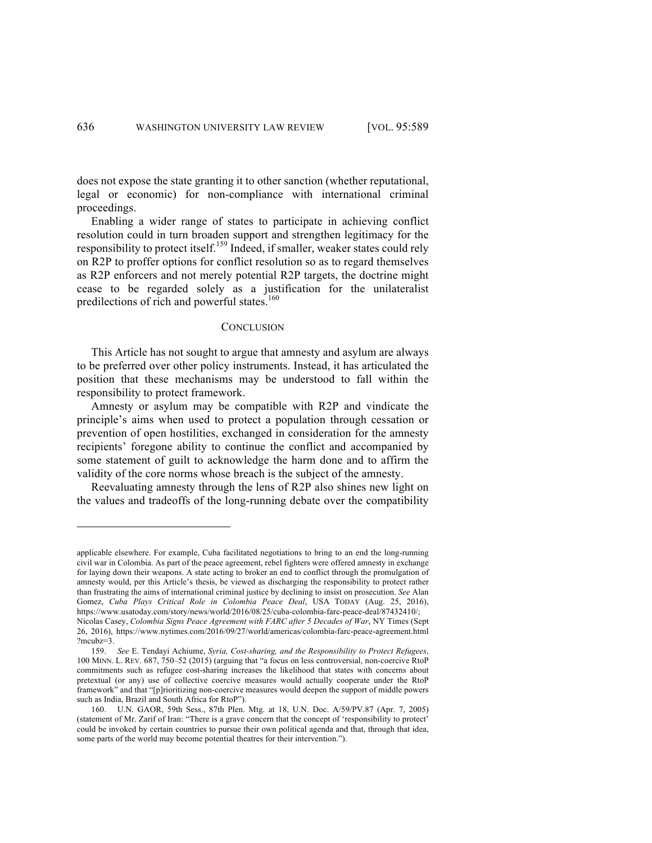does not expose the state granting it to other sanction (whether reputational, legal or economic) for non-compliance with international criminal proceedings.

Enabling a wider range of states to participate in achieving conflict resolution could in turn broaden support and strengthen legitimacy for the responsibility to protect itself.<sup>159</sup> Indeed, if smaller, weaker states could rely on R2P to proffer options for conflict resolution so as to regard themselves as R2P enforcers and not merely potential R2P targets, the doctrine might cease to be regarded solely as a justification for the unilateralist predilections of rich and powerful states.<sup>160</sup>

#### **CONCLUSION**

This Article has not sought to argue that amnesty and asylum are always to be preferred over other policy instruments. Instead, it has articulated the position that these mechanisms may be understood to fall within the responsibility to protect framework.

Amnesty or asylum may be compatible with R2P and vindicate the principle's aims when used to protect a population through cessation or prevention of open hostilities, exchanged in consideration for the amnesty recipients' foregone ability to continue the conflict and accompanied by some statement of guilt to acknowledge the harm done and to affirm the validity of the core norms whose breach is the subject of the amnesty.

Reevaluating amnesty through the lens of R2P also shines new light on the values and tradeoffs of the long-running debate over the compatibility

applicable elsewhere. For example, Cuba facilitated negotiations to bring to an end the long-running civil war in Colombia. As part of the peace agreement, rebel fighters were offered amnesty in exchange for laying down their weapons. A state acting to broker an end to conflict through the promulgation of amnesty would, per this Article's thesis, be viewed as discharging the responsibility to protect rather than frustrating the aims of international criminal justice by declining to insist on prosecution. *See* Alan Gomez, *Cuba Plays Critical Role in Colombia Peace Deal*, USA TODAY (Aug. 25, 2016), https://www.usatoday.com/story/news/world/2016/08/25/cuba-colombia-farc-peace-deal/87432410/; Nicolas Casey, *Colombia Signs Peace Agreement with FARC after 5 Decades of War*, NY Times (Sept 26, 2016), https://www.nytimes.com/2016/09/27/world/americas/colombia-farc-peace-agreement.html

<sup>?</sup>mcubz=3. 159. *See* E. Tendayi Achiume, *Syria, Cost-sharing, and the Responsibility to Protect Refugees*,

<sup>100</sup> MINN. L. REV. 687, 750–52 (2015) (arguing that "a focus on less controversial, non-coercive RtoP commitments such as refugee cost-sharing increases the likelihood that states with concerns about pretextual (or any) use of collective coercive measures would actually cooperate under the RtoP framework" and that "[p]rioritizing non-coercive measures would deepen the support of middle powers such as India, Brazil and South Africa for RtoP").

<sup>160.</sup> U.N. GAOR, 59th Sess., 87th Plen. Mtg. at 18, U.N. Doc. A/59/PV.87 (Apr. 7, 2005) (statement of Mr. Zarif of Iran: "There is a grave concern that the concept of 'responsibility to protect' could be invoked by certain countries to pursue their own political agenda and that, through that idea, some parts of the world may become potential theatres for their intervention.").